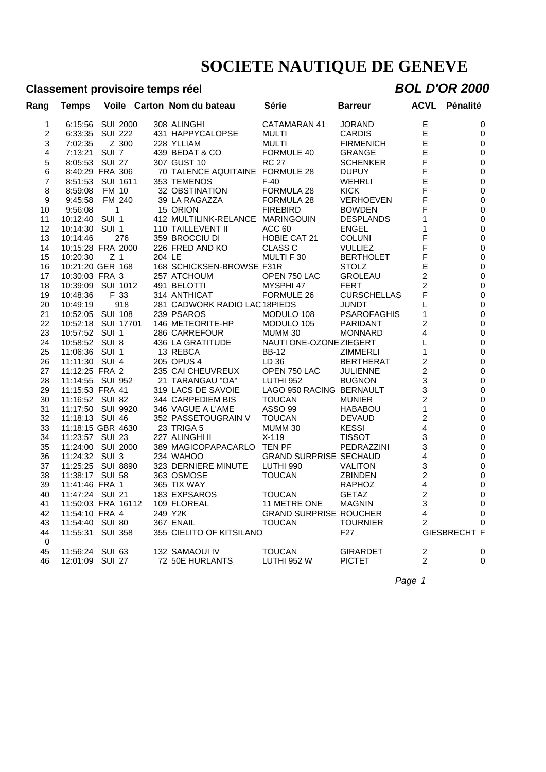### **Classement provisoire temps réel** *BOL D'OR 2000*

| Rang           | Temps              |                |       |         | Voile Carton Nom du bateau       | Série                         | <b>Barreur</b>     | <b>ACVL</b>    | Pénalité            |
|----------------|--------------------|----------------|-------|---------|----------------------------------|-------------------------------|--------------------|----------------|---------------------|
| 1              | 6:15:56            | SUI 2000       |       |         | 308 ALINGHI                      | CATAMARAN 41                  | <b>JORAND</b>      | Е              | 0                   |
| $\overline{2}$ | 6:33:35            | SUI 222        |       |         | 431 HAPPYCALOPSE                 | MULTI                         | <b>CARDIS</b>      | E              | 0                   |
| 3              | 7:02:35            |                | Z 300 |         | 228 YLLIAM                       | MULTI                         | <b>FIRMENICH</b>   | E              | 0                   |
| 4              | 7:13:21 SUI 7      |                |       |         | 439 BEDAT & CO                   | FORMULE 40                    | <b>GRANGE</b>      | E              | $\pmb{0}$           |
| 5              | 8:05:53 SUI 27     |                |       |         | 307 GUST 10                      | <b>RC 27</b>                  | <b>SCHENKER</b>    | F              | $\mathbf 0$         |
| 6              | 8:40:29 FRA 306    |                |       |         | 70 TALENCE AQUITAINE FORMULE 28  |                               | <b>DUPUY</b>       | F              | $\mathbf 0$         |
| $\overline{7}$ | 8:51:53 SUI 1611   |                |       |         | 353 TEMENOS                      | $F-40$                        | <b>WEHRLI</b>      | Ε              | $\pmb{0}$           |
| 8              | 8:59:08            | FM 10          |       |         | 32 OBSTINATION                   | <b>FORMULA 28</b>             | <b>KICK</b>        | F              | $\mathbf 0$         |
| 9              | 9:45:58            | FM 240         |       |         | 39 LA RAGAZZA                    | FORMULA 28                    | VERHOEVEN          | F              | $\mathbf 0$         |
| 10             | 9:56:08            | $\mathbf{1}$   |       |         | 15 ORION                         | <b>FIREBIRD</b>               | <b>BOWDEN</b>      | F              | $\mathbf 0$         |
| 11             | 10:12:40 SUI 1     |                |       |         | 412 MULTILINK-RELANCE MARINGOUIN |                               | <b>DESPLANDS</b>   | 1              | $\mathbf 0$         |
| 12             | 10:14:30           | SUI 1          |       |         | 110 TAILLEVENT II                | ACC <sub>60</sub>             | <b>ENGEL</b>       | 1              | $\mathbf 0$         |
| 13             | 10:14:46           |                | 276   |         | 359 BROCCIU DI                   | <b>HOBIE CAT 21</b>           | <b>COLUNI</b>      | F              | $\mathbf 0$         |
| 14             | 10:15:28 FRA 2000  |                |       |         | 226 FRED AND KO                  | <b>CLASS C</b>                | <b>VULLIEZ</b>     | F              | $\mathbf 0$         |
| 15             | 10:20:30           | Z <sub>1</sub> |       | 204 LE  |                                  | MULTI F 30                    | <b>BERTHOLET</b>   | F              | $\mathbf 0$         |
| 16             | 10:21:20 GER 168   |                |       |         | 168 SCHICKSEN-BROWSE F31R        |                               | <b>STOLZ</b>       | E              | $\mathbf 0$         |
| 17             | 10:30:03 FRA 3     |                |       |         | 257 ATCHOUM                      | OPEN 750 LAC                  | <b>GROLEAU</b>     | $\overline{c}$ | $\mathbf 0$         |
| 18             | 10:39:09 SUI 1012  |                |       |         | 491 BELOTTI                      | MYSPHI 47                     | <b>FERT</b>        | $\overline{c}$ | $\mathbf 0$         |
| 19             | 10:48:36           | F 33           |       |         | 314 ANTHICAT                     | FORMULE 26                    | <b>CURSCHELLAS</b> | F              | $\mathbf 0$         |
| 20             | 10:49:19           |                | 918   |         | 281 CADWORK RADIO LAC 18PIEDS    |                               | <b>JUNDT</b>       | L              | $\pmb{0}$           |
|                |                    |                |       |         | 239 PSAROS                       |                               |                    |                |                     |
| 21             | 10:52:05 SUI 108   |                |       |         |                                  | MODULO 108                    | <b>PSAROFAGHIS</b> | 1              | $\mathbf 0$         |
| 22             | 10:52:18 SUI 17701 |                |       |         | 146 METEORITE-HP                 | MODULO 105                    | PARIDANT           | 2              | $\mathbf 0$         |
| 23             | 10:57:52 SUI 1     |                |       |         | 286 CARREFOUR                    | MUMM 30                       | <b>MONNARD</b>     | 4              | $\mathbf 0$         |
| 24             | 10:58:52 SUI 8     |                |       |         | 436 LA GRATITUDE                 | NAUTI ONE-OZONE ZIEGERT       |                    | L              | $\pmb{0}$           |
| 25             | 11:06:36 SUI 1     |                |       |         | 13 REBCA                         | <b>BB-12</b>                  | <b>ZIMMERLI</b>    | 1              | $\mathbf 0$         |
| 26             | 11:11:30 SUI 4     |                |       |         | 205 OPUS 4                       | LD 36                         | <b>BERTHERAT</b>   | $\overline{c}$ | $\pmb{0}$           |
| 27             | 11:12:25 FRA 2     |                |       |         | 235 CAI CHEUVREUX                | OPEN 750 LAC                  | <b>JULIENNE</b>    | $\overline{c}$ | $\mathbf 0$         |
| 28             | 11:14:55 SUI 952   |                |       |         | 21 TARANGAU "OA"                 | LUTHI 952                     | <b>BUGNON</b>      | 3              | $\mathbf 0$         |
| 29             | 11:15:53 FRA 41    |                |       |         | 319 LACS DE SAVOIE               | LAGO 950 RACING BERNAULT      |                    | 3              | $\mathbf 0$         |
| 30             | 11:16:52 SUI 82    |                |       |         | 344 CARPEDIEM BIS                | <b>TOUCAN</b>                 | <b>MUNIER</b>      | $\overline{2}$ | $\pmb{0}$           |
| 31             | 11:17:50 SUI 9920  |                |       |         | 346 VAGUE A L'AME                | ASSO 99                       | <b>HABABOU</b>     | $\mathbf{1}$   | $\mathbf 0$         |
| 32             | 11:18:13 SUI 46    |                |       |         | 352 PASSETOUGRAIN V              | <b>TOUCAN</b>                 | <b>DEVAUD</b>      | $\overline{c}$ | $\pmb{0}$           |
| 33             | 11:18:15 GBR 4630  |                |       |         | 23 TRIGA 5                       | MUMM 30                       | <b>KESSI</b>       | 4              | $\mathbf 0$         |
| 34             | 11:23:57 SUI 23    |                |       |         | 227 ALINGHI II                   | $X-119$                       | <b>TISSOT</b>      | 3              | $\pmb{0}$           |
| 35             | 11:24:00 SUI 2000  |                |       |         | 389 MAGICOPAPACARLO TEN PF       |                               | PEDRAZZINI         | 3              | 0                   |
| 36             | 11:24:32 SUI 3     |                |       |         | 234 WAHOO                        | <b>GRAND SURPRISE SECHAUD</b> |                    | 4              | $\mathbf 0$         |
| 37             | 11:25:25 SUI 8890  |                |       |         | 323 DERNIERE MINUTE              | LUTHI 990                     | <b>VALITON</b>     | 3              | $\pmb{0}$           |
| 38             | 11:38:17 SUI 58    |                |       |         | 363 OSMOSE                       | <b>TOUCAN</b>                 | <b>ZBINDEN</b>     | $\overline{c}$ | $\mathbf 0$         |
| 39             | 11:41:46 FRA 1     |                |       |         | 365 TIX WAY                      |                               | <b>RAPHOZ</b>      | 4              | $\pmb{0}$           |
| 40             | 11:47:24 SUI 21    |                |       |         | 183 EXPSAROS                     | <b>TOUCAN</b>                 | <b>GETAZ</b>       | $\overline{c}$ | $\mathbf 0$         |
| 41             | 11:50:03 FRA 16112 |                |       |         | 109 FLOREAL                      | 11 METRE ONE                  | <b>MAGNIN</b>      | 3              | $\mathbf 0$         |
| 42             | 11:54:10 FRA 4     |                |       | 249 Y2K |                                  | <b>GRAND SURPRISE ROUCHER</b> |                    | 4              | 0                   |
| 43             | 11:54:40 SUI 80    |                |       |         | 367 ENAIL                        | <b>TOUCAN</b>                 | <b>TOURNIER</b>    | 2              | $\Omega$            |
| 44             | 11:55:31           | <b>SUI 358</b> |       |         | 355 CIELITO OF KITSILANO         |                               | F <sub>27</sub>    |                | <b>GIESBRECHT F</b> |
| 0              |                    |                |       |         |                                  |                               |                    |                |                     |
| 45             | 11:56:24 SUI 63    |                |       |         | 132 SAMAOUI IV                   | <b>TOUCAN</b>                 | <b>GIRARDET</b>    | 2              | 0                   |
| 46             | 12:01:09 SUI 27    |                |       |         | 72 50E HURLANTS                  | LUTHI 952 W                   | <b>PICTET</b>      | $\overline{2}$ | 0                   |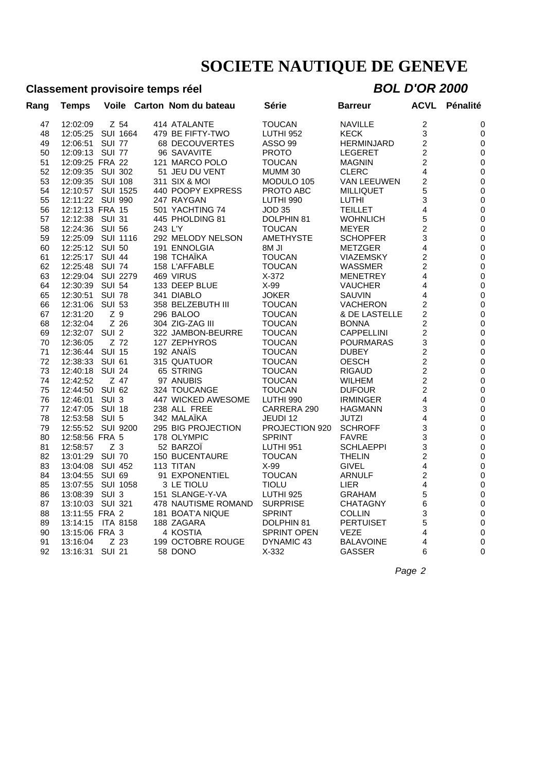### **Classement provisoire temps réel** *BOL D'OR 2000*

| Rang | <b>Temps</b>     | Voile            | Carton Nom du bateau  | Série                | Barreur           | ACVL                    | Pénalité         |
|------|------------------|------------------|-----------------------|----------------------|-------------------|-------------------------|------------------|
| 47   | 12:02:09         | Z 54             | 414 ATALANTE          | TOUCAN               | <b>NAVILLE</b>    | 2                       | 0                |
| 48   | 12:05:25         | <b>SUI 1664</b>  | 479 BE FIFTY-TWO      | <b>LUTHI 952</b>     | <b>KECK</b>       | 3                       | 0                |
| 49   | 12:06:51         | <b>SUI 77</b>    | 68 DECOUVERTES        | <b>ASSO 99</b>       | <b>HERMINJARD</b> | $\overline{c}$          | 0                |
| 50   | 12:09:13         | <b>SUI 77</b>    | 96 SAVAVITE           | <b>PROTO</b>         | <b>LEGERET</b>    | 2                       | $\mathbf 0$      |
| 51   | 12:09:25 FRA 22  |                  | 121 MARCO POLO        | <b>TOUCAN</b>        | <b>MAGNIN</b>     | 2                       | $\mathbf 0$      |
| 52   | 12:09:35         | SUI 302          | 51 JEU DU VENT        | MUMM 30              | <b>CLERC</b>      | 4                       | 0                |
| 53   | 12:09:35         | <b>SUI 108</b>   | 311 SIX & MOI         | MODULO 105           | VAN LEEUWEN       | 2                       | 0                |
| 54   | 12:10:57         | <b>SUI 1525</b>  | 440 POOPY EXPRESS     | PROTO ABC            | <b>MILLIQUET</b>  | 5                       | 0                |
| 55   | 12:11:22 SUI 990 |                  | 247 RAYGAN            | LUTHI 990            | <b>LUTHI</b>      | 3                       | 0                |
| 56   | 12:12:13 FRA 15  |                  | 501 YACHTING 74       | <b>JOD 35</b>        | <b>TEILLET</b>    | 4                       | $\mathbf 0$      |
| 57   | 12:12:38 SUI 31  |                  | 445 PHOLDING 81       | DOLPHIN 81           | WOHNLICH          | 5                       | 0                |
| 58   | 12:24:36         | <b>SUI 56</b>    | 243 L'Y               | <b>TOUCAN</b>        | MEYER             | $\overline{c}$          | 0                |
| 59   | 12:25:09         | SUI 1116         | 292 MELODY NELSON     | <b>AMETHYSTE</b>     | <b>SCHOPFER</b>   | 3                       | 0                |
| 60   | 12:25:12 SUI 50  |                  | 191 ENNOLGIA          | 8M JI                | METZGER           | 4                       | $\mathbf 0$      |
| 61   | 12:25:17         | <b>SUI 44</b>    | 198 TCHAÏKA           | <b>TOUCAN</b>        | <b>VIAZEMSKY</b>  | 2                       | $\boldsymbol{0}$ |
| 62   | 12:25:48         | <b>SUI 74</b>    | 158 L'AFFABLE         | <b>TOUCAN</b>        | WASSMER           | 2                       | 0                |
| 63   | 12:29:04         | <b>SUI 2279</b>  | 469 VIRUS             | X-372                | <b>MENETREY</b>   | 4                       | 0                |
| 64   | 12:30:39         | <b>SUI 54</b>    | 133 DEEP BLUE         | $X-99$               | <b>VAUCHER</b>    | 4                       | 0                |
| 65   | 12:30:51         | <b>SUI 78</b>    | 341 DIABLO            | JOKER                | SAUVIN            | 4                       | 0                |
|      |                  |                  |                       |                      |                   |                         |                  |
| 66   | 12:31:06         | <b>SUI 53</b>    | 358 BELZEBUTH III     | <b>TOUCAN</b>        | <b>VACHERON</b>   | 2                       | 0                |
| 67   | 12:31:20         | Z <sub>9</sub>   | 296 BALOO             | <b>TOUCAN</b>        | & DE LASTELLE     | $\overline{2}$          | $\boldsymbol{0}$ |
| 68   | 12:32:04         | Z 26             | 304 ZIG-ZAG III       | <b>TOUCAN</b>        | <b>BONNA</b>      | $\overline{c}$          | 0                |
| 69   | 12:32:07         | SUI <sub>2</sub> | 322 JAMBON-BEURRE     | <b>TOUCAN</b>        | <b>CAPPELLINI</b> | $\overline{c}$          | 0                |
| 70   | 12:36:05         | Z 72             | 127 ZEPHYROS          | <b>TOUCAN</b>        | <b>POURMARAS</b>  | 3                       | 0                |
| 71   | 12:36:44         | <b>SUI 15</b>    | 192 ANAÏS             | <b>TOUCAN</b>        | <b>DUBEY</b>      | $\overline{c}$          | 0                |
| 72   | 12:38:33         | <b>SUI 61</b>    | 315 QUATUOR           | <b>TOUCAN</b>        | <b>OESCH</b>      | $\overline{c}$          | 0                |
| 73   | 12:40:18         | <b>SUI 24</b>    | 65 STRING             | <b>TOUCAN</b>        | <b>RIGAUD</b>     | $\overline{\mathbf{c}}$ | 0                |
| 74   | 12:42:52         | Z 47             | 97 ANUBIS             | <b>TOUCAN</b>        | <b>WILHEM</b>     | $\overline{c}$          | $\pmb{0}$        |
| 75   | 12:44:50         | <b>SUI 62</b>    | 324 TOUCANGE          | <b>TOUCAN</b>        | <b>DUFOUR</b>     | $\overline{c}$          | 0                |
| 76   | 12:46:01         | SUI <sub>3</sub> | 447 WICKED AWESOME    | LUTHI 990            | <b>IRMINGER</b>   | 4                       | $\pmb{0}$        |
| 77   | 12:47:05         | <b>SUI 18</b>    | 238 ALL FREE          | CARRERA 290          | HAGMANN           | 3                       | $\pmb{0}$        |
| 78   | 12:53:58         | SUI 5            | 342 MALAIKA           | JEUDI 12             | JUTZI             | 4                       | $\boldsymbol{0}$ |
| 79   | 12:55:52         | SUI 9200         | 295 BIG PROJECTION    | PROJECTION 920       | <b>SCHROFF</b>    | 3                       | 0                |
| 80   | 12:58:56 FRA 5   |                  | 178 OLYMPIC           | <b>SPRINT</b>        | <b>FAVRE</b>      | 3                       | 0                |
| 81   | 12:58:57         | Z <sub>3</sub>   | 52 BARZOÏ             | LUTHI <sub>951</sub> | <b>SCHLAEPPI</b>  | 3                       | 0                |
| 82   | 13:01:29         | <b>SUI 70</b>    | <b>150 BUCENTAURE</b> | <b>TOUCAN</b>        | <b>THELIN</b>     | $\overline{c}$          | 0                |
| 83   | 13:04:08         | <b>SUI 452</b>   | 113 TITAN             | $X-99$               | GIVEL             | 4                       | $\mathbf 0$      |
| 84   | 13:04:55         | <b>SUI 69</b>    | 91 EXPONENTIEL        | <b>TOUCAN</b>        | <b>ARNULF</b>     | 2                       | 0                |
| 85   | 13:07:55         | SUI 1058         | 3 LE TIOLU            | <b>TIOLU</b>         | LIER              | 4                       | 0                |
| 86   | 13:08:39         | SUI <sub>3</sub> | 151 SLANGE-Y-VA       | LUTHI <sub>925</sub> | <b>GRAHAM</b>     | 5                       | 0                |
| 87   | 13:10:03         | SUI 321          | 478 NAUTISME ROMAND   | <b>SURPRISE</b>      | <b>CHATAGNY</b>   | 6                       | 0                |
| 88   | 13:11:55 FRA 2   |                  | 181 BOAT'A NIQUE      | <b>SPRINT</b>        | <b>COLLIN</b>     | 3                       | $\mathbf 0$      |
| 89   | 13:14:15         | <b>ITA 8158</b>  | 188 ZAGARA            | DOLPHIN 81           | <b>PERTUISET</b>  | 5                       | 0                |
| 90   | 13:15:06 FRA 3   |                  | 4 KOSTIA              | <b>SPRINT OPEN</b>   | VEZE              | 4                       | 0                |
| 91   | 13:16:04         | Z 23             | 199 OCTOBRE ROUGE     | DYNAMIC 43           | <b>BALAVOINE</b>  | 4                       | 0                |
| 92   | 13:16:31         | <b>SUI 21</b>    | 58 DONO               | $X-332$              | <b>GASSER</b>     | 6                       | $\mathbf{0}$     |
|      |                  |                  |                       |                      |                   |                         |                  |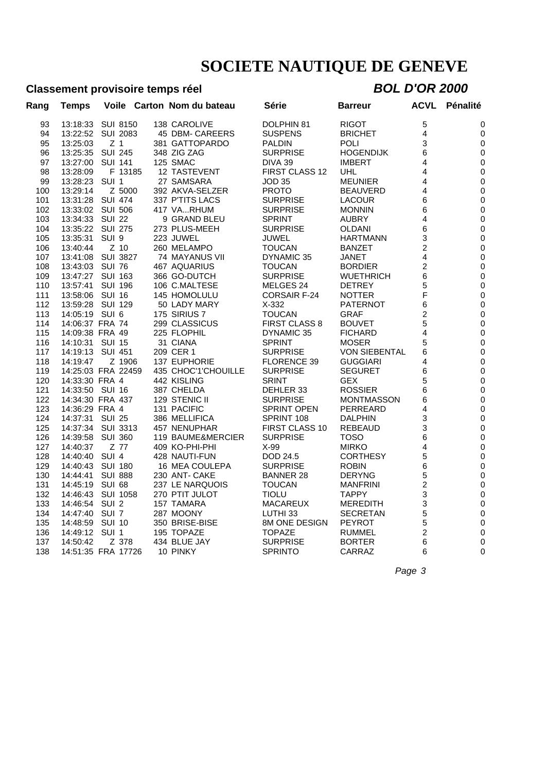### **Classement provisoire temps réel** *BOL D'OR 2000*

| <b>Temps</b> |                  |                                  |                                                                                                                                                                                                                                                                                                                                                                                                                                                                                                                                                                                                                                        | Série                                                                                                                                                                                                                                                                                                                                                                                                                                                                                                                                                                                                                                                                                                                                                                                              | Barreur                                                                         | <b>ACVL</b>    | Pénalité                |
|--------------|------------------|----------------------------------|----------------------------------------------------------------------------------------------------------------------------------------------------------------------------------------------------------------------------------------------------------------------------------------------------------------------------------------------------------------------------------------------------------------------------------------------------------------------------------------------------------------------------------------------------------------------------------------------------------------------------------------|----------------------------------------------------------------------------------------------------------------------------------------------------------------------------------------------------------------------------------------------------------------------------------------------------------------------------------------------------------------------------------------------------------------------------------------------------------------------------------------------------------------------------------------------------------------------------------------------------------------------------------------------------------------------------------------------------------------------------------------------------------------------------------------------------|---------------------------------------------------------------------------------|----------------|-------------------------|
| 13:18:33     |                  |                                  |                                                                                                                                                                                                                                                                                                                                                                                                                                                                                                                                                                                                                                        | DOLPHIN 81                                                                                                                                                                                                                                                                                                                                                                                                                                                                                                                                                                                                                                                                                                                                                                                         | <b>RIGOT</b>                                                                    | 5              | 0                       |
| 13:22:52     |                  |                                  |                                                                                                                                                                                                                                                                                                                                                                                                                                                                                                                                                                                                                                        | <b>SUSPENS</b>                                                                                                                                                                                                                                                                                                                                                                                                                                                                                                                                                                                                                                                                                                                                                                                     | <b>BRICHET</b>                                                                  | 4              | 0                       |
| 13:25:03     | Z <sub>1</sub>   |                                  |                                                                                                                                                                                                                                                                                                                                                                                                                                                                                                                                                                                                                                        | <b>PALDIN</b>                                                                                                                                                                                                                                                                                                                                                                                                                                                                                                                                                                                                                                                                                                                                                                                      | <b>POLI</b>                                                                     | 3              | 0                       |
| 13:25:35     |                  |                                  |                                                                                                                                                                                                                                                                                                                                                                                                                                                                                                                                                                                                                                        | <b>SURPRISE</b>                                                                                                                                                                                                                                                                                                                                                                                                                                                                                                                                                                                                                                                                                                                                                                                    | <b>HOGENDIJK</b>                                                                | 6              | $\mathbf 0$             |
| 13:27:00     |                  |                                  |                                                                                                                                                                                                                                                                                                                                                                                                                                                                                                                                                                                                                                        | DIVA 39                                                                                                                                                                                                                                                                                                                                                                                                                                                                                                                                                                                                                                                                                                                                                                                            | <b>IMBERT</b>                                                                   | 4              | 0                       |
| 13:28:09     |                  |                                  |                                                                                                                                                                                                                                                                                                                                                                                                                                                                                                                                                                                                                                        |                                                                                                                                                                                                                                                                                                                                                                                                                                                                                                                                                                                                                                                                                                                                                                                                    | UHL                                                                             | 4              | $\mathbf 0$             |
| 13:28:23     | SUI <sub>1</sub> |                                  |                                                                                                                                                                                                                                                                                                                                                                                                                                                                                                                                                                                                                                        | <b>JOD 35</b>                                                                                                                                                                                                                                                                                                                                                                                                                                                                                                                                                                                                                                                                                                                                                                                      | <b>MEUNIER</b>                                                                  | 4              | 0                       |
| 13:29:14     |                  |                                  |                                                                                                                                                                                                                                                                                                                                                                                                                                                                                                                                                                                                                                        | <b>PROTO</b>                                                                                                                                                                                                                                                                                                                                                                                                                                                                                                                                                                                                                                                                                                                                                                                       | <b>BEAUVERD</b>                                                                 | 4              | $\mathbf 0$             |
| 13:31:28     |                  |                                  |                                                                                                                                                                                                                                                                                                                                                                                                                                                                                                                                                                                                                                        | <b>SURPRISE</b>                                                                                                                                                                                                                                                                                                                                                                                                                                                                                                                                                                                                                                                                                                                                                                                    | <b>LACOUR</b>                                                                   | 6              | 0                       |
|              |                  |                                  |                                                                                                                                                                                                                                                                                                                                                                                                                                                                                                                                                                                                                                        | <b>SURPRISE</b>                                                                                                                                                                                                                                                                                                                                                                                                                                                                                                                                                                                                                                                                                                                                                                                    | <b>MONNIN</b>                                                                   | 6              | $\boldsymbol{0}$        |
| 13:34:33     |                  |                                  |                                                                                                                                                                                                                                                                                                                                                                                                                                                                                                                                                                                                                                        | <b>SPRINT</b>                                                                                                                                                                                                                                                                                                                                                                                                                                                                                                                                                                                                                                                                                                                                                                                      | AUBRY                                                                           | 4              | $\mathbf 0$             |
| 13:35:22     |                  |                                  |                                                                                                                                                                                                                                                                                                                                                                                                                                                                                                                                                                                                                                        | <b>SURPRISE</b>                                                                                                                                                                                                                                                                                                                                                                                                                                                                                                                                                                                                                                                                                                                                                                                    | OLDANI                                                                          | 6              | 0                       |
| 13:35:31     | SUI <sub>9</sub> |                                  |                                                                                                                                                                                                                                                                                                                                                                                                                                                                                                                                                                                                                                        | <b>JUWEL</b>                                                                                                                                                                                                                                                                                                                                                                                                                                                                                                                                                                                                                                                                                                                                                                                       | <b>HARTMANN</b>                                                                 | 3              | $\mathbf 0$             |
| 13:40:44     |                  |                                  |                                                                                                                                                                                                                                                                                                                                                                                                                                                                                                                                                                                                                                        | <b>TOUCAN</b>                                                                                                                                                                                                                                                                                                                                                                                                                                                                                                                                                                                                                                                                                                                                                                                      | <b>BANZET</b>                                                                   | $\overline{c}$ | 0                       |
| 13:41:08     |                  |                                  |                                                                                                                                                                                                                                                                                                                                                                                                                                                                                                                                                                                                                                        | DYNAMIC 35                                                                                                                                                                                                                                                                                                                                                                                                                                                                                                                                                                                                                                                                                                                                                                                         | <b>JANET</b>                                                                    | 4              | $\mathbf 0$             |
| 13:43:03     |                  |                                  |                                                                                                                                                                                                                                                                                                                                                                                                                                                                                                                                                                                                                                        | <b>TOUCAN</b>                                                                                                                                                                                                                                                                                                                                                                                                                                                                                                                                                                                                                                                                                                                                                                                      | <b>BORDIER</b>                                                                  | 2              | $\mathbf 0$             |
| 13:47:27     |                  |                                  |                                                                                                                                                                                                                                                                                                                                                                                                                                                                                                                                                                                                                                        | <b>SURPRISE</b>                                                                                                                                                                                                                                                                                                                                                                                                                                                                                                                                                                                                                                                                                                                                                                                    | <b>WUETHRICH</b>                                                                | 6              | $\mathbf 0$             |
| 13:57:41     |                  |                                  |                                                                                                                                                                                                                                                                                                                                                                                                                                                                                                                                                                                                                                        | MELGES 24                                                                                                                                                                                                                                                                                                                                                                                                                                                                                                                                                                                                                                                                                                                                                                                          | <b>DETREY</b>                                                                   | 5              | 0                       |
| 13:58:06     |                  |                                  |                                                                                                                                                                                                                                                                                                                                                                                                                                                                                                                                                                                                                                        | <b>CORSAIR F-24</b>                                                                                                                                                                                                                                                                                                                                                                                                                                                                                                                                                                                                                                                                                                                                                                                | <b>NOTTER</b>                                                                   | F              | $\mathbf 0$             |
| 13:59:28     |                  |                                  |                                                                                                                                                                                                                                                                                                                                                                                                                                                                                                                                                                                                                                        | $X-332$                                                                                                                                                                                                                                                                                                                                                                                                                                                                                                                                                                                                                                                                                                                                                                                            | <b>PATERNOT</b>                                                                 | 6              | $\pmb{0}$               |
| 14:05:19     | SUI 6            |                                  |                                                                                                                                                                                                                                                                                                                                                                                                                                                                                                                                                                                                                                        | <b>TOUCAN</b>                                                                                                                                                                                                                                                                                                                                                                                                                                                                                                                                                                                                                                                                                                                                                                                      | <b>GRAF</b>                                                                     | 2              | 0                       |
|              |                  |                                  |                                                                                                                                                                                                                                                                                                                                                                                                                                                                                                                                                                                                                                        | <b>FIRST CLASS 8</b>                                                                                                                                                                                                                                                                                                                                                                                                                                                                                                                                                                                                                                                                                                                                                                               | <b>BOUVET</b>                                                                   | 5              | $\mathbf 0$             |
|              |                  |                                  |                                                                                                                                                                                                                                                                                                                                                                                                                                                                                                                                                                                                                                        | DYNAMIC 35                                                                                                                                                                                                                                                                                                                                                                                                                                                                                                                                                                                                                                                                                                                                                                                         | <b>FICHARD</b>                                                                  | 4              | 0                       |
| 14:10:31     |                  |                                  |                                                                                                                                                                                                                                                                                                                                                                                                                                                                                                                                                                                                                                        | <b>SPRINT</b>                                                                                                                                                                                                                                                                                                                                                                                                                                                                                                                                                                                                                                                                                                                                                                                      | <b>MOSER</b>                                                                    | 5              | 0                       |
| 14:19:13     |                  |                                  |                                                                                                                                                                                                                                                                                                                                                                                                                                                                                                                                                                                                                                        | <b>SURPRISE</b>                                                                                                                                                                                                                                                                                                                                                                                                                                                                                                                                                                                                                                                                                                                                                                                    | <b>VON SIEBENTAL</b>                                                            | 6              | 0                       |
| 14:19:47     |                  |                                  |                                                                                                                                                                                                                                                                                                                                                                                                                                                                                                                                                                                                                                        | <b>FLORENCE 39</b>                                                                                                                                                                                                                                                                                                                                                                                                                                                                                                                                                                                                                                                                                                                                                                                 | <b>GUGGIARI</b>                                                                 | 4              | $\mathbf 0$             |
|              |                  |                                  |                                                                                                                                                                                                                                                                                                                                                                                                                                                                                                                                                                                                                                        | <b>SURPRISE</b>                                                                                                                                                                                                                                                                                                                                                                                                                                                                                                                                                                                                                                                                                                                                                                                    | <b>SEGURET</b>                                                                  | 6              | 0                       |
|              |                  |                                  |                                                                                                                                                                                                                                                                                                                                                                                                                                                                                                                                                                                                                                        | <b>SRINT</b>                                                                                                                                                                                                                                                                                                                                                                                                                                                                                                                                                                                                                                                                                                                                                                                       | <b>GEX</b>                                                                      | 5              | $\mathbf 0$             |
|              |                  |                                  |                                                                                                                                                                                                                                                                                                                                                                                                                                                                                                                                                                                                                                        |                                                                                                                                                                                                                                                                                                                                                                                                                                                                                                                                                                                                                                                                                                                                                                                                    |                                                                                 | 6              | 0                       |
|              |                  |                                  |                                                                                                                                                                                                                                                                                                                                                                                                                                                                                                                                                                                                                                        | <b>SURPRISE</b>                                                                                                                                                                                                                                                                                                                                                                                                                                                                                                                                                                                                                                                                                                                                                                                    | <b>MONTMASSON</b>                                                               | 6              | 0                       |
|              |                  |                                  |                                                                                                                                                                                                                                                                                                                                                                                                                                                                                                                                                                                                                                        |                                                                                                                                                                                                                                                                                                                                                                                                                                                                                                                                                                                                                                                                                                                                                                                                    | PERREARD                                                                        | 4              | $\mathbf 0$             |
| 14:37:31     |                  |                                  |                                                                                                                                                                                                                                                                                                                                                                                                                                                                                                                                                                                                                                        | SPRINT 108                                                                                                                                                                                                                                                                                                                                                                                                                                                                                                                                                                                                                                                                                                                                                                                         | <b>DALPHIN</b>                                                                  | 3              | 0                       |
| 14:37:34     |                  |                                  |                                                                                                                                                                                                                                                                                                                                                                                                                                                                                                                                                                                                                                        |                                                                                                                                                                                                                                                                                                                                                                                                                                                                                                                                                                                                                                                                                                                                                                                                    | <b>REBEAUD</b>                                                                  | 3              | $\mathbf 0$             |
| 14:39:58     |                  |                                  |                                                                                                                                                                                                                                                                                                                                                                                                                                                                                                                                                                                                                                        | <b>SURPRISE</b>                                                                                                                                                                                                                                                                                                                                                                                                                                                                                                                                                                                                                                                                                                                                                                                    | TOSO                                                                            | 6              | 0                       |
| 14:40:37     |                  |                                  |                                                                                                                                                                                                                                                                                                                                                                                                                                                                                                                                                                                                                                        | $X-99$                                                                                                                                                                                                                                                                                                                                                                                                                                                                                                                                                                                                                                                                                                                                                                                             | <b>MIRKO</b>                                                                    | 4              | 0                       |
| 14:40:40     | SUI <sub>4</sub> |                                  |                                                                                                                                                                                                                                                                                                                                                                                                                                                                                                                                                                                                                                        | DOD 24.5                                                                                                                                                                                                                                                                                                                                                                                                                                                                                                                                                                                                                                                                                                                                                                                           | <b>CORTHESY</b>                                                                 | 5              | 0                       |
| 14:40:43     |                  |                                  |                                                                                                                                                                                                                                                                                                                                                                                                                                                                                                                                                                                                                                        |                                                                                                                                                                                                                                                                                                                                                                                                                                                                                                                                                                                                                                                                                                                                                                                                    | <b>ROBIN</b>                                                                    | 6              | $\pmb{0}$               |
| 14:44:41     |                  |                                  |                                                                                                                                                                                                                                                                                                                                                                                                                                                                                                                                                                                                                                        | <b>BANNER 28</b>                                                                                                                                                                                                                                                                                                                                                                                                                                                                                                                                                                                                                                                                                                                                                                                   | <b>DERYNG</b>                                                                   | 5              | 0                       |
| 14:45:19     |                  |                                  |                                                                                                                                                                                                                                                                                                                                                                                                                                                                                                                                                                                                                                        | <b>TOUCAN</b>                                                                                                                                                                                                                                                                                                                                                                                                                                                                                                                                                                                                                                                                                                                                                                                      | <b>MANFRINI</b>                                                                 |                | $\mathbf 0$             |
| 14:46:43     |                  |                                  |                                                                                                                                                                                                                                                                                                                                                                                                                                                                                                                                                                                                                                        | <b>TIOLU</b>                                                                                                                                                                                                                                                                                                                                                                                                                                                                                                                                                                                                                                                                                                                                                                                       | <b>TAPPY</b>                                                                    | 3              | 0                       |
| 14:46:54     | SUI <sub>2</sub> |                                  |                                                                                                                                                                                                                                                                                                                                                                                                                                                                                                                                                                                                                                        | <b>MACAREUX</b>                                                                                                                                                                                                                                                                                                                                                                                                                                                                                                                                                                                                                                                                                                                                                                                    | <b>MEREDITH</b>                                                                 | 3              | $\mathbf 0$             |
| 14:47:40     | SUI <sub>7</sub> |                                  |                                                                                                                                                                                                                                                                                                                                                                                                                                                                                                                                                                                                                                        | LUTHI <sub>33</sub>                                                                                                                                                                                                                                                                                                                                                                                                                                                                                                                                                                                                                                                                                                                                                                                | <b>SECRETAN</b>                                                                 | 5              | 0                       |
| 14:48:59     |                  |                                  |                                                                                                                                                                                                                                                                                                                                                                                                                                                                                                                                                                                                                                        | <b>8M ONE DESIGN</b>                                                                                                                                                                                                                                                                                                                                                                                                                                                                                                                                                                                                                                                                                                                                                                               | <b>PEYROT</b>                                                                   | 5              | 0                       |
| 14:49:12     | SUI <sub>1</sub> |                                  |                                                                                                                                                                                                                                                                                                                                                                                                                                                                                                                                                                                                                                        | <b>TOPAZE</b>                                                                                                                                                                                                                                                                                                                                                                                                                                                                                                                                                                                                                                                                                                                                                                                      | RUMMEL                                                                          | 2              | 0                       |
| 14:50:42     |                  |                                  |                                                                                                                                                                                                                                                                                                                                                                                                                                                                                                                                                                                                                                        | <b>SURPRISE</b>                                                                                                                                                                                                                                                                                                                                                                                                                                                                                                                                                                                                                                                                                                                                                                                    | <b>BORTER</b>                                                                   | 6              | 0                       |
|              |                  |                                  |                                                                                                                                                                                                                                                                                                                                                                                                                                                                                                                                                                                                                                        | <b>SPRINTO</b>                                                                                                                                                                                                                                                                                                                                                                                                                                                                                                                                                                                                                                                                                                                                                                                     | CARRAZ                                                                          | 6              | $\mathbf 0$             |
|              | 13:33:02         | 14:33:30 FRA 4<br>14:36:29 FRA 4 | Voile<br><b>SUI 8150</b><br><b>SUI 2083</b><br><b>SUI 245</b><br><b>SUI 141</b><br>F 13185<br>Z 5000<br><b>SUI 474</b><br><b>SUI 506</b><br><b>SUI 22</b><br><b>SUI 275</b><br>$Z$ 10<br><b>SUI 3827</b><br><b>SUI 76</b><br><b>SUI 163</b><br><b>SUI 196</b><br><b>SUI 16</b><br><b>SUI 129</b><br>14:06:37 FRA 74<br>14:09:38 FRA 49<br><b>SUI 15</b><br><b>SUI 451</b><br>Z 1906<br>14:25:03 FRA 22459<br>14:33:50 SUI 16<br>14:34:30 FRA 437<br><b>SUI 25</b><br><b>SUI 3313</b><br><b>SUI 360</b><br>Z 77<br><b>SUI 180</b><br><b>SUI 888</b><br><b>SUI 68</b><br><b>SUI 1058</b><br><b>SUI 10</b><br>Z 378<br>14:51:35 FRA 17726 | Carton Nom du bateau<br>138 CAROLIVE<br>45 DBM- CAREERS<br>381 GATTOPARDO<br>348 ZIG ZAG<br>125 SMAC<br>12 TASTEVENT<br>27 SAMSARA<br>392 AKVA-SELZER<br>337 P'TITS LACS<br>417 VARHUM<br>9 GRAND BLEU<br>273 PLUS-MEEH<br>223 JUWEL<br>260 MELAMPO<br>74 MAYANUS VII<br>467 AQUARIUS<br>366 GO-DUTCH<br>106 C.MALTESE<br>145 HOMOLULU<br>50 LADY MARY<br>175 SIRIUS 7<br>299 CLASSICUS<br>225 FLOPHIL<br>31 CIANA<br>209 CER 1<br><b>137 EUPHORIE</b><br>435 CHOC'1'CHOUILLE<br>442 KISLING<br>387 CHELDA<br>129 STENIC II<br>131 PACIFIC<br>386 MELLIFICA<br>457 NENUPHAR<br>119 BAUME&MERCIER<br>409 KO-PHI-PHI<br>428 NAUTI-FUN<br>16 MEA COULEPA<br>230 ANT- CAKE<br>237 LE NARQUOIS<br>270 PTIT JULOT<br>157 TAMARA<br>287 MOONY<br>350 BRISE-BISE<br>195 TOPAZE<br>434 BLUE JAY<br>10 PINKY | FIRST CLASS 12<br>DEHLER 33<br>SPRINT OPEN<br>FIRST CLASS 10<br><b>SURPRISE</b> | <b>ROSSIER</b> | $\overline{\mathbf{c}}$ |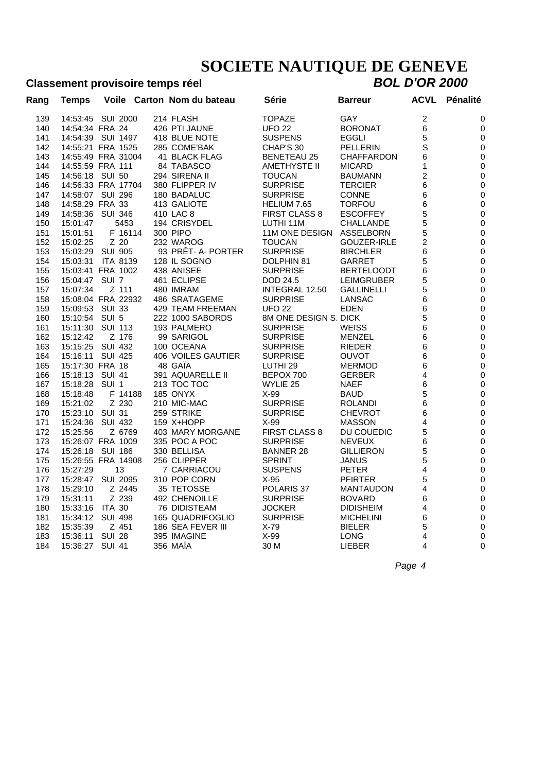#### **Classement provisoire temps réel**

| Rang | <b>Temps</b>       |                  | Voile Carton Nom du bateau | Série                 | <b>Barreur</b>    | ACVL           | Pénalité     |
|------|--------------------|------------------|----------------------------|-----------------------|-------------------|----------------|--------------|
| 139  | 14:53:45 SUI 2000  |                  | 214 FLASH                  | <b>TOPAZE</b>         | GAY               | $\overline{c}$ | 0            |
| 140  | 14:54:34 FRA 24    |                  | 426 PTI JAUNE              | <b>UFO 22</b>         | <b>BORONAT</b>    | 6              | 0            |
| 141  | 14:54:39 SUI 1497  |                  | 418 BLUE NOTE              | <b>SUSPENS</b>        | EGGLI             | 5              | 0            |
| 142  | 14:55:21 FRA 1525  |                  | 285 COME'BAK               | CHAP'S 30             | <b>PELLERIN</b>   | S              | 0            |
| 143  | 14:55:49 FRA 31004 |                  | 41 BLACK FLAG              | <b>BENETEAU 25</b>    | <b>CHAFFARDON</b> | 6              | 0            |
| 144  | 14:55:59 FRA 111   |                  | 84 TABASCO                 | AMETHYSTE II          | <b>MICARD</b>     | 1              | 0            |
| 145  | 14:56:18 SUI 50    |                  | 294 SIRENA II              | <b>TOUCAN</b>         | <b>BAUMANN</b>    | 2              | 0            |
| 146  | 14:56:33 FRA 17704 |                  | 380 FLIPPER IV             | <b>SURPRISE</b>       | <b>TERCIER</b>    | 6              | 0            |
| 147  | 14:58:07 SUI 296   |                  | 180 BADALUC                | <b>SURPRISE</b>       | <b>CONNE</b>      | 6              | 0            |
| 148  | 14:58:29 FRA 33    |                  | 413 GALIOTE                | HELIUM 7.65           | <b>TORFOU</b>     | 6              | 0            |
| 149  | 14:58:36           | <b>SUI 346</b>   | 410 LAC 8                  | <b>FIRST CLASS 8</b>  | <b>ESCOFFEY</b>   | 5              | 0            |
| 150  | 15:01:47           | 5453             | 194 CRISYDEL               | LUTHI 11M             | <b>CHALLANDE</b>  | 5              | 0            |
| 151  | 15:01:51           | F 16114          | 300 PIPO                   | 11M ONE DESIGN        | ASSELBORN         | 5              | 0            |
| 152  | 15:02:25           | Z 20             | 232 WAROG                  | <b>TOUCAN</b>         | GOUZER-IRLE       | 2              | 0            |
| 153  | 15:03:29 SUI 905   |                  | 93 PRÊT- A- PORTER         | <b>SURPRISE</b>       | <b>BIRCHLER</b>   | 6              | 0            |
| 154  | 15:03:31           | <b>ITA 8139</b>  | 128 IL SOGNO               | DOLPHIN 81            | <b>GARRET</b>     | 5              | 0            |
| 155  | 15:03:41 FRA 1002  |                  | 438 ANISEE                 | <b>SURPRISE</b>       | <b>BERTELOODT</b> | 6              | $\mathbf 0$  |
| 156  | 15:04:47 SUI 7     |                  | 461 ECLIPSE                | DOD 24.5              | LEIMGRUBER        | 5              | 0            |
| 157  | 15:07:34           | Z 111            | 480 IMRAM                  | INTEGRAL 12.50        | GALLINELLI        | 5              | $\mathbf 0$  |
| 158  | 15:08:04 FRA 22932 |                  | 486 SRATAGEME              | <b>SURPRISE</b>       | LANSAC            | 6              | $\mathbf 0$  |
| 159  | 15:09:53           | SUI 33           | 429 TEAM FREEMAN           | <b>UFO 22</b>         | <b>EDEN</b>       | 6              | 0            |
| 160  | 15:10:54 SUI 5     |                  | 222 1000 SABORDS           | 8M ONE DESIGN S. DICK |                   | 5              | $\mathbf 0$  |
| 161  | 15:11:30           | <b>SUI 113</b>   | 193 PALMERO                | <b>SURPRISE</b>       | WEISS             | 6              | 0            |
| 162  | 15:12:42           | Z 176            | 99 SARIGOL                 | <b>SURPRISE</b>       | MENZEL            | 6              | 0            |
| 163  | 15:15:25           | <b>SUI 432</b>   | 100 OCEANA                 | <b>SURPRISE</b>       | RIEDER            | 6              | 0            |
| 164  | 15:16:11           | <b>SUI 425</b>   | <b>406 VOILES GAUTIER</b>  | <b>SURPRISE</b>       | OUVOT             | 6              | 0            |
| 165  | 15:17:30 FRA 18    |                  | 48 GAÏA                    | LUTHI <sub>29</sub>   | <b>MERMOD</b>     | 6              | $\mathbf 0$  |
| 166  | 15:18:13 SUI 41    |                  | 391 AQUARELLE II           | BEPOX 700             | <b>GERBER</b>     | 4              | 0            |
| 167  | 15:18:28           | SUI <sub>1</sub> | 213 TOC TOC                | WYLIE 25              | NAEF              | 6              | $\mathbf 0$  |
| 168  | 15:18:48           | F 14188          | <b>185 ONYX</b>            | $X-99$                | <b>BAUD</b>       | 5              | 0            |
| 169  | 15:21:02           | Z 230            | 210 MIC-MAC                | <b>SURPRISE</b>       | <b>ROLANDI</b>    | 6              | $\mathbf 0$  |
| 170  | 15:23:10           | SUI 31           | 259 STRIKE                 | <b>SURPRISE</b>       | <b>CHEVROT</b>    | 6              | $\mathbf 0$  |
| 171  | 15:24:36           | <b>SUI 432</b>   | 159 X+HOPP                 | $X-99$                | <b>MASSON</b>     | 4              | $\mathbf 0$  |
| 172  | 15:25:56           | Z 6769           | 403 MARY MORGANE           | <b>FIRST CLASS 8</b>  | DU COUEDIC        | 5              | $\mathbf 0$  |
| 173  | 15:26:07 FRA 1009  |                  | 335 POC A POC              | <b>SURPRISE</b>       | <b>NEVEUX</b>     | 6              | $\mathbf 0$  |
| 174  | 15:26:18           | SUI 186          | 330 BELLISA                | <b>BANNER 28</b>      | <b>GILLIERON</b>  | 5              | $\mathbf 0$  |
| 175  | 15:26:55 FRA 14908 |                  | 256 CLIPPER                | <b>SPRINT</b>         | <b>JANUS</b>      | 5              | $\pmb{0}$    |
| 176  | 15:27:29           | 13               | 7 CARRIACOU                | <b>SUSPENS</b>        | <b>PETER</b>      | 4              | $\pmb{0}$    |
| 177  | 15:28:47           | <b>SUI 2095</b>  | 310 POP CORN               | $X-95$                | <b>PFIRTER</b>    | 5              | $\pmb{0}$    |
| 178  | 15:29:10           | Z 2445           | 35 TETOSSE                 | POLARIS <sub>37</sub> | <b>MANTAUDON</b>  | 4              | $\mathbf 0$  |
| 179  | 15:31:11           | Z 239            | <b>492 CHENOILLE</b>       | <b>SURPRISE</b>       | <b>BOVARD</b>     | 6              | $\mathbf 0$  |
| 180  | 15:33:16           | <b>ITA 30</b>    | 76 DIDISTEAM               | <b>JOCKER</b>         | <b>DIDISHEIM</b>  | 4              | $\mathbf 0$  |
| 181  | 15:34:12           | <b>SUI 498</b>   | 165 QUADRIFOGLIO           | <b>SURPRISE</b>       | <b>MICHELINI</b>  | 6              | $\mathbf 0$  |
| 182  | 15:35:39           | Z 451            | 186 SEA FEVER III          | $X-79$                | <b>BIELER</b>     | 5              | 0            |
| 183  | 15:36:11           | <b>SUI 28</b>    | 395 IMAGINE                | $X-99$                | LONG              | 4              | 0            |
| 184  | 15:36:27 SUI 41    |                  | 356 MAÏA                   | 30 M                  | <b>LIEBER</b>     | 4              | $\mathbf{0}$ |
|      |                    |                  |                            |                       |                   |                |              |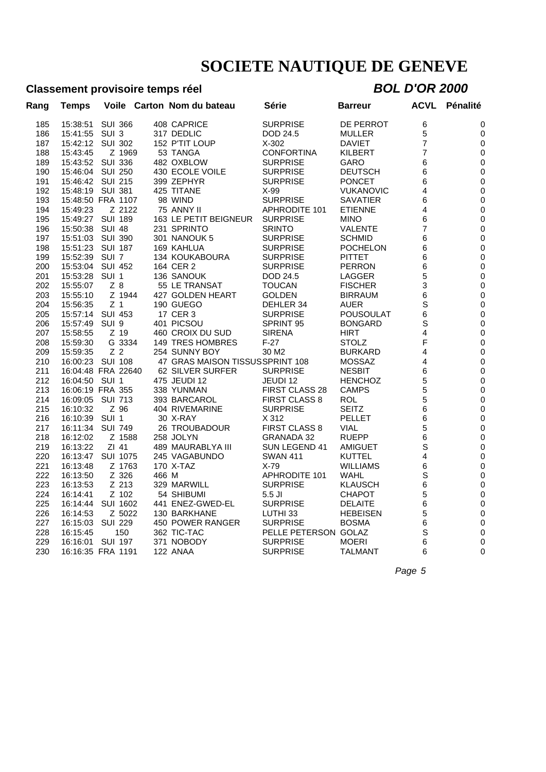### **Classement provisoire temps réel** *BOL D'OR 2000*

| Rang | Temps                        |                  |        | Voile Carton Nom du bateau      | Série                 | <b>Barreur</b>   | <b>ACVL</b> | <b>Pénalité</b> |
|------|------------------------------|------------------|--------|---------------------------------|-----------------------|------------------|-------------|-----------------|
| 185  | 15:38:51                     | <b>SUI 366</b>   |        | 408 CAPRICE                     | <b>SURPRISE</b>       | DE PERROT        | 6           | 0               |
| 186  | 15:41:55                     | SUI <sub>3</sub> |        | 317 DEDLIC                      | DOD 24.5              | <b>MULLER</b>    | 5           | 0               |
| 187  | 15:42:12                     | <b>SUI 302</b>   |        | 152 P'TIT LOUP                  | $X-302$               | <b>DAVIET</b>    | 7           | 0               |
| 188  | 15:43:45                     |                  | Z 1969 | 53 TANGA                        | <b>CONFORTINA</b>     | <b>KILBERT</b>   | 7           | 0               |
| 189  | 15:43:52                     | <b>SUI 336</b>   |        | 482 OXBLOW                      | <b>SURPRISE</b>       | <b>GARO</b>      | 6           | 0               |
| 190  | 15:46:04                     | <b>SUI 250</b>   |        | 430 ECOLE VOILE                 | <b>SURPRISE</b>       | <b>DEUTSCH</b>   | 6           | 0               |
| 191  | 15:46:42                     | SUI 215          |        | 399 ZEPHYR                      | <b>SURPRISE</b>       | <b>PONCET</b>    | 6           | 0               |
| 192  | 15:48:19 SUI 381             |                  |        | 425 TITANE                      | $X-99$                | <b>VUKANOVIC</b> | 4           | 0               |
| 193  | 15:48:50 FRA 1107            |                  |        | 98 WIND                         | <b>SURPRISE</b>       | <b>SAVATIER</b>  | 6           | 0               |
| 194  | 15:49:23                     |                  | Z 2122 | 75 ANNY II                      | <b>APHRODITE 101</b>  | <b>ETIENNE</b>   | 4           | 0               |
| 195  | 15:49:27 SUI 189             |                  |        | 163 LE PETIT BEIGNEUR           | <b>SURPRISE</b>       | <b>MINO</b>      | 6           | $\mathbf 0$     |
| 196  | 15:50:38                     | <b>SUI 48</b>    |        | 231 SPRINTO                     | <b>SRINTO</b>         | <b>VALENTE</b>   | 7           | 0               |
| 197  | 15:51:03                     | <b>SUI 390</b>   |        | 301 NANOUK 5                    | <b>SURPRISE</b>       | <b>SCHMID</b>    | 6           | 0               |
| 198  | 15:51:23                     | <b>SUI 187</b>   |        | 169 KAHLUA                      | <b>SURPRISE</b>       | <b>POCHELON</b>  | 6           | 0               |
| 199  | 15:52:39                     | SUI <sub>7</sub> |        | 134 KOUKABOURA                  | <b>SURPRISE</b>       | <b>PITTET</b>    | 6           | 0               |
| 200  | 15:53:04                     | <b>SUI 452</b>   |        | 164 CER 2                       | <b>SURPRISE</b>       | <b>PERRON</b>    | 6           | 0               |
| 201  | 15:53:28                     | SUI 1            |        | 136 SANOUK                      | DOD 24.5              | LAGGER           | 5           | 0               |
| 202  | 15:55:07                     | $Z_8$            |        | 55 LE TRANSAT                   | <b>TOUCAN</b>         | <b>FISCHER</b>   | 3           | 0               |
| 203  | 15:55:10                     |                  | Z 1944 | 427 GOLDEN HEART                | <b>GOLDEN</b>         | <b>BIRRAUM</b>   | 6           | 0               |
| 204  | 15:56:35                     | Z <sub>1</sub>   |        | 190 GUEGO                       | DEHLER 34             | AUER             | S           | $\mathbf 0$     |
| 205  | 15:57:14                     | SUI 453          |        | 17 CER 3                        | <b>SURPRISE</b>       | <b>POUSOULAT</b> | 6           | $\mathbf 0$     |
| 206  | 15:57:49                     | SUI <sub>9</sub> |        | 401 PICSOU                      | SPRINT 95             | <b>BONGARD</b>   | S           | $\mathbf 0$     |
| 207  | 15:58:55                     | Z 19             |        | 460 CROIX DU SUD                | <b>SIRENA</b>         | <b>HIRT</b>      | 4           | $\mathbf 0$     |
| 208  | 15:59:30                     |                  | G 3334 | <b>149 TRES HOMBRES</b>         | $F-27$                | <b>STOLZ</b>     | F           | 0               |
|      |                              | Z <sub>2</sub>   |        | 254 SUNNY BOY                   |                       | <b>BURKARD</b>   | 4           |                 |
| 209  | 15:59:35<br>16:00:23 SUI 108 |                  |        | 47 GRAS MAISON TISSUSSPRINT 108 | 30 M <sub>2</sub>     |                  |             | 0               |
| 210  |                              |                  |        |                                 |                       | <b>MOSSAZ</b>    | 4           | 0               |
| 211  | 16:04:48 FRA 22640           |                  |        | 62 SILVER SURFER                | <b>SURPRISE</b>       | <b>NESBIT</b>    | 6           | 0               |
| 212  | 16:04:50                     | SUI 1            |        | 475 JEUDI 12                    | JEUDI 12              | <b>HENCHOZ</b>   | 5           | 0               |
| 213  | 16:06:19 FRA 355             |                  |        | 338 YUNMAN                      | <b>FIRST CLASS 28</b> | <b>CAMPS</b>     | 5           | 0               |
| 214  | 16:09:05                     | <b>SUI 713</b>   |        | 393 BARCAROL                    | <b>FIRST CLASS 8</b>  | <b>ROL</b>       | 5           | 0               |
| 215  | 16:10:32                     | Z 96             |        | 404 RIVEMARINE                  | <b>SURPRISE</b>       | <b>SEITZ</b>     | 6           | $\pmb{0}$       |
| 216  | 16:10:39                     | SUI 1            |        | 30 X-RAY                        | X 312                 | <b>PELLET</b>    | 6           | 0               |
| 217  | 16:11:34                     | SUI 749          |        | <b>26 TROUBADOUR</b>            | <b>FIRST CLASS 8</b>  | <b>VIAL</b>      | 5           | 0               |
| 218  | 16:12:02                     |                  | Z 1588 | 258 JOLYN                       | <b>GRANADA 32</b>     | <b>RUEPP</b>     | 6           | 0               |
| 219  | 16:13:22                     | ZI 41            |        | 489 MAURABLYA III               | SUN LEGEND 41         | <b>AMIGUET</b>   | S           | 0               |
| 220  | 16:13:47 SUI 1075            |                  |        | 245 VAGABUNDO                   | <b>SWAN 411</b>       | <b>KUTTEL</b>    | 4           | 0               |
| 221  | 16:13:48                     |                  | Z 1763 | 170 X-TAZ                       | $X-79$                | <b>WILLIAMS</b>  | 6           | 0               |
| 222  | 16:13:50                     | Z 326            | 466 M  |                                 | <b>APHRODITE 101</b>  | WAHL             | S           | 0               |
| 223  | 16:13:53                     | Z 213            |        | 329 MARWILL                     | <b>SURPRISE</b>       | <b>KLAUSCH</b>   | 6           | 0               |
| 224  | 16:14:41                     | Z 102            |        | 54 SHIBUMI                      | $5.5$ JI              | <b>CHAPOT</b>    | 5           | 0               |
| 225  | 16:14:44                     | SUI 1602         |        | 441 ENEZ-GWED-EL                | <b>SURPRISE</b>       | <b>DELAITE</b>   | 6           | 0               |
| 226  | 16:14:53                     |                  | Z 5022 | 130 BARKHANE                    | LUTHI 33              | <b>HEBEISEN</b>  | 5           | 0               |
| 227  | 16:15:03                     | <b>SUI 229</b>   |        | 450 POWER RANGER                | <b>SURPRISE</b>       | <b>BOSMA</b>     | 6           | 0               |
| 228  | 16:15:45                     |                  | 150    | 362 TIC-TAC                     | PELLE PETERSON GOLAZ  |                  | S           | 0               |
| 229  | 16:16:01                     | SUI 197          |        | 371 NOBODY                      | <b>SURPRISE</b>       | <b>MOERI</b>     | 6           | 0               |
| 230  | 16:16:35 FRA 1191            |                  |        | 122 ANAA                        | <b>SURPRISE</b>       | <b>TALMANT</b>   | 6           | $\Omega$        |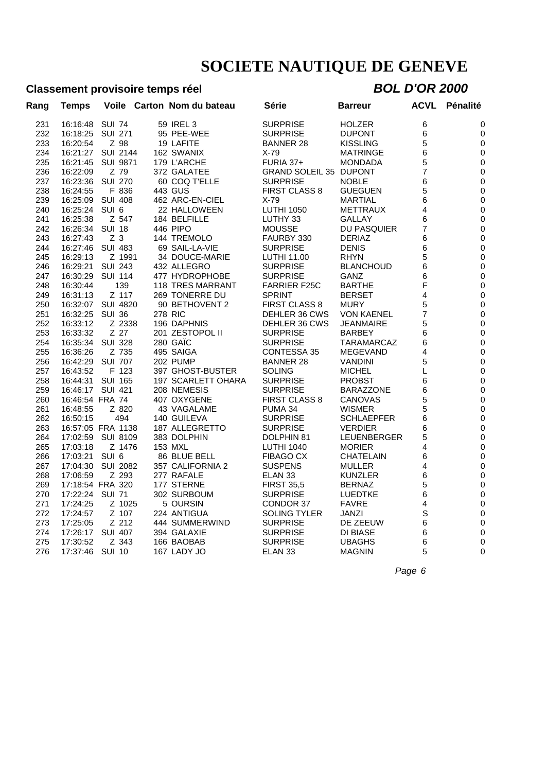### **Classement provisoire temps réel** *BOL D'OR 2000*

| Rang | <b>Temps</b>      | Voile            | Carton Nom du bateau          | Série                         | <b>Barreur</b>     | <b>ACVL</b> | <b>Pénalité</b> |
|------|-------------------|------------------|-------------------------------|-------------------------------|--------------------|-------------|-----------------|
| 231  | 16:16:48          | <b>SUI 74</b>    | 59 IREL 3                     | <b>SURPRISE</b>               | <b>HOLZER</b>      | 6           | 0               |
| 232  | 16:18:25          | <b>SUI 271</b>   | 95 PEE-WEE                    | <b>SURPRISE</b>               | <b>DUPONT</b>      | 6           | 0               |
| 233  | 16:20:54          | Z 98             | 19 LAFITE                     | <b>BANNER 28</b>              | <b>KISSLING</b>    | 5           | 0               |
| 234  | 16:21:27          | <b>SUI 2144</b>  | 162 SWANIX                    | $X-79$                        | MATRINGE           | 6           | 0               |
| 235  | 16:21:45          | <b>SUI 9871</b>  | 179 L'ARCHE                   | <b>FURIA 37+</b>              | <b>MONDADA</b>     | 5           | 0               |
| 236  | 16:22:09          | Z 79             | 372 GALATEE                   | <b>GRAND SOLEIL 35 DUPONT</b> |                    | 7           | 0               |
| 237  | 16:23:36          | <b>SUI 270</b>   | 60 COQ T'ELLE                 | <b>SURPRISE</b>               | <b>NOBLE</b>       | 6           | 0               |
| 238  | 16:24:55          | F 836            | 443 GUS                       | <b>FIRST CLASS 8</b>          | <b>GUEGUEN</b>     | 5           | 0               |
| 239  | 16:25:09          | <b>SUI 408</b>   | 462 ARC-EN-CIEL               | $X-79$                        | MARTIAL            | 6           | 0               |
| 240  | 16:25:24          | SUI <sub>6</sub> | 22 HALLOWEEN                  | <b>LUTHI 1050</b>             | METTRAUX           | 4           | 0               |
| 241  | 16:25:38          | Z 547            | 184 BELFILLE                  | LUTHY 33                      | GALLAY             | 6           | 0               |
| 242  | 16:26:34          | <b>SUI 18</b>    | 446 PIPO                      | <b>MOUSSE</b>                 | <b>DU PASQUIER</b> | 7           | 0               |
| 243  | 16:27:43          | Z <sub>3</sub>   | 144 TREMOLO                   | FAURBY 330                    | <b>DERIAZ</b>      | 6           | 0               |
| 244  | 16:27:46          | <b>SUI 483</b>   | 69 SAIL-LA-VIE                | <b>SURPRISE</b>               | <b>DENIS</b>       | 6           | $\mathbf 0$     |
| 245  | 16:29:13          | Z 1991           | 34 DOUCE-MARIE                | LUTHI 11.00                   | <b>RHYN</b>        | 5           | $\mathbf 0$     |
| 246  | 16:29:21          | <b>SUI 243</b>   | 432 ALLEGRO                   | <b>SURPRISE</b>               | <b>BLANCHOUD</b>   | 6           | $\mathbf 0$     |
| 247  | 16:30:29          | <b>SUI 114</b>   | 477 HYDROPHOBE                | <b>SURPRISE</b>               | GANZ               | 6           | $\mathbf 0$     |
| 248  | 16:30:44          | 139              | <b>118 TRES MARRANT</b>       | <b>FARRIER F25C</b>           | <b>BARTHE</b>      | F           | $\mathbf 0$     |
| 249  | 16:31:13          | Z 117            | 269 TONERRE DU                | <b>SPRINT</b>                 | <b>BERSET</b>      | 4           | 0               |
| 250  | 16:32:07          | <b>SUI 4820</b>  | 90 BETHOVENT 2                | <b>FIRST CLASS 8</b>          | <b>MURY</b>        | 5           | $\pmb{0}$       |
| 251  | 16:32:25          | <b>SUI 36</b>    | <b>278 RIC</b>                | DEHLER 36 CWS                 | <b>VON KAENEL</b>  | 7           | 0               |
| 252  | 16:33:12          | Z 2338           | 196 DAPHNIS                   | DEHLER 36 CWS                 | JEANMAIRE          | 5           | $\mathbf 0$     |
| 253  | 16:33:32          | Z 27             | 201 ZESTOPOL II               | <b>SURPRISE</b>               | <b>BARBEY</b>      | 6           | 0               |
| 254  | 16:35:34          | <b>SUI 328</b>   | 280 GAIC                      | <b>SURPRISE</b>               | TARAMARCAZ         | 6           | 0               |
| 255  | 16:36:26          | Z 735            | 495 SAIGA                     | <b>CONTESSA 35</b>            | <b>MEGEVAND</b>    | 4           | 0               |
| 256  | 16:42:29          | <b>SUI 707</b>   | <b>202 PUMP</b>               | <b>BANNER 28</b>              | <b>VANDINI</b>     | 5           | $\mathbf 0$     |
| 257  | 16:43:52          | F 123            | 397 GHOST-BUSTER              | <b>SOLING</b>                 | <b>MICHEL</b>      | L           | $\mathbf 0$     |
| 258  | 16:44:31          | <b>SUI 165</b>   | 197 SCARLETT OHARA            | <b>SURPRISE</b>               | <b>PROBST</b>      | 6           | $\mathbf 0$     |
| 259  | 16:46:17          | SUI 421          | 208 NEMESIS                   | <b>SURPRISE</b>               | <b>BARAZZONE</b>   | 6           | 0               |
| 260  | 16:46:54 FRA 74   |                  | 407 OXYGENE                   | <b>FIRST CLASS 8</b>          | CANOVAS            | 5           | $\mathbf 0$     |
| 261  | 16:48:55          | Z 820            | 43 VAGALAME                   | PUMA 34                       | <b>WISMER</b>      | 5           | $\mathbf 0$     |
| 262  | 16:50:15          | 494              | 140 GUILEVA                   | <b>SURPRISE</b>               | <b>SCHLAEPFER</b>  | 6           | 0               |
| 263  | 16:57:05 FRA 1138 |                  | 187 ALLEGRETTO                | <b>SURPRISE</b>               | <b>VERDIER</b>     | 6           | 0               |
| 264  | 17:02:59          | <b>SUI 8109</b>  | 383 DOLPHIN                   | DOLPHIN 81                    | <b>LEUENBERGER</b> | 5           | 0               |
| 265  | 17:03:18          | Z 1476           | 153 MXL                       | <b>LUTHI 1040</b>             | <b>MORIER</b>      | 4           | 0               |
| 266  | 17:03:21          | SUI <sub>6</sub> | 86 BLUE BELL                  | <b>FIBAGO CX</b>              | CHATELAIN          | 6           | 0               |
| 267  | 17:04:30          | <b>SUI 2082</b>  | 357 CALIFORNIA 2              | <b>SUSPENS</b>                | MULLER             | 4           | 0               |
| 268  | 17:06:59          | Z 293            | 277 RAFALE                    | ELAN <sub>33</sub>            | <b>KUNZLER</b>     | 6           | 0               |
| 269  | 17:18:54 FRA 320  |                  | 177 STERNE                    | <b>FIRST 35,5</b>             | <b>BERNAZ</b>      | 5           | $\mathbf 0$     |
| 270  | 17:22:24          | <b>SUI 71</b>    | 302 SURBOUM                   | <b>SURPRISE</b>               | LUEDTKE            | 6           | $\mathbf 0$     |
| 271  | 17:24:25          | Z 1025           | 5 OURSIN                      | CONDOR 37                     | <b>FAVRE</b>       | 4           | $\mathbf 0$     |
|      |                   | Z 107            |                               |                               |                    | S           |                 |
| 272  | 17:24:57          | Z 212            | 224 ANTIGUA<br>444 SUMMERWIND | <b>SOLING TYLER</b>           | JANZI              |             | 0               |
| 273  | 17:25:05          |                  |                               | <b>SURPRISE</b>               | DE ZEEUW           | 6           | 0               |
| 274  | 17:26:17          | <b>SUI 407</b>   | 394 GALAXIE                   | <b>SURPRISE</b>               | DI BIASE           | 6           | 0               |
| 275  | 17:30:52          | Z 343            | 166 BAOBAB                    | <b>SURPRISE</b>               | <b>UBAGHS</b>      | 6           | 0               |
| 276  | 17:37:46          | <b>SUI 10</b>    | 167 LADY JO                   | ELAN <sub>33</sub>            | <b>MAGNIN</b>      | 5           | $\mathbf 0$     |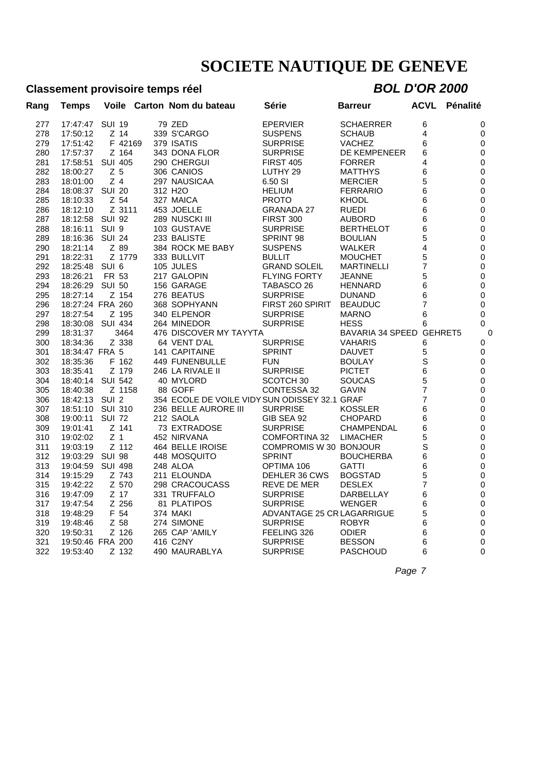### **Classement provisoire temps réel** *BOL D'OR 2000*

| Rang       | <b>Temps</b>                 |                  |         | Voile Carton Nom du bateau                    | Série                          | Barreur                       | <b>ACVL</b> | <b>Pénalité</b> |
|------------|------------------------------|------------------|---------|-----------------------------------------------|--------------------------------|-------------------------------|-------------|-----------------|
| 277        | 17:47:47                     | <b>SUI 19</b>    |         | 79 ZED                                        | <b>EPERVIER</b>                | <b>SCHAERRER</b>              | 6           | 0               |
| 278        | 17:50:12                     | Z 14             |         | 339 S'CARGO                                   | <b>SUSPENS</b>                 | <b>SCHAUB</b>                 | 4           | 0               |
| 279        | 17:51:42                     |                  | F 42169 | 379 ISATIS                                    | <b>SURPRISE</b>                | <b>VACHEZ</b>                 | 6           | 0               |
| 280        | 17:57:37                     |                  | Z 164   | 343 DONA FLOR                                 | <b>SURPRISE</b>                | DE KEMPENEER                  | 6           | 0               |
| 281        | 17:58:51                     | <b>SUI 405</b>   |         | 290 CHERGUI                                   | <b>FIRST 405</b>               | <b>FORRER</b>                 | 4           | 0               |
| 282        | 18:00:27                     | Z <sub>5</sub>   |         | 306 CANIOS                                    | LUTHY <sub>29</sub>            | <b>MATTHYS</b>                | 6           | $\mathbf 0$     |
| 283        | 18:01:00                     | $Z$ 4            |         | 297 NAUSICAA                                  | 6.50 SI                        | <b>MERCIER</b>                | 5           | 0               |
| 284        | 18:08:37                     | <b>SUI 20</b>    |         | 312 H <sub>2</sub> O                          | <b>HELIUM</b>                  | <b>FERRARIO</b>               | 6           | 0               |
| 285        | 18:10:33                     | Z 54             |         | 327 MAICA                                     | <b>PROTO</b>                   | <b>KHODL</b>                  | 6           | 0               |
| 286        | 18:12:10                     |                  | Z 3111  | 453 JOELLE                                    | <b>GRANADA 27</b>              | <b>RUEDI</b>                  | 6           | 0               |
| 287        | 18:12:58                     | <b>SUI 92</b>    |         | 289 NUSCKI III                                | FIRST 300                      | <b>AUBORD</b>                 | 6           | 0               |
| 288        | 18:16:11                     | SUI <sub>9</sub> |         | 103 GUSTAVE                                   | <b>SURPRISE</b>                | <b>BERTHELOT</b>              | 6           | 0               |
| 289        | 18:16:36                     | <b>SUI 24</b>    |         | 233 BALISTE                                   | <b>SPRINT 98</b>               | <b>BOULIAN</b>                | 5           | $\mathbf 0$     |
| 290        | 18:21:14                     | Z 89             |         | 384 ROCK ME BABY                              | <b>SUSPENS</b>                 | <b>WALKER</b>                 | 4           | 0               |
| 291        | 18:22:31                     |                  | Z 1779  | 333 BULLVIT                                   | <b>BULLIT</b>                  | <b>MOUCHET</b>                | 5           | $\pmb{0}$       |
| 292        | 18:25:48                     | SUI <sub>6</sub> |         | 105 JULES                                     | <b>GRAND SOLEIL</b>            | <b>MARTINELLI</b>             | 7           | 0               |
| 293        | 18:26:21                     | FR 53            |         | 217 GALOPIN                                   | <b>FLYING FORTY</b>            | <b>JEANNE</b>                 | 5           | $\pmb{0}$       |
| 294        | 18:26:29                     | <b>SUI 50</b>    |         | 156 GARAGE                                    | TABASCO 26                     | <b>HENNARD</b>                | 6           | 0               |
| 295        | 18:27:14                     |                  | Z 154   | 276 BEATUS                                    | <b>SURPRISE</b>                | <b>DUNAND</b>                 | 6           | $\mathbf 0$     |
| 296        | 18:27:24 FRA 260             |                  |         | 368 SOPHYANN                                  | FIRST 260 SPIRIT               | <b>BEAUDUC</b>                | 7           | 0               |
| 297        | 18:27:54                     |                  | Z 195   | 340 ELPENOR                                   | <b>SURPRISE</b>                | <b>MARNO</b>                  | 6           | $\Omega$        |
| 298        | 18:30:08                     | <b>SUI 434</b>   |         | 264 MINEDOR                                   | <b>SURPRISE</b>                | <b>HESS</b>                   | 6           | 0               |
| 299        | 18:31:37                     |                  | 3464    | 476 DISCOVER MY TAYYTA                        |                                | BAVARIA 34 SPEED GEHRET5      |             | C               |
| 300        | 18:34:36                     |                  | Z 338   | 64 VENT D'AL                                  | <b>SURPRISE</b>                | <b>VAHARIS</b>                | 6           | 0               |
| 301        | 18:34:47 FRA 5               |                  |         | 141 CAPITAINE                                 | <b>SPRINT</b>                  | <b>DAUVET</b>                 | 5           | 0               |
| 302        | 18:35:36                     |                  | F 162   | 449 FUNENBULLE                                | <b>FUN</b>                     | <b>BOULAY</b>                 | S           | 0               |
| 303        | 18:35:41                     |                  | Z 179   | 246 LA RIVALE II                              | <b>SURPRISE</b>                | <b>PICTET</b>                 | 6           | $\mathbf 0$     |
| 304        | 18:40:14                     | <b>SUI 542</b>   |         | 40 MYLORD                                     | SCOTCH <sub>30</sub>           | <b>SOUCAS</b>                 | 5           | 0               |
| 305        | 18:40:38                     |                  | Z 1158  | 88 GOFF                                       | CONTESSA 32                    | <b>GAVIN</b>                  | 7           | $\mathbf 0$     |
| 306        | 18:42:13                     | SUI <sub>2</sub> |         | 354 ECOLE DE VOILE VIDY SUN ODISSEY 32.1 GRAF |                                |                               | 7           | $\pmb{0}$       |
| 307        | 18:51:10                     | <b>SUI 310</b>   |         | 236 BELLE AURORE III                          | <b>SURPRISE</b>                | <b>KOSSLER</b>                | 6           | $\mathbf 0$     |
| 308        | 19:00:11                     | <b>SUI 72</b>    |         | 212 SAOLA                                     | GIB SEA 92                     | <b>CHOPARD</b>                | 6           | $\pmb{0}$       |
| 309        | 19:01:41                     |                  | Z 141   | 73 EXTRADOSE                                  | <b>SURPRISE</b>                | <b>CHAMPENDAL</b>             | 6           | $\mathsf 0$     |
| 310        | 19:02:02                     | Z <sub>1</sub>   |         | 452 NIRVANA                                   | <b>COMFORTINA 32</b>           | <b>LIMACHER</b>               | 5           | 0               |
| 311        | 19:03:19                     |                  | Z 112   | 464 BELLE IROISE                              | COMPROMIS W 30 BONJOUR         |                               | S           | 0               |
| 312        | 19:03:29                     | <b>SUI 98</b>    |         | 448 MOSQUITO                                  | <b>SPRINT</b>                  | <b>BOUCHERBA</b>              | 6           | $\pmb{0}$       |
| 313        | 19:04:59                     | <b>SUI 498</b>   |         | 248 ALOA                                      | OPTIMA 106                     | <b>GATTI</b>                  | 6           | 0               |
| 314        | 19:15:29                     |                  | Z 743   | 211 ELOUNDA                                   | DEHLER 36 CWS                  | <b>BOGSTAD</b>                | 5           | $\pmb{0}$       |
| 315        | 19:42:22                     |                  | Z 570   | 298 CRACOUCASS                                | REVE DE MER                    | <b>DESLEX</b>                 | 7           | 0               |
| 316        | 19:47:09                     |                  | Z 17    | 331 TRUFFALO                                  | <b>SURPRISE</b>                | DARBELLAY                     | 6           | 0               |
| 317        | 19:47:54                     |                  | Z 256   | 81 PLATIPOS                                   | <b>SURPRISE</b>                | <b>WENGER</b>                 | 6           | 0               |
| 318        | 19:48:29                     | F 54             |         | <b>374 MAKI</b>                               | ADVANTAGE 25 CR LAGARRIGUE     |                               | 5           | $\mathbf 0$     |
| 319        |                              | Z 58             |         | 274 SIMONE                                    | <b>SURPRISE</b>                | <b>ROBYR</b>                  | 6           | $\mathbf 0$     |
|            | 19:48:46                     |                  | Z 126   |                                               |                                |                               |             |                 |
| 320<br>321 | 19:50:31<br>19:50:46 FRA 200 |                  |         | 265 CAP 'AMILY<br>416 C2NY                    | FEELING 326<br><b>SURPRISE</b> | <b>ODIER</b><br><b>BESSON</b> | 6<br>6      | 0<br>0          |
|            |                              |                  |         |                                               |                                |                               | 6           | $\mathbf 0$     |
| 322        | 19:53:40                     |                  | Z 132   | 490 MAURABLYA                                 | <b>SURPRISE</b>                | <b>PASCHOUD</b>               |             |                 |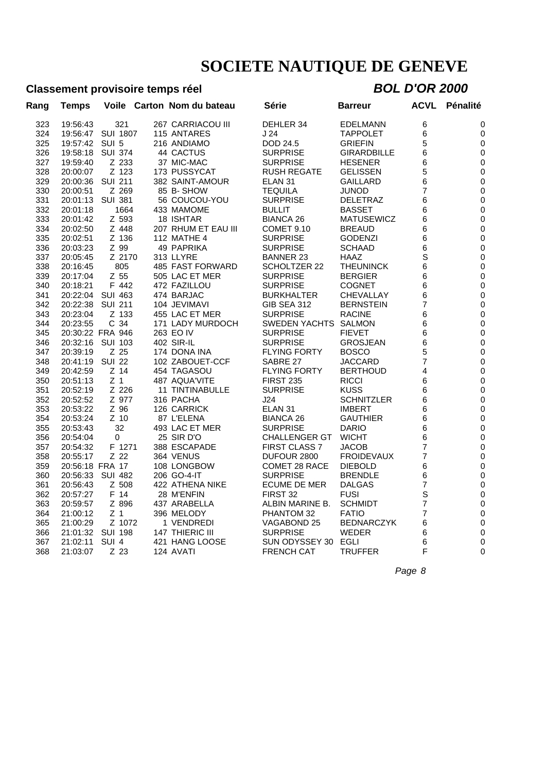### **Classement provisoire temps réel** *BOL D'OR 2000*

| Rang | <b>Temps</b>    | Voile            | Carton Nom du bateau   | Série                | <b>Barreur</b>     | ACVL           | Pénalité    |
|------|-----------------|------------------|------------------------|----------------------|--------------------|----------------|-------------|
| 323  | 19:56:43        | 321              | 267 CARRIACOU III      | DEHLER 34            | <b>EDELMANN</b>    | 6              | 0           |
| 324  | 19:56:47        | <b>SUI 1807</b>  | 115 ANTARES            | J 24                 | <b>TAPPOLET</b>    | 6              | 0           |
| 325  | 19:57:42        | SUI 5            | 216 ANDIAMO            | DOD 24.5             | <b>GRIEFIN</b>     | 5              | 0           |
| 326  | 19:58:18        | <b>SUI 374</b>   | 44 CACTUS              | <b>SURPRISE</b>      | <b>GIRARDBILLE</b> | 6              | 0           |
| 327  | 19:59:40        | Z 233            | 37 MIC-MAC             | <b>SURPRISE</b>      | <b>HESENER</b>     | 6              | 0           |
| 328  | 20:00:07        | Z 123            | 173 PUSSYCAT           | <b>RUSH REGATE</b>   | <b>GELISSEN</b>    | 5              | 0           |
| 329  | 20:00:36        | <b>SUI 211</b>   | 382 SAINT-AMOUR        | ELAN <sub>31</sub>   | <b>GAILLARD</b>    | 6              | 0           |
| 330  | 20:00:51        | Z 269            | 85 B-SHOW              | <b>TEQUILA</b>       | JUNOD              | 7              | 0           |
| 331  | 20:01:13        | <b>SUI 381</b>   | 56 COUCOU-YOU          | <b>SURPRISE</b>      | DELETRAZ           | 6              | 0           |
| 332  | 20:01:18        | 1664             | 433 MAMOME             | <b>BULLIT</b>        | <b>BASSET</b>      | 6              | 0           |
| 333  | 20:01:42        | Z 593            | 18 ISHTAR              | <b>BIANCA 26</b>     | <b>MATUSEWICZ</b>  | 6              | 0           |
| 334  | 20:02:50        | Z 448            | 207 RHUM ET EAU III    | <b>COMET 9.10</b>    | <b>BREAUD</b>      | 6              | 0           |
| 335  | 20:02:51        | Z 136            | <b>112 MATHE 4</b>     | <b>SURPRISE</b>      | <b>GODENZI</b>     | 6              | $\mathbf 0$ |
| 336  | 20:03:23        | Z 99             | 49 PAPRIKA             | <b>SURPRISE</b>      | <b>SCHAAD</b>      | 6              | 0           |
| 337  | 20:05:45        | Z 2170           | 313 LLYRE              | <b>BANNER 23</b>     | HAAZ               | S              | $\mathbf 0$ |
| 338  | 20:16:45        | 805              | 485 FAST FORWARD       | <b>SCHOLTZER 22</b>  | <b>THEUNINCK</b>   | 6              | 0           |
| 339  | 20:17:04        | Z 55             | 505 LAC ET MER         | <b>SURPRISE</b>      | <b>BERGIER</b>     | 6              | $\mathbf 0$ |
| 340  | 20:18:21        | F 442            | 472 FAZILLOU           | <b>SURPRISE</b>      | <b>COGNET</b>      | 6              | 0           |
| 341  | 20:22:04        | <b>SUI 463</b>   | 474 BARJAC             | <b>BURKHALTER</b>    | CHEVALLAY          | 6              | 0           |
| 342  | 20:22:38        | <b>SUI 211</b>   | 104 JEVIMAVI           | <b>GIB SEA 312</b>   | <b>BERNSTEIN</b>   | $\overline{7}$ | $\mathbf 0$ |
| 343  | 20:23:04        | Z 133            | 455 LAC ET MER         | <b>SURPRISE</b>      | <b>RACINE</b>      | 6              | 0           |
| 344  | 20:23:55        | C 34             | 171 LADY MURDOCH       | SWEDEN YACHTS        | SALMON             | 6              | 0           |
| 345  |                 | 20:30:22 FRA 946 | 263 EO IV              | <b>SURPRISE</b>      | <b>FIEVET</b>      | 6              | 0           |
| 346  | 20:32:16        | <b>SUI 103</b>   | 402 SIR-IL             | <b>SURPRISE</b>      | <b>GROSJEAN</b>    | 6              | $\mathbf 0$ |
| 347  | 20:39:19        | Z 25             | 174 DONA INA           | <b>FLYING FORTY</b>  | <b>BOSCO</b>       | 5              | 0           |
| 348  | 20:41:19        | <b>SUI 22</b>    | 102 ZABOUET-CCF        | SABRE 27             | <b>JACCARD</b>     | 7              | 0           |
| 349  | 20:42:59        | $Z$ 14           | 454 TAGASOU            | <b>FLYING FORTY</b>  | <b>BERTHOUD</b>    | 4              | 0           |
| 350  | 20:51:13        | Z <sub>1</sub>   | 487 AQUA'VITE          | <b>FIRST 235</b>     | <b>RICCI</b>       | 6              | 0           |
| 351  | 20:52:19        | Z 226            | <b>11 TINTINABULLE</b> | <b>SURPRISE</b>      | <b>KUSS</b>        | 6              |             |
|      |                 |                  |                        |                      |                    |                | 0           |
| 352  | 20:52:52        | Z 977            | 316 PACHA              | J24                  | <b>SCHNITZLER</b>  | 6              | 0           |
| 353  | 20:53:22        | Z 96             | 126 CARRICK            | ELAN <sub>31</sub>   | <b>IMBERT</b>      | 6              | 0           |
| 354  | 20:53:24        | Z 10             | 87 L'ELENA             | <b>BIANCA 26</b>     | <b>GAUTHIER</b>    | 6              | 0           |
| 355  | 20:53:43        | 32               | 493 LAC ET MER         | <b>SURPRISE</b>      | <b>DARIO</b>       | 6              | 0           |
| 356  | 20:54:04        | 0                | 25 SIR D'O             | <b>CHALLENGER GT</b> | <b>WICHT</b>       | 6              | 0           |
| 357  | 20:54:32        | F 1271           | 388 ESCAPADE           | <b>FIRST CLASS 7</b> | <b>JACOB</b>       | 7              | $\mathbf 0$ |
| 358  | 20:55:17        | Z 22             | 364 VENUS              | DUFOUR 2800          | <b>FROIDEVAUX</b>  | 7              | 0           |
| 359  | 20:56:18 FRA 17 |                  | 108 LONGBOW            | <b>COMET 28 RACE</b> | <b>DIEBOLD</b>     | 6              | 0           |
| 360  | 20:56:33        | <b>SUI 482</b>   | 206 GO-4-IT            | <b>SURPRISE</b>      | <b>BRENDLE</b>     | 6              | 0           |
| 361  | 20:56:43        | Z 508            | 422 ATHENA NIKE        | <b>ECUME DE MER</b>  | <b>DALGAS</b>      | 7              | $\mathbf 0$ |
| 362  | 20:57:27        | F 14             | 28 M'ENFIN             | FIRST 32             | <b>FUSI</b>        | S              | 0           |
| 363  | 20:59:57        | Z 896            | 437 ARABELLA           | ALBIN MARINE B.      | <b>SCHMIDT</b>     | $\overline{7}$ | 0           |
| 364  | 21:00:12        | Z <sub>1</sub>   | 396 MELODY             | PHANTOM 32           | <b>FATIO</b>       | $\overline{7}$ | 0           |
| 365  | 21:00:29        | Z 1072           | 1 VENDREDI             | VAGABOND 25          | <b>BEDNARCZYK</b>  | 6              | 0           |
| 366  | 21:01:32        | <b>SUI 198</b>   | 147 THIERIC III        | <b>SURPRISE</b>      | <b>WEDER</b>       | 6              | 0           |
| 367  | 21:02:11        | SUI <sub>4</sub> | 421 HANG LOOSE         | SUN ODYSSEY 30       | EGLI               | 6              | 0           |
| 368  | 21:03:07        | Z 23             | 124 AVATI              | <b>FRENCH CAT</b>    | <b>TRUFFER</b>     | F              | $\Omega$    |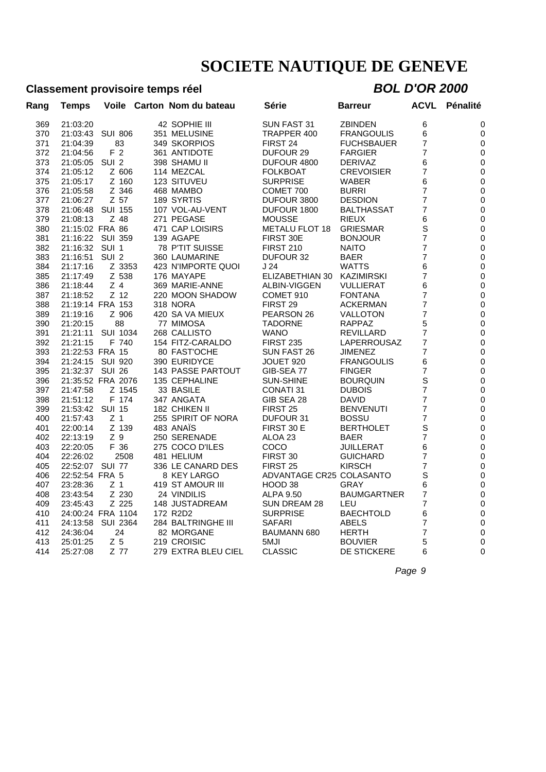### **Classement provisoire temps réel** *BOL D'OR 2000*

| Rang | <b>Temps</b>    | Voile             | Carton Nom du bateau     | Série                    | <b>Barreur</b>     | ACVL           | Pénalité    |
|------|-----------------|-------------------|--------------------------|--------------------------|--------------------|----------------|-------------|
| 369  | 21:03:20        |                   | 42 SOPHIE III            | SUN FAST 31              | <b>ZBINDEN</b>     | 6              | 0           |
| 370  | 21:03:43        | <b>SUI 806</b>    | 351 MELUSINE             | TRAPPER 400              | FRANGOULIS         | 6              | 0           |
| 371  | 21:04:39        | 83                | 349 SKORPIOS             | FIRST 24                 | <b>FUCHSBAUER</b>  | 7              | 0           |
| 372  | 21:04:56        | F <sub>2</sub>    | 361 ANTIDOTE             | <b>DUFOUR 29</b>         | <b>FARGIER</b>     | 7              | 0           |
| 373  | 21:05:05        | SUI <sub>2</sub>  | 398 SHAMU II             | DUFOUR 4800              | <b>DERIVAZ</b>     | 6              | 0           |
| 374  | 21:05:12        | Z 606             | 114 MEZCAL               | <b>FOLKBOAT</b>          | <b>CREVOISIER</b>  | 7              | 0           |
| 375  | 21:05:17        | Z 160             | 123 SITUVEU              | <b>SURPRISE</b>          | <b>WABER</b>       | 6              | 0           |
| 376  | 21:05:58        | Z 346             | 468 MAMBO                | COMET 700                | <b>BURRI</b>       | 7              | 0           |
| 377  | 21:06:27        | Z 57              | 189 SYRTIS               | DUFOUR 3800              | <b>DESDION</b>     | 7              | 0           |
| 378  | 21:06:48        | <b>SUI 155</b>    | 107 VOL-AU-VENT          | DUFOUR 1800              | <b>BALTHASSAT</b>  | $\overline{7}$ | 0           |
| 379  | 21:08:13        | Z 48              | 271 PEGASE               | <b>MOUSSE</b>            | <b>RIEUX</b>       | 6              | $\mathbf 0$ |
| 380  | 21:15:02 FRA 86 |                   | 471 CAP LOISIRS          | <b>METALU FLOT 18</b>    | <b>GRIESMAR</b>    | S              | 0           |
| 381  |                 | 21:16:22 SUI 359  | 139 AGAPE                | FIRST 30E                | <b>BONJOUR</b>     | 7              | 0           |
| 382  | 21:16:32        | SUI 1             | 78 P'TIT SUISSE          | <b>FIRST 210</b>         | <b>NAITO</b>       | 7              | 0           |
| 383  | 21:16:51        | SUI <sub>2</sub>  | 360 LAUMARINE            | DUFOUR 32                | <b>BAER</b>        | 7              | 0           |
| 384  | 21:17:16        | Z 3353            | 423 N'IMPORTE QUOI       | J 24                     | <b>WATTS</b>       | 6              | 0           |
| 385  | 21:17:49        | Z 538             | 176 MAYAPE               | ELIZABETHIAN 30          | <b>KAZIMIRSKI</b>  | 7              | 0           |
| 386  | 21:18:44        | Z <sub>4</sub>    | 369 MARIE-ANNE           | ALBIN-VIGGEN             | <b>VULLIERAT</b>   | 6              | 0           |
| 387  | 21:18:52        | Z 12              | 220 MOON SHADOW          | COMET 910                | <b>FONTANA</b>     | 7              | 0           |
| 388  |                 | 21:19:14 FRA 153  | <b>318 NORA</b>          | FIRST <sub>29</sub>      | <b>ACKERMAN</b>    | 7              | 0           |
| 389  | 21:19:16        | Z 906             | 420 SA VA MIEUX          | PEARSON 26               | <b>VALLOTON</b>    | $\overline{7}$ | $\mathbf 0$ |
| 390  | 21:20:15        | 88                | 77 MIMOSA                | <b>TADORNE</b>           | <b>RAPPAZ</b>      | 5              | 0           |
| 391  | 21:21:11        | <b>SUI 1034</b>   | 268 CALLISTO             | <b>WANO</b>              | <b>REVILLARD</b>   | 7              | 0           |
| 392  | 21:21:15        | F 740             | 154 FITZ-CARALDO         | <b>FIRST 235</b>         | LAPERROUSAZ        | 7              | 0           |
| 393  | 21:22:53 FRA 15 |                   | 80 FAST'OCHE             | SUN FAST 26              | <b>JIMENEZ</b>     | 7              | 0           |
| 394  | 21:24:15        | <b>SUI 920</b>    | 390 EURIDYCE             | JOUET 920                | <b>FRANGOULIS</b>  | 6              | $\mathbf 0$ |
| 395  | 21:32:37 SUI 26 |                   | <b>143 PASSE PARTOUT</b> | GIB-SEA 77               | <b>FINGER</b>      | 7              | 0           |
| 396  |                 | 21:35:52 FRA 2076 | 135 CEPHALINE            | <b>SUN-SHINE</b>         | <b>BOURQUIN</b>    | S              | 0           |
| 397  | 21:47:58        | Z 1545            | 33 BASILE                | <b>CONATI 31</b>         | <b>DUBOIS</b>      | 7              | 0           |
| 398  | 21:51:12        | F 174             | 347 ANGATA               | GIB SEA 28               | <b>DAVID</b>       | 7              | 0           |
| 399  | 21:53:42        | <b>SUI 15</b>     | 182 CHIKEN II            | FIRST 25                 | <b>BENVENUTI</b>   | $\overline{7}$ | 0           |
| 400  | 21:57:43        | Z <sub>1</sub>    | 255 SPIRIT OF NORA       | DUFOUR 31                | <b>BOSSU</b>       | $\overline{7}$ | 0           |
| 401  | 22:00:14        | Z 139             | 483 ANAÏS                | FIRST 30 E               | <b>BERTHOLET</b>   | S              | 0           |
| 402  | 22:13:19        | Z 9               | 250 SERENADE             | ALOA 23                  | <b>BAER</b>        | 7              | 0           |
| 403  | 22:20:05        | F 36              | 275 COCO D'ILES          | COCO                     | JUILLERAT          | 6              | 0           |
| 404  | 22:26:02        | 2508              | 481 HELIUM               | FIRST 30                 | <b>GUICHARD</b>    | 7              | 0           |
| 405  | 22:52:07        | <b>SUI 77</b>     | 336 LE CANARD DES        | FIRST <sub>25</sub>      | <b>KIRSCH</b>      | 7              | 0           |
| 406  | 22:52:54 FRA 5  |                   | 8 KEY LARGO              | ADVANTAGE CR25 COLASANTO |                    | S              | 0           |
| 407  | 23:28:36        | Z 1               | 419 ST AMOUR III         | HOOD 38                  | GRAY               | 6              | 0           |
| 408  | 23:43:54        | Z 230             | 24 VINDILIS              | ALPA 9.50                | <b>BAUMGARTNER</b> | 7              | 0           |
| 409  | 23:45:43        | Z 225             | 148 JUSTADREAM           | SUN DREAM 28             | LEU                | $\overline{7}$ |             |
| 410  |                 | 24:00:24 FRA 1104 | 172 R2D2                 | <b>SURPRISE</b>          |                    |                | 0           |
|      |                 |                   |                          |                          | <b>BAECHTOLD</b>   | 6              | 0           |
| 411  | 24:13:58        | <b>SUI 2364</b>   | 284 BALTRINGHE III       | <b>SAFARI</b>            | ABELS              | $\overline{7}$ | 0           |
| 412  | 24:36:04        | 24                | 82 MORGANE               | <b>BAUMANN 680</b>       | <b>HERTH</b>       | 7              | 0           |
| 413  | 25:01:25        | Z <sub>5</sub>    | 219 CROISIC              | 5MJI                     | <b>BOUVIER</b>     | 5              | 0           |
| 414  | 25:27:08        | Z 77              | 279 EXTRA BLEU CIEL      | <b>CLASSIC</b>           | <b>DE STICKERE</b> | 6              | $\Omega$    |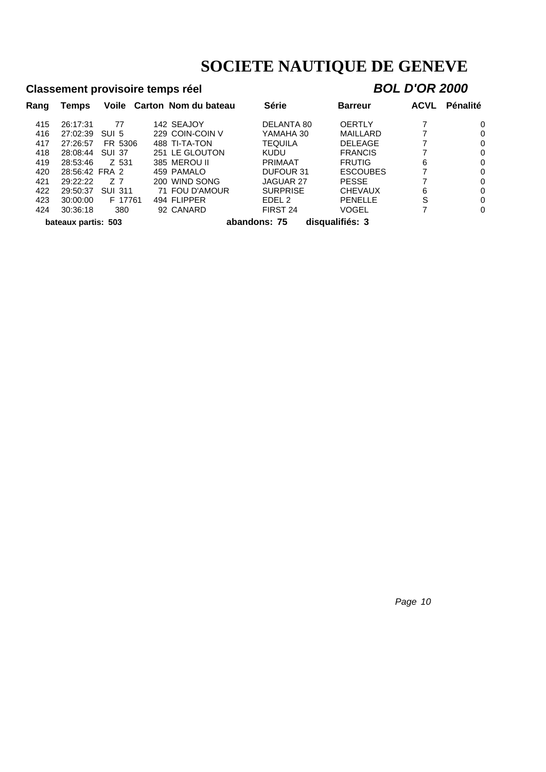### **Classement provisoire temps réel** *BOL D'OR 2000*

| Rang | Temps               |                | Voile Carton Nom du bateau | <b>Série</b>    | <b>Barreur</b>  | <b>ACVL</b> | <b>Pénalité</b> |
|------|---------------------|----------------|----------------------------|-----------------|-----------------|-------------|-----------------|
| 415  | 26:17:31            | 77             | 142 SEAJOY                 | DELANTA 80      | <b>OERTLY</b>   |             | 0               |
| 416  | 27:02:39            | SUI 5          | 229 COIN-COIN V            | YAMAHA 30       | MAILLARD        |             | 0               |
| 417  | 27:26:57            | FR 5306        | 488 TI-TA-TON              | TEQUILA         | <b>DELEAGE</b>  |             | 0               |
| 418  | 28:08:44            | <b>SUI 37</b>  | 251 LE GLOUTON             | <b>KUDU</b>     | <b>FRANCIS</b>  |             | 0               |
| 419  | 28:53:46            | Z 531          | 385 MEROU II               | <b>PRIMAAT</b>  | <b>FRUTIG</b>   | 6           | 0               |
| 420  | 28:56:42 FRA 2      |                | 459 PAMALO                 | DUFOUR 31       | <b>ESCOUBES</b> |             | 0               |
| 421  | 29:22:22            | 77             | 200 WIND SONG              | JAGUAR 27       | <b>PESSE</b>    |             | 0               |
| 422  | 29:50:37            | <b>SUI 311</b> | 71 FOU D'AMOUR             | <b>SURPRISE</b> | <b>CHEVAUX</b>  | 6           | 0               |
| 423  | 30:00:00            | F 17761        | 494 FLIPPER                | EDEL 2          | <b>PENELLE</b>  | S           | 0               |
| 424  | 30:36:18            | 380            | 92 CANARD                  | FIRST 24        | VOGEL           |             | 0               |
|      | bateaux partis: 503 |                |                            | abandons: 75    | disqualifiés: 3 |             |                 |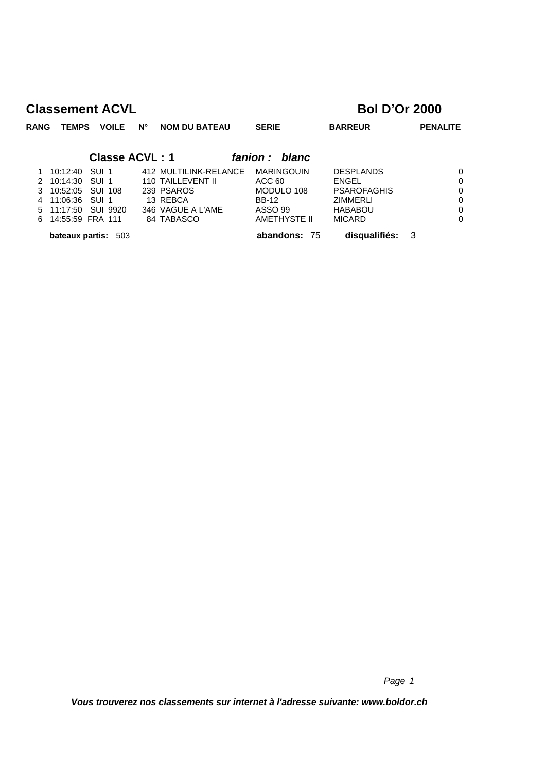| <b>RANG</b> | TEMPS               |         | <b>VOILE</b> | $N^{\circ}$           | <b>NOM DU BATEAU</b>     | <b>SERIE</b>      | <b>BARREUR</b>     | <b>PENALITE</b> |
|-------------|---------------------|---------|--------------|-----------------------|--------------------------|-------------------|--------------------|-----------------|
|             |                     |         |              | <b>Classe ACVL: 1</b> |                          | fanion :<br>blanc |                    |                 |
|             | 10:12:40            | SUI 1   |              |                       | 412 MULTILINK-RELANCE    | <b>MARINGOUIN</b> | <b>DESPLANDS</b>   | $\Omega$        |
| 2           | 10:14:30            | SUI 1   |              |                       | <b>110 TAILLEVENT II</b> | ACC 60            | <b>ENGEL</b>       | 0               |
| 3           | 10:52:05            | SUI 108 |              |                       | 239 PSAROS               | MODULO 108        | <b>PSAROFAGHIS</b> | $\Omega$        |
| 4           | 11:06:36            | SUI 1   |              |                       | 13 REBCA                 | <b>BB-12</b>      | <b>ZIMMERLI</b>    | $\Omega$        |
| 5           | 11:17:50            |         | SUI 9920     |                       | 346 VAGUE A L'AME        | ASSO 99           | <b>HABABOU</b>     | $\Omega$        |
| 6           | 14:55:59 FRA 111    |         |              |                       | 84 TABASCO               | AMETHYSTE II      | <b>MICARD</b>      | $\Omega$        |
|             | bateaux partis: 503 |         |              |                       |                          | 75<br>abandons:   | disqualifiés:      | -3              |

*Page 1*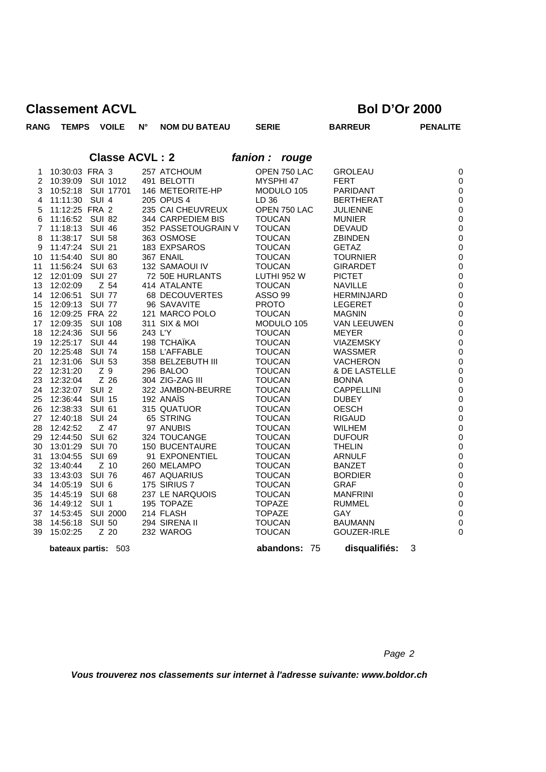| <b>RANG</b>     | <b>TEMPS</b>         |               | <b>VOILE</b>          | N°      | <b>NOM DU BATEAU</b>       |          | <b>SERIE</b>                   | <b>BARREUR</b>               |   | <b>PENALITE</b>                 |
|-----------------|----------------------|---------------|-----------------------|---------|----------------------------|----------|--------------------------------|------------------------------|---|---------------------------------|
|                 |                      |               | <b>Classe ACVL: 2</b> |         |                            | fanion : | rouge                          |                              |   |                                 |
| 1               | 10:30:03 FRA 3       |               |                       |         | 257 ATCHOUM                |          | OPEN 750 LAC                   | <b>GROLEAU</b>               |   | $\mathbf 0$                     |
| 2               | 10:39:09 SUI 1012    |               |                       |         | 491 BELOTTI                |          | MYSPHI 47                      | <b>FERT</b>                  |   | $\mathbf 0$                     |
| 3               | 10:52:18 SUI 17701   |               |                       |         | 146 METEORITE-HP           |          | MODULO 105                     | PARIDANT                     |   | $\mathbf 0$                     |
| 4               | 11:11:30 SUI 4       |               |                       |         | 205 OPUS 4                 |          | LD 36                          | <b>BERTHERAT</b>             |   | $\boldsymbol{0}$                |
| 5               | 11:12:25 FRA 2       |               |                       |         | 235 CAI CHEUVREUX          |          | OPEN 750 LAC                   | <b>JULIENNE</b>              |   | $\boldsymbol{0}$                |
| 6               | 11:16:52 SUI 82      |               |                       |         | 344 CARPEDIEM BIS          |          | <b>TOUCAN</b>                  | <b>MUNIER</b>                |   | $\boldsymbol{0}$                |
| $\overline{7}$  | 11:18:13 SUI 46      |               |                       |         | 352 PASSETOUGRAIN V        |          | <b>TOUCAN</b>                  | <b>DEVAUD</b>                |   | $\pmb{0}$                       |
| 8               | 11:38:17 SUI 58      |               |                       |         | 363 OSMOSE                 |          | <b>TOUCAN</b>                  | <b>ZBINDEN</b>               |   | $\mathbf 0$                     |
| 9               | 11:47:24 SUI 21      |               |                       |         | 183 EXPSAROS               |          | <b>TOUCAN</b>                  | <b>GETAZ</b>                 |   | $\boldsymbol{0}$                |
| 10              | 11:54:40 SUI 80      |               |                       |         | 367 ENAIL                  |          | <b>TOUCAN</b>                  | <b>TOURNIER</b>              |   | $\boldsymbol{0}$                |
| 11              | 11:56:24 SUI 63      |               |                       |         | 132 SAMAOUI IV             |          | <b>TOUCAN</b>                  | <b>GIRARDET</b>              |   | $\boldsymbol{0}$                |
| 12 <sup>°</sup> | 12:01:09             | <b>SUI 27</b> |                       |         | 72 50E HURLANTS            |          | LUTHI 952 W                    | <b>PICTET</b>                |   | $\boldsymbol{0}$                |
| 13              | 12:02:09             |               | Z 54                  |         | 414 ATALANTE               |          | <b>TOUCAN</b>                  | <b>NAVILLE</b>               |   | $\boldsymbol{0}$                |
| 14              | 12:06:51             | <b>SUI 77</b> |                       |         | 68 DECOUVERTES             |          | <b>ASSO 99</b>                 | <b>HERMINJARD</b>            |   | $\boldsymbol{0}$                |
| 15              | 12:09:13 SUI 77      |               |                       |         | 96 SAVAVITE                |          | <b>PROTO</b>                   | <b>LEGERET</b>               |   | $\boldsymbol{0}$                |
| 16              | 12:09:25 FRA 22      |               |                       |         | 121 MARCO POLO             |          | <b>TOUCAN</b>                  | <b>MAGNIN</b>                |   | $\pmb{0}$                       |
| 17              | 12:09:35 SUI 108     |               |                       |         | 311 SIX & MOI              |          | MODULO 105                     | <b>VAN LEEUWEN</b>           |   | $\pmb{0}$                       |
| 18              | 12:24:36 SUI 56      |               |                       | 243 L'Y |                            |          | <b>TOUCAN</b>                  | <b>MEYER</b>                 |   | $\mathbf 0$                     |
| 19              | 12:25:17 SUI 44      |               |                       |         | 198 TCHAÏKA                |          | <b>TOUCAN</b>                  | <b>VIAZEMSKY</b>             |   | $\boldsymbol{0}$                |
| 20              | 12:25:48             | <b>SUI 74</b> |                       |         | 158 L'AFFABLE              |          | <b>TOUCAN</b>                  | WASSMER                      |   | $\pmb{0}$                       |
| 21              | 12:31:06             | <b>SUI 53</b> |                       |         | 358 BELZEBUTH III          |          | <b>TOUCAN</b>                  | <b>VACHERON</b>              |   | $\pmb{0}$                       |
| 22              | 12:31:20             | Z 9           |                       |         | 296 BALOO                  |          | <b>TOUCAN</b>                  | & DE LASTELLE                |   | $\boldsymbol{0}$                |
| 23              | 12:32:04             |               | Z 26                  |         | 304 ZIG-ZAG III            |          | <b>TOUCAN</b>                  | <b>BONNA</b>                 |   | $\boldsymbol{0}$                |
| 24              | 12:32:07 SUI 2       |               |                       |         | 322 JAMBON-BEURRE          |          | <b>TOUCAN</b>                  | <b>CAPPELLINI</b>            |   | $\boldsymbol{0}$                |
| 25              | 12:36:44 SUI 15      |               |                       |         | 192 ANAÏS                  |          | <b>TOUCAN</b>                  | <b>DUBEY</b>                 |   | $\boldsymbol{0}$                |
| 26              | 12:38:33             | SUI 61        |                       |         | 315 QUATUOR                |          | <b>TOUCAN</b>                  | <b>OESCH</b>                 |   | $\mathbf 0$                     |
| 27              | 12:40:18             | <b>SUI 24</b> |                       |         | 65 STRING                  |          | <b>TOUCAN</b>                  | <b>RIGAUD</b>                |   | $\boldsymbol{0}$                |
| 28              | 12:42:52             |               | Z 47                  |         | 97 ANUBIS                  |          | <b>TOUCAN</b>                  | <b>WILHEM</b>                |   | $\pmb{0}$                       |
| 29              | 12:44:50             | <b>SUI 62</b> |                       |         | 324 TOUCANGE               |          | <b>TOUCAN</b>                  | <b>DUFOUR</b>                |   | $\boldsymbol{0}$                |
| 30              | 13:01:29 SUI 70      |               |                       |         | <b>150 BUCENTAURE</b>      |          | <b>TOUCAN</b>                  | <b>THELIN</b>                |   | $\mathbf 0$                     |
| 31              | 13:04:55             | <b>SUI 69</b> |                       |         | 91 EXPONENTIEL             |          | <b>TOUCAN</b>                  | <b>ARNULF</b>                |   | $\boldsymbol{0}$                |
| 32              | 13:40:44             |               | $Z$ 10                |         | 260 MELAMPO                |          | <b>TOUCAN</b>                  | <b>BANZET</b>                |   | $\boldsymbol{0}$                |
| 33              | 13:43:03             | <b>SUI 76</b> |                       |         | 467 AQUARIUS               |          | <b>TOUCAN</b>                  | <b>BORDIER</b>               |   | $\boldsymbol{0}$                |
| 34              | 14:05:19             | SUI 6         |                       |         | 175 SIRIUS 7               |          | <b>TOUCAN</b>                  | <b>GRAF</b>                  |   | $\boldsymbol{0}$                |
| 35              | 14:45:19             | SUI 68        |                       |         | 237 LE NARQUOIS            |          | <b>TOUCAN</b>                  | <b>MANFRINI</b>              |   | $\boldsymbol{0}$                |
| 36              | 14:49:12 SUI 1       |               |                       |         | 195 TOPAZE                 |          | <b>TOPAZE</b>                  | <b>RUMMEL</b>                |   | $\boldsymbol{0}$                |
| 37              | 14:53:45             | <b>SUI 50</b> | <b>SUI 2000</b>       |         | 214 FLASH<br>294 SIRENA II |          | <b>TOPAZE</b><br><b>TOUCAN</b> | <b>GAY</b><br><b>BAUMANN</b> |   | $\mathbf 0$<br>$\boldsymbol{0}$ |
| 38<br>39        | 14:56:18<br>15:02:25 |               | $Z$ 20                |         | 232 WAROG                  |          | <b>TOUCAN</b>                  | <b>GOUZER-IRLE</b>           |   | $\mathbf 0$                     |
|                 |                      |               |                       |         |                            |          |                                |                              |   |                                 |
|                 | bateaux partis:      |               | 503                   |         |                            |          | abandons: 75                   | disqualifiés:                | 3 |                                 |

*Page 2*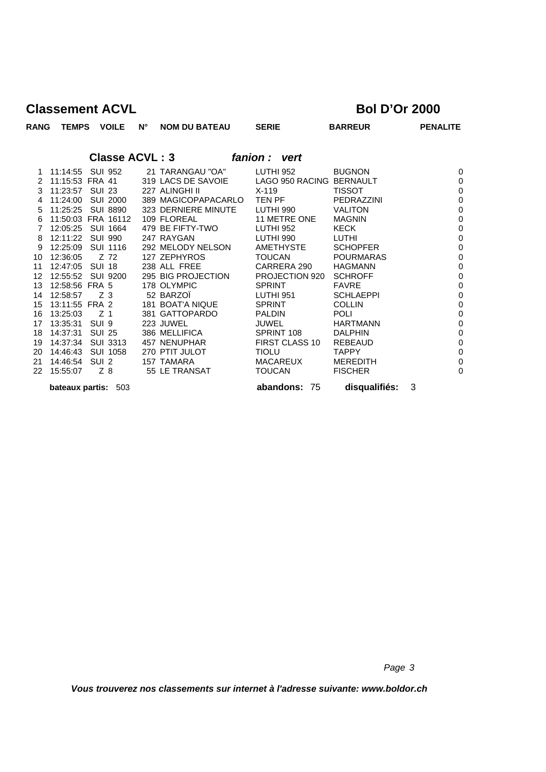| RANG<br><b>TEMPS</b>             |                  | <b>VOILE</b>               | $N^{\circ}$           | <b>NOM DU BATEAU</b>           | <b>SERIE</b>                  | <b>BARREUR</b>       | <b>PENALITE</b>            |
|----------------------------------|------------------|----------------------------|-----------------------|--------------------------------|-------------------------------|----------------------|----------------------------|
|                                  |                  |                            | <b>Classe ACVL: 3</b> |                                | fanion: vert                  |                      |                            |
|                                  |                  |                            |                       |                                |                               |                      |                            |
| 11:14:55<br>1.                   |                  | SUI 952                    |                       | 21 TARANGAU "OA"               | <b>LUTHI 952</b>              | <b>BUGNON</b>        | 0                          |
| 11:15:53 FRA 41<br>$\mathcal{P}$ |                  |                            |                       | 319 LACS DE SAVOIE             | LAGO 950 RACING BERNAULT      |                      | $\mathbf 0$                |
| 3<br>11:23:57                    | <b>SUI 23</b>    |                            |                       | 227 ALINGHI II                 | $X-119$                       | <b>TISSOT</b>        | $\mathbf 0$                |
| 11:24:00<br>4                    |                  | SUI 2000                   |                       | 389 MAGICOPAPACARLO TEN PF     |                               | PEDRAZZINI           | $\mathbf 0$                |
| 11:25:25<br>5                    |                  | <b>SUI 8890</b>            |                       | 323 DERNIERE MINUTE            | LUTHI 990                     | <b>VALITON</b>       | $\mathbf 0$                |
| 11:50:03 FRA 16112<br>6          |                  |                            |                       | 109 FLOREAL                    | 11 METRE ONE                  | <b>MAGNIN</b>        | $\mathbf 0$                |
| 12:05:25<br>7<br>12:11:22        |                  | SUI 1664<br><b>SUI 990</b> |                       | 479 BE FIFTY-TWO<br>247 RAYGAN | <b>LUTHI 952</b><br>LUTHI 990 | <b>KECK</b><br>LUTHI | $\mathbf 0$                |
| 8<br>12:25:09<br>9               |                  | SUI 1116                   |                       | 292 MELODY NELSON              | <b>AMETHYSTE</b>              | <b>SCHOPFER</b>      | $\mathbf 0$<br>$\mathbf 0$ |
| 12:36:05<br>10                   | Z 72             |                            |                       | 127 ZEPHYROS                   | <b>TOUCAN</b>                 | <b>POURMARAS</b>     | $\mathbf 0$                |
| 11<br>12:47:05                   | <b>SUI 18</b>    |                            |                       | 238 ALL FREE                   | CARRERA 290                   | <b>HAGMANN</b>       | $\mathbf 0$                |
| 12:55:52<br>$12 \overline{ }$    |                  | SUI 9200                   |                       | 295 BIG PROJECTION             | PROJECTION 920                | <b>SCHROFF</b>       | $\mathbf 0$                |
| 12:58:56 FRA 5<br>13             |                  |                            |                       | 178 OLYMPIC                    | <b>SPRINT</b>                 | <b>FAVRE</b>         | 0                          |
| 12:58:57<br>14                   |                  | Z 3                        |                       | 52 BARZOÏ                      | LUTHI 951                     | <b>SCHLAEPPI</b>     | $\mathbf 0$                |
| 13:11:55 FRA 2<br>15             |                  |                            |                       | 181 BOAT'A NIQUE               | <b>SPRINT</b>                 | <b>COLLIN</b>        | $\overline{0}$             |
| 16<br>13:25:03                   |                  | Z <sub>1</sub>             |                       | 381 GATTOPARDO                 | <b>PALDIN</b>                 | <b>POLI</b>          | 0                          |
| 13:35:31<br>17                   | SUI <sub>9</sub> |                            |                       | 223 JUWEL                      | <b>JUWEL</b>                  | <b>HARTMANN</b>      | 0                          |
| 18<br>14:37:31                   | <b>SUI 25</b>    |                            |                       | 386 MELLIFICA                  | SPRINT 108                    | <b>DALPHIN</b>       | $\mathbf 0$                |
| 14:37:34<br>19                   |                  | <b>SUI 3313</b>            |                       | 457 NENUPHAR                   | FIRST CLASS 10                | REBEAUD              | $\mathbf 0$                |
| 14:46:43 SUI 1058<br>20          |                  |                            |                       | 270 PTIT JULOT                 | <b>TIOLU</b>                  | <b>TAPPY</b>         | $\overline{0}$             |
| 14:46:54<br>21                   | SUI <sub>2</sub> |                            |                       | 157 TAMARA                     | <b>MACAREUX</b>               | <b>MEREDITH</b>      | $\overline{0}$             |
| 22<br>15:55:07                   |                  | $Z_8$                      |                       | 55 LE TRANSAT                  | <b>TOUCAN</b>                 | <b>FISCHER</b>       | 0                          |
| <b>bateaux partis: 503</b>       |                  |                            |                       |                                | abandons: 75                  | disqualifiés:        | 3                          |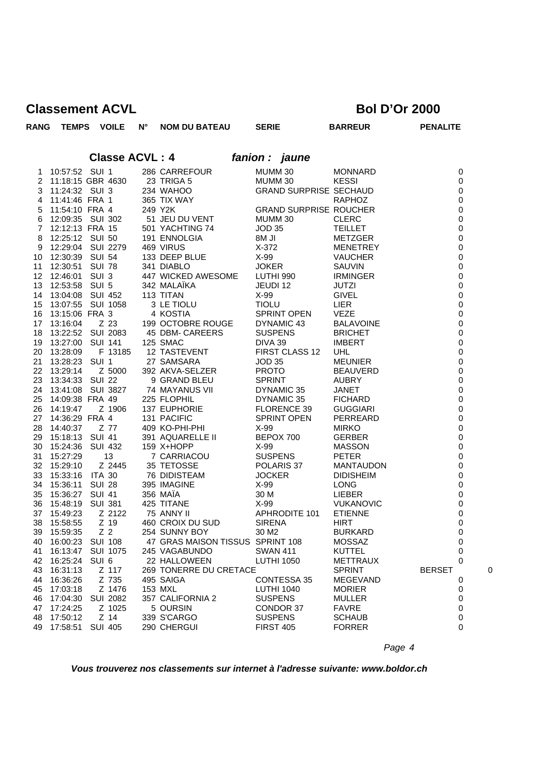| <b>RANG</b>    | <b>TEMPS</b>        |                  | <b>VOILE</b>    | Ν° | <b>NOM DU BATEAU</b>             | <b>SERIE</b>                  | <b>BARREUR</b>   | <b>PENALITE</b>    |
|----------------|---------------------|------------------|-----------------|----|----------------------------------|-------------------------------|------------------|--------------------|
|                |                     |                  |                 |    |                                  |                               |                  |                    |
|                |                     |                  |                 |    | <b>Classe ACVL: 4</b>            | fanion : jaune                |                  |                    |
| 1              | 10:57:52 SUI 1      |                  |                 |    | 286 CARREFOUR                    | MUMM 30                       | <b>MONNARD</b>   | $\pmb{0}$          |
|                | 2 11:18:15 GBR 4630 |                  |                 |    | 23 TRIGA 5                       | MUMM 30                       | <b>KESSI</b>     | 0                  |
| 3              | 11:24:32 SUI 3      |                  |                 |    | 234 WAHOO                        | <b>GRAND SURPRISE SECHAUD</b> |                  | $\mathbf 0$        |
| $\overline{4}$ | 11:41:46 FRA 1      |                  |                 |    | 365 TIX WAY                      |                               | RAPHOZ           | $\pmb{0}$          |
| 5              | 11:54:10 FRA 4      |                  |                 |    | 249 Y2K                          | <b>GRAND SURPRISE ROUCHER</b> |                  | 0                  |
| 6              | 12:09:35 SUI 302    |                  |                 |    | 51 JEU DU VENT                   | MUMM 30                       | <b>CLERC</b>     | $\mathbf 0$        |
| $\overline{7}$ | 12:12:13 FRA 15     |                  |                 |    | 501 YACHTING 74                  | <b>JOD 35</b>                 | <b>TEILLET</b>   | $\mathbf 0$        |
| 8              | 12:25:12 SUI 50     |                  |                 |    | 191 ENNOLGIA                     | 8M JI                         | METZGER          | $\boldsymbol{0}$   |
| 9              | 12:29:04 SUI 2279   |                  |                 |    | 469 VIRUS                        | X-372                         | MENETREY         | 0                  |
| 10             | 12:30:39 SUI 54     |                  |                 |    | 133 DEEP BLUE                    | X-99                          | <b>VAUCHER</b>   | $\mathbf 0$        |
| 11             | 12:30:51 SUI 78     |                  |                 |    | 341 DIABLO                       | <b>JOKER</b>                  | SAUVIN           | $\pmb{0}$          |
|                | 12 12:46:01 SUI 3   |                  |                 |    | 341 DIADLO<br>447 WICKED AWESOME | LUTHI 990                     | <b>IRMINGER</b>  | $\boldsymbol{0}$   |
| 13             | 12:53:58 SUI 5      |                  |                 |    | 342 MALAÏKA                      | JEUDI 12                      | JUTZI            | 0                  |
| 14             | 13:04:08 SUI 452    |                  |                 |    | 113 TITAN                        | X-99                          | GIVEL            | $\mathbf 0$        |
| 15             | 13:07:55 SUI 1058   |                  |                 |    | 3 LE TIOLU                       | <b>TIOLU</b>                  | LIER             | $\pmb{0}$          |
| 16             | 13:15:06 FRA 3      |                  |                 |    | 4 KOSTIA                         | SPRINT OPEN                   | <b>VEZE</b>      | 0                  |
| 17             | 13:16:04            |                  | Z 23            |    | 199 OCTOBRE ROUGE                | DYNAMIC 43                    | <b>BALAVOINE</b> | 0                  |
| 18             | 13:22:52 SUI 2083   |                  |                 |    | 45 DBM- CAREERS                  | <b>SUSPENS</b>                | <b>BRICHET</b>   | $\pmb{0}$          |
| 19             | 13:27:00 SUI 141    |                  |                 |    | 125 SMAC                         | DIVA 39                       | <b>IMBERT</b>    | $\mathbf 0$        |
| 20             | 13:28:09            |                  | F 13185         |    | 12 TASTEVENT                     | FIRST CLASS 12                | <b>UHL</b>       | 0                  |
| 21             | 13:28:23 SUI 1      |                  |                 |    | 27 SAMSARA                       | <b>JOD 35</b>                 | <b>MEUNIER</b>   | $\mathbf 0$        |
| 22             | 13:29:14            |                  | Z 5000          |    | 392 AKVA-SELZER                  | <b>PROTO</b>                  | <b>BEAUVERD</b>  | $\pmb{0}$          |
| 23             | 13:34:33 SUI 22     |                  |                 |    | 9 GRAND BLEU                     | <b>SPRINT</b>                 | <b>AUBRY</b>     | 0                  |
| 24             | 13:41:08 SUI 3827   |                  |                 |    | 74 MAYANUS VII                   | DYNAMIC 35                    | JANET            | $\pmb{0}$          |
| 25             | 14:09:38 FRA 49     |                  |                 |    | 225 FLOPHIL                      | DYNAMIC 35                    | <b>FICHARD</b>   | $\mathbf 0$        |
| 26             | 14:19:47            |                  | Z 1906          |    | 137 EUPHORIE                     | FLORENCE 39                   | <b>GUGGIARI</b>  | 0                  |
| 27             | 14:36:29 FRA 4      |                  |                 |    | 131 PACIFIC                      | <b>SPRINT OPEN</b>            | PERREARD         | 0                  |
| 28             | 14:40:37            |                  | Z 77            |    | 409 KO-PHI-PHI                   | X-99                          | <b>MIRKO</b>     | $\mathbf 0$        |
| 29             | 15:18:13 SUI 41     |                  |                 |    | 391 AQUARELLE II                 | BEPOX 700                     | <b>GERBER</b>    | $\pmb{0}$          |
| 30             | 15:24:36 SUI 432    |                  |                 |    | 159 X+HOPP                       | X-99                          | <b>MASSON</b>    | $\boldsymbol{0}$   |
| 31             | 15:27:29            |                  | 13              |    | 7 CARRIACOU                      | <b>SUSPENS</b>                | <b>PETER</b>     | $\mathbf 0$        |
| 32             | 15:29:10            |                  | Z 2445          |    | 35 TETOSSE                       | POLARIS 37                    | <b>MANTAUDON</b> | $\mathbf 0$        |
| 33             | 15:33:16 ITA 30     |                  |                 |    | 76 DIDISTEAM                     | <b>JOCKER</b>                 | <b>DIDISHEIM</b> | $\pmb{0}$          |
| 34             | 15:36:11 SUI 28     |                  |                 |    | 395 IMAGINE                      | X-99                          | <b>LONG</b>      | 0                  |
| 35             | 15:36:27 SUI 41     |                  |                 |    | 356 MAÏA                         | 30 M                          | <b>LIEBER</b>    | $\pmb{0}$          |
| 36             | 15:48:19 SUI 381    |                  |                 |    | 425 TITANE                       | X-99                          | <b>VUKANOVIC</b> | $\pmb{0}$          |
| 37             | 15:49:23            |                  | Z 2122          |    | 75 ANNY II                       | APHRODITE 101                 | <b>ETIENNE</b>   | 0                  |
|                |                     |                  |                 |    | 460 CROIX DU SUD                 | <b>SIRENA</b>                 | <b>HIRT</b>      | $\Omega$           |
| 39             | 15:59:35            | Z <sub>2</sub>   |                 |    | 254 SUNNY BOY                    | 30 M2                         | <b>BURKARD</b>   | 0                  |
| 40             | 16:00:23 SUI 108    |                  |                 |    | 47 GRAS MAISON TISSUS SPRINT 108 |                               | <b>MOSSAZ</b>    | 0                  |
| 41             | 16:13:47            |                  | SUI 1075        |    | 245 VAGABUNDO                    | <b>SWAN 411</b>               | KUTTEL           | 0                  |
| 42             | 16:25:24            | SUI <sub>6</sub> |                 |    | 22 HALLOWEEN                     | <b>LUTHI 1050</b>             | <b>METTRAUX</b>  | 0                  |
| 43             | 16:31:13            |                  | Z 117           |    | 269 TONERRE DU CRETACE           |                               | <b>SPRINT</b>    | <b>BERSET</b><br>C |
| 44             | 16:36:26            |                  | Z 735           |    | 495 SAIGA                        | <b>CONTESSA 35</b>            | <b>MEGEVAND</b>  | 0                  |
| 45             | 17:03:18            |                  | Z 1476          |    | 153 MXL                          | <b>LUTHI 1040</b>             | <b>MORIER</b>    | 0                  |
| 46             | 17:04:30            |                  | <b>SUI 2082</b> |    | 357 CALIFORNIA 2                 | <b>SUSPENS</b>                | MULLER           | 0                  |
| 47             | 17:24:25            |                  | Z 1025          |    | 5 OURSIN                         | CONDOR 37                     | <b>FAVRE</b>     | 0                  |
| 48             | 17:50:12            |                  | $Z$ 14          |    | 339 S'CARGO                      | <b>SUSPENS</b>                | <b>SCHAUB</b>    | 0                  |
| 49             | 17:58:51            | <b>SUI 405</b>   |                 |    | 290 CHERGUI                      | <b>FIRST 405</b>              | <b>FORRER</b>    | 0                  |

*Page 4*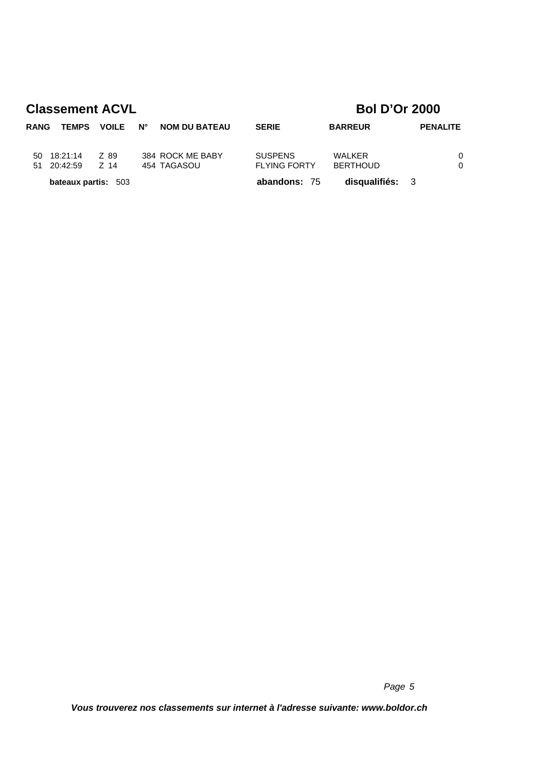| RANG | <b>TEMPS</b>               | <b>VOILE</b> | <b>N°</b> | <b>NOM DU BATEAU</b>            | <b>SERIE</b>                          | <b>BARREUR</b>            | <b>PENALITE</b> |               |
|------|----------------------------|--------------|-----------|---------------------------------|---------------------------------------|---------------------------|-----------------|---------------|
| 50   | 18:21:14<br>51 20:42:59    | Z 89<br>Z 14 |           | 384 ROCK ME BABY<br>454 TAGASOU | <b>SUSPENS</b><br><b>FLYING FORTY</b> | WALKER<br><b>BERTHOUD</b> |                 | $\Omega$<br>0 |
|      | <b>bateaux partis: 503</b> |              |           |                                 | abandons: 75                          | disqualifiés: 3           |                 |               |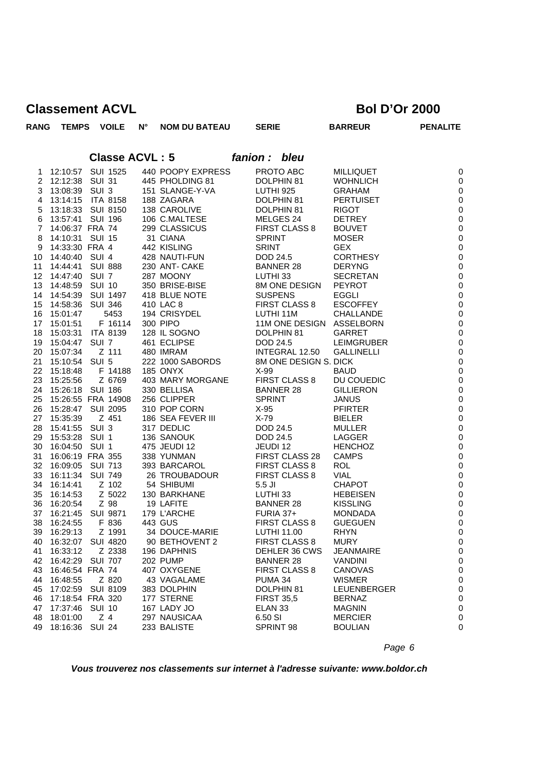| <b>RANG</b>    | <b>TEMPS</b>       |                | <b>VOILE</b>    | $N^{\circ}$           | <b>NOM DU BATEAU</b> | <b>SERIE</b>             | <b>BARREUR</b>    | <b>PENALITE</b> |
|----------------|--------------------|----------------|-----------------|-----------------------|----------------------|--------------------------|-------------------|-----------------|
|                |                    |                |                 | <b>Classe ACVL: 5</b> |                      | fanion : bleu            |                   |                 |
| 1              | 12:10:57           |                | <b>SUI 1525</b> |                       | 440 POOPY EXPRESS    | PROTO ABC                | <b>MILLIQUET</b>  | $\pmb{0}$       |
| $\overline{2}$ | 12:12:38 SUI 31    |                |                 |                       | 445 PHOLDING 81      | DOLPHIN 81               | <b>WOHNLICH</b>   | $\mathbf 0$     |
| 3              | 13:08:39 SUI 3     |                |                 |                       | 151 SLANGE-Y-VA      | LUTHI 925                | <b>GRAHAM</b>     | $\pmb{0}$       |
| 4              | 13:14:15           |                | <b>ITA 8158</b> |                       | 188 ZAGARA           | DOLPHIN 81               | <b>PERTUISET</b>  | $\pmb{0}$       |
| 5              | 13:18:33 SUI 8150  |                |                 |                       | 138 CAROLIVE         | DOLPHIN 81               | <b>RIGOT</b>      | $\pmb{0}$       |
| 6              | 13:57:41 SUI 196   |                |                 |                       | 106 C.MALTESE        | MELGES 24                | <b>DETREY</b>     | $\pmb{0}$       |
| $\overline{7}$ | 14:06:37 FRA 74    |                |                 |                       | 299 CLASSICUS        | <b>FIRST CLASS 8</b>     | <b>BOUVET</b>     | ${\bf 0}$       |
| 8              | 14:10:31 SUI 15    |                |                 |                       | 31 CIANA             | <b>SPRINT</b>            | <b>MOSER</b>      | $\pmb{0}$       |
| 9              | 14:33:30 FRA 4     |                |                 |                       | 442 KISLING          | <b>SRINT</b>             | <b>GEX</b>        | $\pmb{0}$       |
| 10             | 14:40:40 SUI 4     |                |                 |                       | 428 NAUTI-FUN        | <b>DOD 24.5</b>          | <b>CORTHESY</b>   | $\pmb{0}$       |
| 11             | 14:44:41           | <b>SUI 888</b> |                 |                       | 230 ANT- CAKE        | <b>BANNER 28</b>         | <b>DERYNG</b>     | $\pmb{0}$       |
| 12             | 14:47:40 SUI 7     |                |                 |                       | 287 MOONY            | LUTHI 33                 | <b>SECRETAN</b>   | $\pmb{0}$       |
| 13             | 14:48:59 SUI 10    |                |                 |                       | 350 BRISE-BISE       | 8M ONE DESIGN            | <b>PEYROT</b>     | $\pmb{0}$       |
| 14             | 14:54:39 SUI 1497  |                |                 |                       | 418 BLUE NOTE        | <b>SUSPENS</b>           | <b>EGGLI</b>      | $\pmb{0}$       |
| 15             | 14:58:36           | <b>SUI 346</b> |                 |                       | 410 LAC 8            | <b>FIRST CLASS 8</b>     | <b>ESCOFFEY</b>   | $\pmb{0}$       |
| 16             | 15:01:47           |                | 5453            |                       | 194 CRISYDEL         | LUTHI 11M                | <b>CHALLANDE</b>  | $\pmb{0}$       |
| 17             | 15:01:51           |                | F 16114         |                       | 300 PIPO             | 11M ONE DESIGN ASSELBORN |                   | $\pmb{0}$       |
| 18             | 15:03:31           |                | <b>ITA 8139</b> |                       | 128 IL SOGNO         | DOLPHIN 81               | <b>GARRET</b>     | $\pmb{0}$       |
| 19             | 15:04:47           | SUI 7          |                 |                       | 461 ECLIPSE          | <b>DOD 24.5</b>          | <b>LEIMGRUBER</b> | $\pmb{0}$       |
| 20             | 15:07:34           |                | Z 111           |                       | 480 IMRAM            | INTEGRAL 12.50           | <b>GALLINELLI</b> | $\pmb{0}$       |
| 21             | 15:10:54 SUI 5     |                |                 |                       | 222 1000 SABORDS     | 8M ONE DESIGN S. DICK    |                   | $\pmb{0}$       |
| 22             | 15:18:48           |                | F 14188         |                       | <b>185 ONYX</b>      | $X-99$                   | <b>BAUD</b>       | $\pmb{0}$       |
| 23             | 15:25:56           |                | Z 6769          |                       | 403 MARY MORGANE     | FIRST CLASS 8            | DU COUEDIC        | $\mathbf 0$     |
| 24             | 15:26:18 SUI 186   |                |                 |                       | 330 BELLISA          | <b>BANNER 28</b>         | <b>GILLIERON</b>  | $\pmb{0}$       |
| 25             | 15:26:55 FRA 14908 |                |                 |                       | 256 CLIPPER          | <b>SPRINT</b>            | <b>JANUS</b>      | $\pmb{0}$       |
| 26             | 15:28:47 SUI 2095  |                |                 |                       | 310 POP CORN         | X-95                     | <b>PFIRTER</b>    | $\pmb{0}$       |
| 27             | 15:35:39           |                | Z 451           |                       | 186 SEA FEVER III    | $X-79$                   | <b>BIELER</b>     | $\pmb{0}$       |
| 28             | 15:41:55 SUI 3     |                |                 |                       | 317 DEDLIC           | <b>DOD 24.5</b>          | <b>MULLER</b>     | $\pmb{0}$       |
| 29.            | 15:53:28 SUI 1     |                |                 |                       | 136 SANOUK           | <b>DOD 24.5</b>          | LAGGER            | $\pmb{0}$       |
| 30             | 16:04:50           | SUI 1          |                 |                       | 475 JEUDI 12         | JEUDI 12                 | <b>HENCHOZ</b>    | $\pmb{0}$       |
| 31             | 16:06:19 FRA 355   |                |                 |                       | 338 YUNMAN           | FIRST CLASS 28           | <b>CAMPS</b>      | $\pmb{0}$       |
| 32             | 16:09:05 SUI 713   |                |                 |                       | 393 BARCAROL         | <b>FIRST CLASS 8</b>     | <b>ROL</b>        | $\pmb{0}$       |
| 33             | 16:11:34           | <b>SUI 749</b> |                 |                       | 26 TROUBADOUR        | <b>FIRST CLASS 8</b>     | <b>VIAL</b>       | $\pmb{0}$       |
| 34             | 16:14:41           |                | Z 102           |                       | 54 SHIBUMI           | $5.5$ JI                 | <b>CHAPOT</b>     | $\pmb{0}$       |
| 35             | 16:14:53           |                | Z 5022          |                       | 130 BARKHANE         | LUTHI <sub>33</sub>      | <b>HEBEISEN</b>   | $\pmb{0}$       |
| 36             | 16:20:54           |                | Z 98            |                       | 19 LAFITE            | <b>BANNER 28</b>         | <b>KISSLING</b>   | $\pmb{0}$       |
| 37             | 16:21:45           |                | <b>SUI 9871</b> |                       | 179 L'ARCHE          | FURIA 37+                | <b>MONDADA</b>    | $\pmb{0}$       |
| 38             | 16:24:55           |                | F 836           |                       | 443 GUS              | <b>FIRST CLASS 8</b>     | <b>GUEGUEN</b>    | $\mathbf 0$     |
| 39             | 16:29:13           |                | Z 1991          |                       | 34 DOUCE-MARIE       | LUTHI 11.00              | <b>RHYN</b>       | 0               |
| 40             | 16:32:07           |                | <b>SUI 4820</b> |                       | 90 BETHOVENT 2       | FIRST CLASS 8            | <b>MURY</b>       | 0               |
| 41             | 16:33:12           |                | Z 2338          |                       | 196 DAPHNIS          | DEHLER 36 CWS            | <b>JEANMAIRE</b>  | 0               |
| 42             | 16:42:29           | <b>SUI 707</b> |                 |                       | 202 PUMP             | <b>BANNER 28</b>         | <b>VANDINI</b>    | $\pmb{0}$       |
| 43             | 16:46:54 FRA 74    |                |                 |                       | 407 OXYGENE          | <b>FIRST CLASS 8</b>     | CANOVAS           | 0               |
| 44             | 16:48:55           |                | Z 820           |                       | 43 VAGALAME          | PUMA 34                  | <b>WISMER</b>     | 0               |
| 45             | 17:02:59           |                | <b>SUI 8109</b> |                       | 383 DOLPHIN          | DOLPHIN 81               | LEUENBERGER       | 0               |
| 46             | 17:18:54 FRA 320   |                |                 |                       | 177 STERNE           | <b>FIRST 35,5</b>        | <b>BERNAZ</b>     | 0               |
| 47             | 17:37:46           | <b>SUI 10</b>  |                 |                       | 167 LADY JO          | ELAN <sub>33</sub>       | <b>MAGNIN</b>     | 0               |
| 48             | 18:01:00           | Z 4            |                 |                       | 297 NAUSICAA         | 6.50 SI                  | <b>MERCIER</b>    | 0               |
| 49             | 18:16:36           | <b>SUI 24</b>  |                 |                       | 233 BALISTE          | SPRINT 98                | <b>BOULIAN</b>    | $\mathbf 0$     |
|                |                    |                |                 |                       |                      |                          |                   |                 |

*Page 6*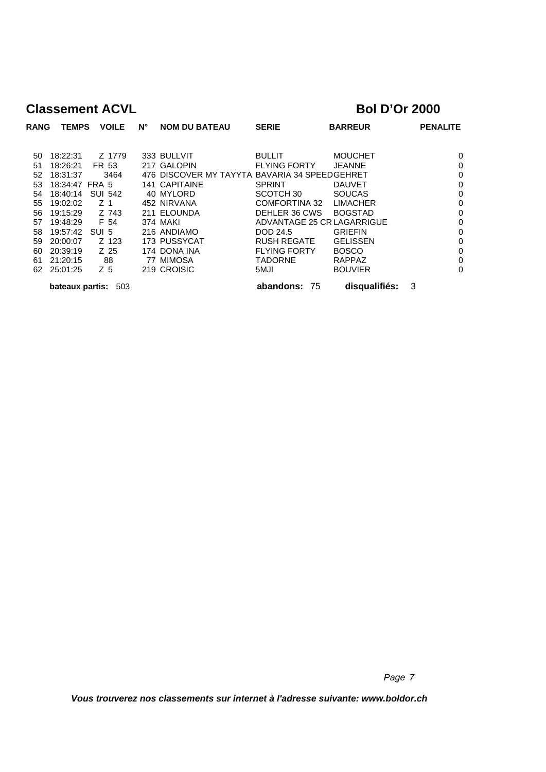| <b>RANG</b> | <b>TEMPS</b>    | <b>VOILE</b>   | $N^{\circ}$ | <b>NOM DU BATEAU</b>                          | <b>SERIE</b>               | <b>BARREUR</b>  |   | <b>PENALITE</b> |
|-------------|-----------------|----------------|-------------|-----------------------------------------------|----------------------------|-----------------|---|-----------------|
|             |                 |                |             |                                               |                            |                 |   |                 |
| 50          | 18:22:31        | Z 1779         |             | 333 BULLVIT                                   | <b>BULLIT</b>              | <b>MOUCHET</b>  |   | 0               |
| 51          | 18:26:21        | FR 53          |             | 217 GALOPIN                                   | <b>FLYING FORTY</b>        | <b>JEANNE</b>   |   | 0               |
| 52          | 18:31:37        | 3464           |             | 476 DISCOVER MY TAYYTA BAVARIA 34 SPEEDGEHRET |                            |                 |   | 0               |
| 53          | 18:34:47 FRA 5  |                |             | 141 CAPITAINE                                 | <b>SPRINT</b>              | <b>DAUVET</b>   |   | 0               |
| 54          | 18:40:14        | <b>SUI 542</b> |             | 40 MYLORD                                     | SCOTCH 30                  | <b>SOUCAS</b>   |   | 0               |
| 55          | 19:02:02        | Z 1            |             | 452 NIRVANA                                   | COMFORTINA 32              | <b>LIMACHER</b> |   | 0               |
| 56          | 19:15:29        | Z 743          |             | 211 ELOUNDA                                   | DEHLER 36 CWS              | <b>BOGSTAD</b>  |   | 0               |
| 57          | 19:48:29        | F 54           |             | <b>374 MAKI</b>                               | ADVANTAGE 25 CR LAGARRIGUE |                 |   | 0               |
| 58          | 19:57:42        | SUI 5          |             | 216 ANDIAMO                                   | DOD 24.5                   | <b>GRIEFIN</b>  |   | 0               |
| 59          | 20:00:07        | Z 123          |             | 173 PUSSYCAT                                  | <b>RUSH REGATE</b>         | <b>GELISSEN</b> |   | 0               |
| 60          | 20:39:19        | Z 25           |             | 174 DONA INA                                  | <b>FLYING FORTY</b>        | <b>BOSCO</b>    |   | 0               |
| 61          | 21:20:15        | 88             |             | 77 MIMOSA                                     | <b>TADORNE</b>             | <b>RAPPAZ</b>   |   | 0               |
| 62          | 25:01:25        | Z <sub>5</sub> |             | 219 CROISIC                                   | 5MJI                       | <b>BOUVIER</b>  |   | 0               |
|             | bateaux partis: | 503            |             |                                               | abandons: 75               | disqualifiés:   | 3 |                 |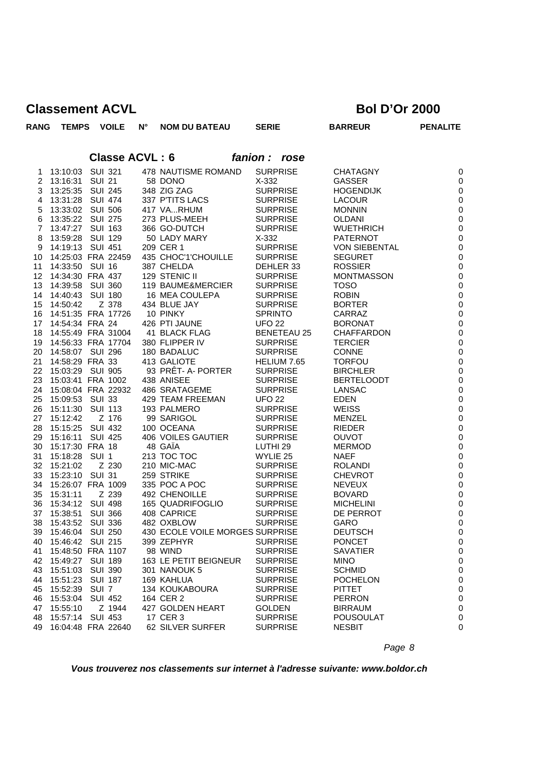| <b>RANG</b>    | <b>TEMPS</b>       |                  | <b>VOILE</b>          | $N^{\circ}$ | <b>NOM DU BATEAU</b>            | <b>SERIE</b>        | <b>BARREUR</b>       | <b>PENALITE</b>  |
|----------------|--------------------|------------------|-----------------------|-------------|---------------------------------|---------------------|----------------------|------------------|
|                |                    |                  | <b>Classe ACVL: 6</b> |             |                                 | fanion: rose        |                      |                  |
| 1              | 13:10:03           | <b>SUI 321</b>   |                       |             | 478 NAUTISME ROMAND             | <b>SURPRISE</b>     | <b>CHATAGNY</b>      | $\pmb{0}$        |
| 2              | 13:16:31           | <b>SUI 21</b>    |                       |             | 58 DONO                         | $X-332$             | <b>GASSER</b>        | $\mathbf 0$      |
| 3              | 13:25:35           | <b>SUI 245</b>   |                       |             | 348 ZIG ZAG                     | <b>SURPRISE</b>     | <b>HOGENDIJK</b>     | $\pmb{0}$        |
| 4              | 13:31:28           | <b>SUI 474</b>   |                       |             | 337 P'TITS LACS                 | <b>SURPRISE</b>     | <b>LACOUR</b>        | $\pmb{0}$        |
| 5              | 13:33:02           | <b>SUI 506</b>   |                       |             | 417 VARHUM                      | <b>SURPRISE</b>     | <b>MONNIN</b>        | $\pmb{0}$        |
| 6              | 13:35:22           | <b>SUI 275</b>   |                       |             | 273 PLUS-MEEH                   | <b>SURPRISE</b>     | <b>OLDANI</b>        | $\pmb{0}$        |
| $\overline{7}$ | 13:47:27           | SUI 163          |                       |             | 366 GO-DUTCH                    | <b>SURPRISE</b>     | <b>WUETHRICH</b>     | $\pmb{0}$        |
| 8              | 13:59:28           | <b>SUI 129</b>   |                       |             | 50 LADY MARY                    | $X-332$             | <b>PATERNOT</b>      | $\pmb{0}$        |
| 9              | 14:19:13           | SUI 451          |                       |             | 209 CER 1                       | <b>SURPRISE</b>     | <b>VON SIEBENTAL</b> | $\pmb{0}$        |
| 10             | 14:25:03 FRA 22459 |                  |                       |             | 435 CHOC'1'CHOUILLE             | <b>SURPRISE</b>     | <b>SEGURET</b>       | $\pmb{0}$        |
| 11             | 14:33:50           | SUI 16           |                       |             | 387 CHELDA                      | DEHLER 33           | <b>ROSSIER</b>       | $\pmb{0}$        |
| 12             | 14:34:30 FRA 437   |                  |                       |             | 129 STENIC II                   | <b>SURPRISE</b>     | <b>MONTMASSON</b>    | $\pmb{0}$        |
| 13             | 14:39:58           | <b>SUI 360</b>   |                       |             | 119 BAUME&MERCIER               | <b>SURPRISE</b>     | <b>TOSO</b>          | $\pmb{0}$        |
| 14             | 14:40:43           | <b>SUI 180</b>   |                       |             | 16 MEA COULEPA                  | <b>SURPRISE</b>     | <b>ROBIN</b>         | $\pmb{0}$        |
| 15             | 14:50:42           |                  | Z 378                 |             | 434 BLUE JAY                    | <b>SURPRISE</b>     | <b>BORTER</b>        | $\pmb{0}$        |
| 16             | 14:51:35 FRA 17726 |                  |                       |             | 10 PINKY                        | <b>SPRINTO</b>      | CARRAZ               | $\pmb{0}$        |
| 17             | 14:54:34 FRA 24    |                  |                       |             | 426 PTI JAUNE                   | <b>UFO 22</b>       | <b>BORONAT</b>       | $\pmb{0}$        |
| 18             | 14:55:49 FRA 31004 |                  |                       |             | 41 BLACK FLAG                   | <b>BENETEAU 25</b>  | <b>CHAFFARDON</b>    | $\pmb{0}$        |
| 19             | 14:56:33 FRA 17704 |                  |                       |             | 380 FLIPPER IV                  | <b>SURPRISE</b>     | <b>TERCIER</b>       | $\pmb{0}$        |
| 20             | 14:58:07 SUI 296   |                  |                       |             | 180 BADALUC                     | <b>SURPRISE</b>     | <b>CONNE</b>         | $\pmb{0}$        |
| 21             | 14:58:29 FRA 33    |                  |                       |             | 413 GALIOTE                     | HELIUM 7.65         | <b>TORFOU</b>        | $\pmb{0}$        |
| 22             | 15:03:29           | <b>SUI 905</b>   |                       |             | 93 PRÊT- A- PORTER              | <b>SURPRISE</b>     | <b>BIRCHLER</b>      | $\pmb{0}$        |
| 23             | 15:03:41 FRA 1002  |                  |                       |             | 438 ANISEE                      | <b>SURPRISE</b>     | <b>BERTELOODT</b>    | $\pmb{0}$        |
| 24             | 15:08:04 FRA 22932 |                  |                       |             | 486 SRATAGEME                   | <b>SURPRISE</b>     | <b>LANSAC</b>        | $\pmb{0}$        |
| 25             | 15:09:53 SUI 33    |                  |                       |             | <b>429 TEAM FREEMAN</b>         | <b>UFO 22</b>       | <b>EDEN</b>          | $\pmb{0}$        |
| 26             | 15:11:30           | <b>SUI 113</b>   |                       |             | 193 PALMERO                     | <b>SURPRISE</b>     | <b>WEISS</b>         | $\pmb{0}$        |
| 27             | 15:12:42           |                  | Z 176                 |             | 99 SARIGOL                      | <b>SURPRISE</b>     | <b>MENZEL</b>        | $\pmb{0}$        |
| 28             | 15:15:25           | <b>SUI 432</b>   |                       |             | 100 OCEANA                      | <b>SURPRISE</b>     | <b>RIEDER</b>        | $\pmb{0}$        |
| 29             | 15:16:11           | <b>SUI 425</b>   |                       |             | 406 VOILES GAUTIER              | <b>SURPRISE</b>     | <b>OUVOT</b>         | $\pmb{0}$        |
| 30             | 15:17:30 FRA 18    |                  |                       |             | 48 GAÏA                         | LUTHI <sub>29</sub> | <b>MERMOD</b>        | $\pmb{0}$        |
| 31             | 15:18:28           | SUI <sub>1</sub> |                       |             | 213 TOC TOC                     | WYLIE 25            | <b>NAEF</b>          | $\boldsymbol{0}$ |
| 32             | 15:21:02           |                  | Z 230                 |             | 210 MIC-MAC                     | <b>SURPRISE</b>     | <b>ROLANDI</b>       | $\pmb{0}$        |
| 33             | 15:23:10           | <b>SUI 31</b>    |                       |             | 259 STRIKE                      | <b>SURPRISE</b>     | <b>CHEVROT</b>       | $\pmb{0}$        |
| 34             | 15:26:07 FRA 1009  |                  |                       |             | 335 POC A POC                   | <b>SURPRISE</b>     | <b>NEVEUX</b>        | $\pmb{0}$        |
| 35             | 15:31:11           |                  | Z 239                 |             | <b>492 CHENOILLE</b>            | <b>SURPRISE</b>     | <b>BOVARD</b>        | $\pmb{0}$        |
| 36             | 15:34:12           | <b>SUI 498</b>   |                       |             | 165 QUADRIFOGLIO                | <b>SURPRISE</b>     | <b>MICHELINI</b>     | $\pmb{0}$        |
| 37             | 15:38:51           | <b>SUI 366</b>   |                       |             | 408 CAPRICE                     | <b>SURPRISE</b>     | DE PERROT            | $\pmb{0}$        |
| 38             | 15:43:52 SUI 336   |                  |                       |             | 482 OXBLOW                      | <b>SURPRISE</b>     | GARO                 | $\mathbf 0$      |
| 39             | 15:46:04 SUI 250   |                  |                       |             | 430 ECOLE VOILE MORGES SURPRISE |                     | <b>DEUTSCH</b>       | $\pmb{0}$        |
| 40             | 15:46:42 SUI 215   |                  |                       |             | 399 ZEPHYR                      | <b>SURPRISE</b>     | <b>PONCET</b>        | $\,0\,$          |
| 41             | 15:48:50 FRA 1107  |                  |                       |             | 98 WIND                         | <b>SURPRISE</b>     | <b>SAVATIER</b>      | $\pmb{0}$        |
| 42             | 15:49:27           | <b>SUI 189</b>   |                       |             | 163 LE PETIT BEIGNEUR           | <b>SURPRISE</b>     | <b>MINO</b>          | 0                |
| 43             | 15:51:03           | <b>SUI 390</b>   |                       |             | 301 NANOUK 5                    | <b>SURPRISE</b>     | <b>SCHMID</b>        | $\mathbf 0$      |
| 44             | 15:51:23           | <b>SUI 187</b>   |                       |             | 169 KAHLUA                      | <b>SURPRISE</b>     | <b>POCHELON</b>      | $\pmb{0}$        |
| 45             | 15:52:39           | SUI <sub>7</sub> |                       |             | 134 KOUKABOURA                  | <b>SURPRISE</b>     | <b>PITTET</b>        | $\pmb{0}$        |
| 46             | 15:53:04           | <b>SUI 452</b>   |                       |             | 164 CER 2                       | <b>SURPRISE</b>     | <b>PERRON</b>        | $\pmb{0}$        |
| 47             | 15:55:10           |                  | Z 1944                |             | 427 GOLDEN HEART                | <b>GOLDEN</b>       | <b>BIRRAUM</b>       | $\,0\,$          |
| 48             | 15:57:14           | <b>SUI 453</b>   |                       |             | 17 CER 3                        | <b>SURPRISE</b>     | <b>POUSOULAT</b>     | $\pmb{0}$        |
| 49             | 16:04:48 FRA 22640 |                  |                       |             | 62 SILVER SURFER                | <b>SURPRISE</b>     | <b>NESBIT</b>        | 0                |

*Page 8*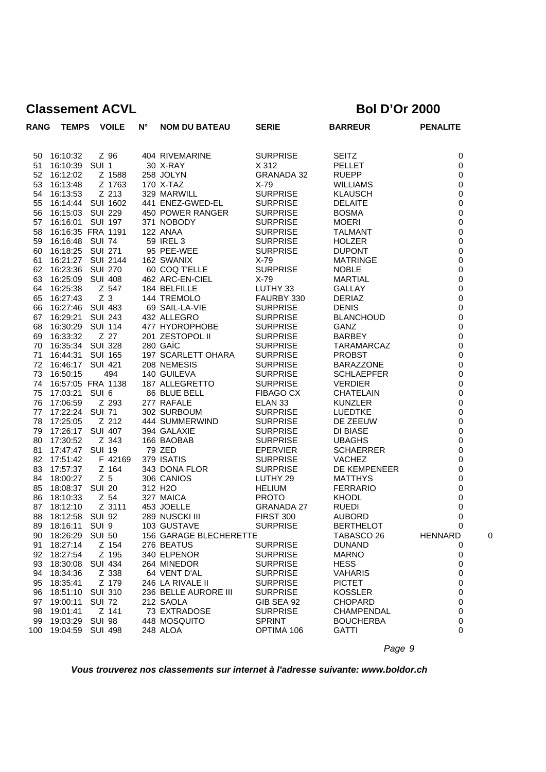| <b>RANG</b> | <b>TEMPS</b>                | <b>VOILE</b>      | $N^{\circ}$ | <b>NOM DU BATEAU</b>                 | <b>SERIE</b>                      | <b>BARREUR</b>                  | <b>PENALITE</b>       |
|-------------|-----------------------------|-------------------|-------------|--------------------------------------|-----------------------------------|---------------------------------|-----------------------|
|             |                             |                   |             |                                      |                                   |                                 |                       |
| 50          | 16:10:32                    | Z 96              |             | 404 RIVEMARINE                       | <b>SURPRISE</b>                   | <b>SEITZ</b>                    | 0                     |
| 51          | 16:10:39 SUI 1              |                   |             | 30 X-RAY                             | X 312                             | <b>PELLET</b>                   | 0                     |
| 52          | 16:12:02                    | Z 1588            |             | 258 JOLYN                            | <b>GRANADA 32</b>                 | <b>RUEPP</b>                    | $\mathbf 0$           |
| 53          | 16:13:48                    | Z 1763            |             | 170 X-TAZ                            | $X-79$                            | <b>WILLIAMS</b>                 | 0                     |
| 54          | 16:13:53                    | Z 213             |             | 329 MARWILL                          | <b>SURPRISE</b>                   | <b>KLAUSCH</b>                  | 0                     |
| 55          |                             | 16:14:44 SUI 1602 |             | 441 ENEZ-GWED-EL                     | <b>SURPRISE</b>                   | <b>DELAITE</b>                  | $\mathbf 0$           |
| 56          | 16:15:03                    | <b>SUI 229</b>    |             | 450 POWER RANGER                     | <b>SURPRISE</b>                   | <b>BOSMA</b>                    | $\pmb{0}$             |
| 57          | 16:16:01                    | SUI 197           |             | 371 NOBODY                           | <b>SURPRISE</b>                   | <b>MOERI</b>                    | 0                     |
| 58          |                             | 16:16:35 FRA 1191 |             | 122 ANAA                             | <b>SURPRISE</b>                   | <b>TALMANT</b>                  | $\mathbf 0$           |
| 59          | 16:16:48 SUI 74             |                   |             | 59 IREL 3                            | <b>SURPRISE</b>                   | <b>HOLZER</b>                   | $\mathbf 0$           |
| 60          | 16:18:25                    | SUI 271           |             | 95 PEE-WEE                           | <b>SURPRISE</b>                   | <b>DUPONT</b>                   | 0                     |
| 61          |                             | 16:21:27 SUI 2144 |             | 162 SWANIX                           | $X-79$                            | <b>MATRINGE</b>                 | $\mathbf 0$           |
| 62          | 16:23:36                    | <b>SUI 270</b>    |             | 60 COQ T'ELLE                        | <b>SURPRISE</b>                   | <b>NOBLE</b>                    | $\mathbf 0$           |
| 63          | 16:25:09                    | <b>SUI 408</b>    |             | 462 ARC-EN-CIEL                      | $X-79$                            | MARTIAL                         | $\mathbf 0$           |
| 64          | 16:25:38                    | Z 547             |             | 184 BELFILLE                         | LUTHY 33                          | <b>GALLAY</b>                   | 0                     |
| 65          | 16:27:43                    | Z <sub>3</sub>    |             | 144 TREMOLO                          | FAURBY 330                        | <b>DERIAZ</b>                   | $\mathbf 0$           |
| 66          | 16:27:46 SUI 483            |                   |             | 69 SAIL-LA-VIE                       | <b>SURPRISE</b>                   | <b>DENIS</b>                    | $\mathbf 0$           |
| 67          | 16:29:21                    | <b>SUI 243</b>    |             | 432 ALLEGRO                          | <b>SURPRISE</b>                   | <b>BLANCHOUD</b>                | $\pmb{0}$             |
| 68          | 16:30:29                    | SUI 114           |             | 477 HYDROPHOBE                       | <b>SURPRISE</b>                   | <b>GANZ</b>                     | $\mathbf 0$           |
| 69          | 16:33:32                    | Z 27              |             | 201 ZESTOPOL II                      | <b>SURPRISE</b>                   | <b>BARBEY</b>                   | $\mathbf 0$           |
| 70          | 16:35:34 SUI 328            |                   |             | 280 GAIC                             | <b>SURPRISE</b>                   | TARAMARCAZ                      | $\mathbf 0$           |
| 71          | 16:44:31                    | <b>SUI 165</b>    |             | 197 SCARLETT OHARA                   | <b>SURPRISE</b>                   | <b>PROBST</b>                   | $\mathbf 0$           |
| 72          | 16:46:17 SUI 421            |                   |             | 208 NEMESIS                          | <b>SURPRISE</b>                   | <b>BARAZZONE</b>                | 0                     |
| 73          | 16:50:15                    | 494               |             | 140 GUILEVA                          | <b>SURPRISE</b>                   | <b>SCHLAEPFER</b>               | 0                     |
| 74          |                             | 16:57:05 FRA 1138 |             | 187 ALLEGRETTO                       | <b>SURPRISE</b>                   | <b>VERDIER</b>                  | $\mathbf 0$           |
| 75          | 17:03:21                    | SUI <sub>6</sub>  |             | 86 BLUE BELL                         | <b>FIBAGO CX</b>                  | <b>CHATELAIN</b>                | $\mathbf 0$           |
| 76          | 17:06:59                    | Z 293             |             | 277 RAFALE                           | ELAN <sub>33</sub>                | <b>KUNZLER</b>                  | $\mathbf 0$           |
| 77          | 17:22:24 SUI 71             |                   |             | 302 SURBOUM                          | <b>SURPRISE</b>                   | <b>LUEDTKE</b>                  | $\mathbf 0$           |
| 78          | 17:25:05                    | Z 212             |             | 444 SUMMERWIND                       | <b>SURPRISE</b>                   | DE ZEEUW                        | $\pmb{0}$             |
| 79          | 17:26:17 SUI 407            |                   |             | 394 GALAXIE                          | <b>SURPRISE</b>                   | DI BIASE                        | $\mathbf 0$           |
| 80          | 17:30:52                    | Z 343             |             | 166 BAOBAB                           | <b>SURPRISE</b>                   | <b>UBAGHS</b>                   | $\mathbf 0$           |
| 81          | 17:47:47 SUI 19             |                   |             | 79 ZED                               | <b>EPERVIER</b>                   | <b>SCHAERRER</b>                | $\mathbf 0$           |
| 82          | 17:51:42                    | F 42169           |             | 379 ISATIS                           | <b>SURPRISE</b>                   | <b>VACHEZ</b>                   | 0                     |
| 83          | 17:57:37                    | Z 164             |             | 343 DONA FLOR                        | <b>SURPRISE</b>                   | DE KEMPENEER                    | 0                     |
| 84          | 18:00:27                    | Z <sub>5</sub>    |             | 306 CANIOS                           | LUTHY 29                          | <b>MATTHYS</b>                  | $\mathbf 0$           |
| 85          | 18:08:37 SUI 20             | Z 54              |             | 312 H <sub>2</sub> O                 | <b>HELIUM</b>                     | <b>FERRARIO</b><br><b>KHODL</b> | $\mathbf 0$           |
| 86<br>87    | 18:10:33                    | Z 3111            |             | 327 MAICA                            | <b>PROTO</b><br><b>GRANADA 27</b> |                                 | 0                     |
| 88          | 18:12:10<br>18:12:58 SUI 92 |                   |             | 453 JOELLE<br>289 NUSCKI III         | <b>FIRST 300</b>                  | <b>RUEDI</b><br>AUBORD          | $\pmb{0}$<br>$\Omega$ |
| 89          |                             | SUI 9             |             | 103 GUSTAVE                          | <b>SURPRISE</b>                   | <b>BERTHELOT</b>                | $\mathsf 0$           |
|             | 18:16:11                    | <b>SUI 50</b>     |             |                                      |                                   |                                 | C                     |
| 90<br>91    | 18:26:29<br>18:27:14        | Z 154             |             | 156 GARAGE BLECHERETTE<br>276 BEATUS | <b>SURPRISE</b>                   | TABASCO 26<br><b>DUNAND</b>     | <b>HENNARD</b><br>0   |
| 92          | 18:27:54                    | Z 195             |             | 340 ELPENOR                          | <b>SURPRISE</b>                   | <b>MARNO</b>                    | 0                     |
| 93          | 18:30:08                    | <b>SUI 434</b>    |             | 264 MINEDOR                          | <b>SURPRISE</b>                   | <b>HESS</b>                     | 0                     |
| 94          | 18:34:36                    | Z 338             |             | 64 VENT D'AL                         | <b>SURPRISE</b>                   | <b>VAHARIS</b>                  | 0                     |
| 95          | 18:35:41                    | Z 179             |             | 246 LA RIVALE II                     | <b>SURPRISE</b>                   | <b>PICTET</b>                   | 0                     |
| 96          | 18:51:10                    | <b>SUI 310</b>    |             | 236 BELLE AURORE III                 | <b>SURPRISE</b>                   | <b>KOSSLER</b>                  | 0                     |
| 97          | 19:00:11                    | <b>SUI 72</b>     |             | 212 SAOLA                            | GIB SEA 92                        | <b>CHOPARD</b>                  | 0                     |
| 98          | 19:01:41                    | Z 141             |             | 73 EXTRADOSE                         | <b>SURPRISE</b>                   | <b>CHAMPENDAL</b>               | 0                     |
| 99          | 19:03:29                    | <b>SUI 98</b>     |             | 448 MOSQUITO                         | <b>SPRINT</b>                     | <b>BOUCHERBA</b>                | 0                     |
| 100         | 19:04:59                    | <b>SUI 498</b>    |             | 248 ALOA                             | OPTIMA 106                        | <b>GATTI</b>                    | 0                     |
|             |                             |                   |             |                                      |                                   |                                 |                       |

*Page 9*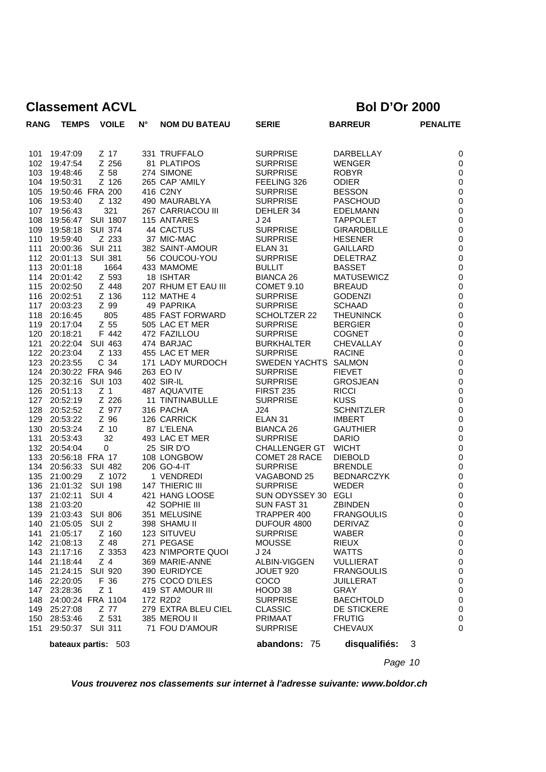| <b>RANG</b> | <b>TEMPS</b>                 |                | <b>VOILE</b>   | N° | <b>NOM DU BATEAU</b>                 | <b>SERIE</b>                       | <b>BARREUR</b>                  | <b>PENALITE</b>                 |
|-------------|------------------------------|----------------|----------------|----|--------------------------------------|------------------------------------|---------------------------------|---------------------------------|
| 101         | 19:47:09                     |                | Z 17           |    | 331 TRUFFALO                         | <b>SURPRISE</b>                    | DARBELLAY                       | $\mathbf 0$                     |
| 102         | 19:47:54                     |                | Z 256          |    | 81 PLATIPOS                          | <b>SURPRISE</b>                    | WENGER                          | $\boldsymbol{0}$                |
| 103         | 19:48:46                     |                | Z 58           |    | 274 SIMONE                           | <b>SURPRISE</b>                    | <b>ROBYR</b>                    | $\mathbf 0$                     |
| 104         | 19:50:31                     |                | Z 126          |    | 265 CAP 'AMILY                       | FEELING 326                        | <b>ODIER</b>                    | $\boldsymbol{0}$                |
| 105         | 19:50:46 FRA 200             |                |                |    | 416 C2NY                             | <b>SURPRISE</b>                    | <b>BESSON</b>                   | $\boldsymbol{0}$                |
| 106         | 19:53:40                     |                | Z 132          |    | 490 MAURABLYA                        | <b>SURPRISE</b>                    | <b>PASCHOUD</b>                 | $\pmb{0}$                       |
| 107         | 19:56:43                     |                | 321            |    | 267 CARRIACOU III                    | DEHLER 34                          | <b>EDELMANN</b>                 | $\boldsymbol{0}$                |
| 108         | 19:56:47 SUI 1807            |                |                |    | 115 ANTARES                          | J 24                               | <b>TAPPOLET</b>                 | $\boldsymbol{0}$                |
| 109         | 19:58:18                     | <b>SUI 374</b> |                |    | 44 CACTUS                            | <b>SURPRISE</b>                    | <b>GIRARDBILLE</b>              | $\boldsymbol{0}$                |
| 110         | 19:59:40                     |                | Z 233          |    | 37 MIC-MAC                           | <b>SURPRISE</b>                    | <b>HESENER</b>                  | $\boldsymbol{0}$                |
| 111         | 20:00:36 SUI 211             |                |                |    | 382 SAINT-AMOUR                      | ELAN <sub>31</sub>                 | GAILLARD                        | $\boldsymbol{0}$                |
|             | 112 20:01:13 SUI 381         |                |                |    | 56 COUCOU-YOU                        | <b>SURPRISE</b>                    | <b>DELETRAZ</b>                 | $\boldsymbol{0}$                |
|             | 113 20:01:18                 |                | 1664           |    | 433 MAMOME                           | <b>BULLIT</b>                      | <b>BASSET</b>                   | $\pmb{0}$                       |
| 114         | 20:01:42                     |                | Z 593          |    | 18 ISHTAR                            | <b>BIANCA 26</b>                   | <b>MATUSEWICZ</b>               | $\boldsymbol{0}$                |
| 115         | 20:02:50                     |                | Z 448          |    | 207 RHUM ET EAU III                  | COMET 9.10                         | <b>BREAUD</b>                   | $\mathbf 0$                     |
|             | 116 20:02:51                 |                | Z 136          |    | <b>112 MATHE 4</b>                   | <b>SURPRISE</b>                    | <b>GODENZI</b>                  | $\boldsymbol{0}$                |
| 117         | 20:03:23                     |                | Z 99           |    | 49 PAPRIKA                           | <b>SURPRISE</b>                    | <b>SCHAAD</b>                   | $\pmb{0}$                       |
| 118         | 20:16:45                     |                | 805            |    | 485 FAST FORWARD                     | SCHOLTZER 22                       | <b>THEUNINCK</b>                | $\mathbf 0$<br>$\boldsymbol{0}$ |
|             | 119 20:17:04<br>120 20:18:21 |                | Z 55<br>F 442  |    | 505 LAC ET MER<br>472 FAZILLOU       | <b>SURPRISE</b><br><b>SURPRISE</b> | <b>BERGIER</b><br><b>COGNET</b> | $\pmb{0}$                       |
| 121         | 20:22:04 SUI 463             |                |                |    | 474 BARJAC                           | <b>BURKHALTER</b>                  | CHEVALLAY                       | $\boldsymbol{0}$                |
| 122         | 20:23:04                     |                | Z 133          |    | 455 LAC ET MER                       | <b>SURPRISE</b>                    | <b>RACINE</b>                   | $\boldsymbol{0}$                |
| 123         | 20:23:55                     |                | C 34           |    | 171 LADY MURDOCH                     | SWEDEN YACHTS SALMON               |                                 | $\boldsymbol{0}$                |
| 124         | 20:30:22 FRA 946             |                |                |    | 263 EO IV                            | <b>SURPRISE</b>                    | <b>FIEVET</b>                   | $\pmb{0}$                       |
| 125         | 20:32:16 SUI 103             |                |                |    | 402 SIR-IL                           | <b>SURPRISE</b>                    | <b>GROSJEAN</b>                 | $\boldsymbol{0}$                |
| 126         | 20:51:13                     | Z <sub>1</sub> |                |    | 487 AQUA'VITE                        | <b>FIRST 235</b>                   | <b>RICCI</b>                    | $\mathbf 0$                     |
| 127         | 20:52:19                     |                | Z 226          |    | 11 TINTINABULLE                      | <b>SURPRISE</b>                    | <b>KUSS</b>                     | $\boldsymbol{0}$                |
| 128         | 20:52:52                     |                | Z 977          |    | 316 PACHA                            | J24                                | <b>SCHNITZLER</b>               | $\pmb{0}$                       |
| 129         | 20:53:22                     |                | Z 96           |    | 126 CARRICK                          | ELAN <sub>31</sub>                 | <b>IMBERT</b>                   | $\mathbf 0$                     |
| 130         | 20:53:24                     |                | $Z$ 10         |    | 87 L'ELENA                           | <b>BIANCA 26</b>                   | <b>GAUTHIER</b>                 | $\boldsymbol{0}$                |
| 131         | 20:53:43                     |                | 32             |    | 493 LAC ET MER                       | <b>SURPRISE</b>                    | <b>DARIO</b>                    | $\boldsymbol{0}$                |
| 132         | 20:54:04                     |                | 0              |    | 25 SIR D'O                           | <b>CHALLENGER GT</b>               | <b>WICHT</b>                    | $\pmb{0}$                       |
| 133         | 20:56:18 FRA 17              |                |                |    | 108 LONGBOW                          | COMET 28 RACE                      | <b>DIEBOLD</b>                  | $\boldsymbol{0}$                |
|             | 134 20:56:33 SUI 482         |                |                |    | 206 GO-4-IT                          | <b>SURPRISE</b>                    | <b>BRENDLE</b>                  | $\boldsymbol{0}$                |
| 135         | 21:00:29                     |                | Z 1072         |    | 1 VENDREDI                           | VAGABOND 25                        | <b>BEDNARCZYK</b>               | $\pmb{0}$                       |
| 136         | 21:01:32 SUI 198             |                |                |    | 147 THIERIC III                      | <b>SURPRISE</b>                    | <b>WEDER</b>                    | $\mathbf 0$                     |
| 137         | 21:02:11                     | SUI 4          |                |    | 421 HANG LOOSE                       | SUN ODYSSEY 30 EGLI                |                                 | $\mathbf 0$                     |
| 138         | 21:03:20                     |                |                |    | 42 SOPHIE III                        | SUN FAST 31                        | <b>ZBINDEN</b>                  | $\boldsymbol{0}$                |
| 139         | 21:03:43 SUI 806             |                |                |    | 351 MELUSINE                         | TRAPPER 400                        | <b>FRANGOULIS</b>               | $\boldsymbol{0}$                |
| 140         | 21:05:05 SUI 2               |                |                |    | 398 SHAMU II                         | DUFOUR 4800                        | <b>DERIVAZ</b>                  | $\mathbf 0$                     |
|             |                              |                |                |    | 123 SITUVEU                          | <b>SURPRISE</b>                    | WABER                           | $\overline{\mathbf{0}}$         |
| 143         | 142 21:08:13                 |                | Z 48<br>Z 3353 |    | 271 PEGASE                           | <b>MOUSSE</b><br>J 24              | RIEUX<br><b>WATTS</b>           | 0                               |
| 144         | 21:17:16<br>21:18:44         |                | $Z$ 4          |    | 423 N'IMPORTE QUOI<br>369 MARIE-ANNE | ALBIN-VIGGEN                       | <b>VULLIERAT</b>                | 0<br>0                          |
| 145         | 21:24:15                     | <b>SUI 920</b> |                |    | 390 EURIDYCE                         | JOUET 920                          | <b>FRANGOULIS</b>               | 0                               |
| 146         | 22:20:05                     |                | F 36           |    | 275 COCO D'ILES                      | COCO                               | JUILLERAT                       | 0                               |
| 147         | 23:28:36                     | Z <sub>1</sub> |                |    | 419 ST AMOUR III                     | HOOD 38                            | <b>GRAY</b>                     | 0                               |
| 148         | 24:00:24 FRA 1104            |                |                |    | 172 R2D2                             | <b>SURPRISE</b>                    | <b>BAECHTOLD</b>                | 0                               |
| 149         | 25:27:08                     |                | Z 77           |    | 279 EXTRA BLEU CIEL                  | <b>CLASSIC</b>                     | <b>DE STICKERE</b>              | 0                               |
| 150         | 28:53:46                     |                | Z 531          |    | 385 MEROU II                         | <b>PRIMAAT</b>                     | <b>FRUTIG</b>                   | 0                               |
| 151         | 29:50:37                     | <b>SUI 311</b> |                |    | 71 FOU D'AMOUR                       | <b>SURPRISE</b>                    | <b>CHEVAUX</b>                  | 0                               |
|             | bateaux partis: 503          |                |                |    |                                      | abandons: 75                       | disqualifiés:                   | 3                               |
|             |                              |                |                |    |                                      |                                    |                                 |                                 |

*Page 10*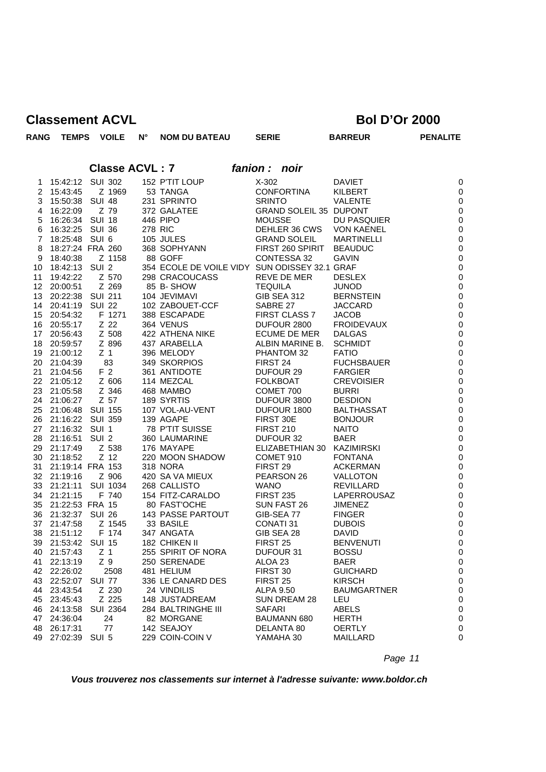**RANG TEMPS VOILE N° NOM DU BATEAU SERIE BARREUR PENALITE**

**Classe ACVL : 7** *fanion : noir*

| 1        |                             | 15:42:12 SUI 302      | 152 P'TIT LOUP                                | $X-302$                    | <b>DAVIET</b>                    | C                            |
|----------|-----------------------------|-----------------------|-----------------------------------------------|----------------------------|----------------------------------|------------------------------|
| 2        | 15:43:45                    | Z 1969                | 53 TANGA                                      | <b>CONFORTINA</b>          | KILBERT                          | C                            |
| 3        | 15:50:38 SUI 48             |                       | 231 SPRINTO                                   | <b>SRINTO</b>              | VALENTE                          | C                            |
| 4        | 16:22:09                    | Z 79                  | 372 GALATEE                                   | GRAND SOLEIL 35 DUPONT     |                                  | $\mathsf{C}$                 |
| 5        | 16:26:34 SUI 18             |                       | 446 PIPO                                      | <b>MOUSSE</b>              | DU PASQUIER                      | $\mathsf{C}$                 |
| 6        | 16:32:25                    | SUI 36                | 278 RIC                                       | DEHLER 36 CWS              | <b>VON KAENEL</b>                | $\mathsf{C}$                 |
| 7        | 18:25:48 SUI 6              |                       | 105 JULES                                     | <b>GRAND SOLEIL</b>        | <b>MARTINELLI</b>                | $\mathsf{C}$                 |
| 8        |                             | 18:27:24 FRA 260      | 368 SOPHYANN                                  | FIRST 260 SPIRIT           | <b>BEAUDUC</b>                   | $\mathsf{C}$                 |
| 9        | 18:40:38                    | Z 1158                | 88 GOFF                                       | CONTESSA 32                | <b>GAVIN</b>                     | $\mathsf{C}$                 |
| 10       | 18:42:13                    | SUI <sub>2</sub>      | 354 ECOLE DE VOILE VIDY SUN ODISSEY 32.1 GRAF |                            |                                  | $\mathsf{C}$                 |
| 11       | 19:42:22                    | Z 570                 | 298 CRACOUCASS                                | REVE DE MER                | <b>DESLEX</b>                    | $\mathsf{C}$                 |
| 12       | 20:00:51                    | Z 269                 | 85 B-SHOW                                     | <b>TEQUILA</b>             | <b>JUNOD</b>                     | $\mathsf{C}$                 |
| 13       | 20:22:38 SUI 211            |                       | 104 JEVIMAVI                                  | <b>GIB SEA 312</b>         | <b>BERNSTEIN</b>                 | $\mathsf{C}$                 |
| 14       | 20:41:19                    | SUI 22                | 102 ZABOUET-CCF                               | SABRE 27                   | JACCARD                          | $\mathsf{C}$                 |
| 15       | 20:54:32                    | F 1271                | 388 ESCAPADE                                  | FIRST CLASS 7              | <b>JACOB</b>                     | $\mathsf{C}$                 |
| 16       | 20:55:17                    | Z 22                  | 364 VENUS                                     | DUFOUR 2800                | <b>FROIDEVAUX</b>                | $\mathsf{C}$                 |
| 17       | 20:56:43                    | Z 508                 | 422 ATHENA NIKE                               | ECUME DE MER               | <b>DALGAS</b>                    | $\mathsf{C}$                 |
| 18       | 20:59:57                    | Z 896                 | 437 ARABELLA                                  | ALBIN MARINE B.            | <b>SCHMIDT</b>                   | $\mathsf{C}$                 |
| 19       | 21:00:12                    | Z <sub>1</sub>        | 396 MELODY                                    | PHANTOM 32                 | <b>FATIO</b>                     | $\mathsf{C}$                 |
| 20       | 21:04:39                    | 83                    | 349 SKORPIOS                                  | FIRST 24                   | <b>FUCHSBAUER</b>                | $\mathsf{C}$                 |
| 21       | 21:04:56                    | F 2                   | 361 ANTIDOTE                                  | DUFOUR 29                  | <b>FARGIER</b>                   | $\mathsf{C}$                 |
| 22       | 21:05:12                    | Z 606                 | 114 MEZCAL                                    | <b>FOLKBOAT</b>            | <b>CREVOISIER</b>                | $\mathsf{C}$                 |
|          | 23 21:05:58                 | Z 346                 | 468 MAMBO                                     | COMET 700                  | <b>BURRI</b>                     | $\mathsf{C}$                 |
| 24       | 21:06:27                    | Z 57                  | 189 SYRTIS                                    | DUFOUR 3800                | <b>DESDION</b>                   | $\mathsf{C}$                 |
| 25       | 21:06:48 SUI 155            |                       | 107 VOL-AU-VENT                               | DUFOUR 1800                | <b>BALTHASSAT</b>                | $\mathsf{C}$                 |
| 26       | 21:16:22 SUI 359            |                       | 139 AGAPE                                     | FIRST 30E                  | <b>BONJOUR</b>                   | $\mathsf{C}$                 |
| 27       | 21:16:32 SUI 1              |                       | 78 P'TIT SUISSE                               | <b>FIRST 210</b>           | <b>NAITO</b>                     | $\mathsf{C}$                 |
| 28       | 21:16:51 SUI 2              |                       | 360 LAUMARINE                                 | DUFOUR 32                  | BAER                             | $\mathsf{C}$                 |
| 29       | 21:17:49                    | Z 538                 | 176 MAYAPE                                    | ELIZABETHIAN 30 KAZIMIRSKI |                                  | $\mathsf{C}$                 |
| 30       | 21:18:52                    | Z 12                  | 220 MOON SHADOW                               | COMET 910                  | <b>FONTANA</b>                   | C                            |
| 31       | 21:19:14 FRA 153            |                       | <b>318 NORA</b>                               | FIRST 29                   | <b>ACKERMAN</b>                  | $\mathsf{C}$                 |
| 32       | 21:19:16                    | Z 906                 | 420 SA VA MIEUX                               | PEARSON 26                 | VALLOTON                         | C                            |
| 33       |                             | 21:21:11 SUI 1034     | 268 CALLISTO                                  | <b>WANO</b>                | <b>REVILLARD</b>                 | $\mathsf{C}$                 |
| 34       | 21:21:15                    | F 740                 | 154 FITZ-CARALDO                              | <b>FIRST 235</b>           | LAPERROUSAZ                      | $\mathsf{C}$                 |
| 35       | 21:22:53 FRA 15             |                       | 80 FAST'OCHE                                  | SUN FAST 26                | <b>JIMENEZ</b>                   | C                            |
| 36       | 21:32:37 SUI 26             |                       | <b>143 PASSE PARTOUT</b>                      | GIB-SEA 77                 | <b>FINGER</b>                    | $\mathsf{C}$                 |
| 37       | 21:47:58                    | Z 1545                | 33 BASILE                                     | CONATI 31                  | <b>DUBOIS</b>                    | C                            |
| 38       | 21:51:12                    | F 174                 | 347 ANGATA                                    | GIB SEA 28                 | <b>DAVID</b>                     | C                            |
| 39<br>40 | 21:53:42 SUI 15<br>21:57:43 |                       | 182 CHIKEN II                                 | FIRST <sub>25</sub>        | <b>BENVENUTI</b><br><b>BOSSU</b> | $\mathsf{C}$                 |
|          |                             | Z <sub>1</sub><br>Z 9 | 255 SPIRIT OF NORA                            | DUFOUR 31                  |                                  | C<br>$\mathsf{C}$            |
| 41       | 22:13:19<br>42 22:26:02     | 2508                  | 250 SERENADE<br>481 HELIUM                    | ALOA 23<br>FIRST 30        | BAER                             |                              |
|          |                             |                       | 336 LE CANARD DES                             | FIRST <sub>25</sub>        | <b>GUICHARD</b><br><b>KIRSCH</b> | $\mathsf{C}$<br>$\mathsf{C}$ |
| 43       | 22:52:07 SUI 77<br>23:43:54 |                       | 24 VINDILIS                                   |                            |                                  |                              |
| 44<br>45 | 23:45:43                    | Z 230<br>Z 225        | 148 JUSTADREAM                                | ALPA 9.50<br>SUN DREAM 28  | <b>BAUMGARTNER</b><br>LEU        | $\mathsf{C}$<br>$\mathsf{C}$ |
| 46       |                             | 24:13:58 SUI 2364     | 284 BALTRINGHE III                            | <b>SAFARI</b>              | ABELS                            | $\mathsf{C}$                 |
| 47       | 24:36:04                    | 24                    | 82 MORGANE                                    | <b>BAUMANN 680</b>         | <b>HERTH</b>                     | $\mathsf{C}$                 |
| 48       | 26:17:31                    | 77                    | 142 SEAJOY                                    | DELANTA 80                 | OERTLY                           | C                            |
| 49       | 27:02:39                    | SUI 5                 | 229 COIN-COIN V                               | YAMAHA 30                  | <b>MAILLARD</b>                  | $\mathsf{C}$                 |
|          |                             |                       |                                               |                            |                                  |                              |

*Page 11*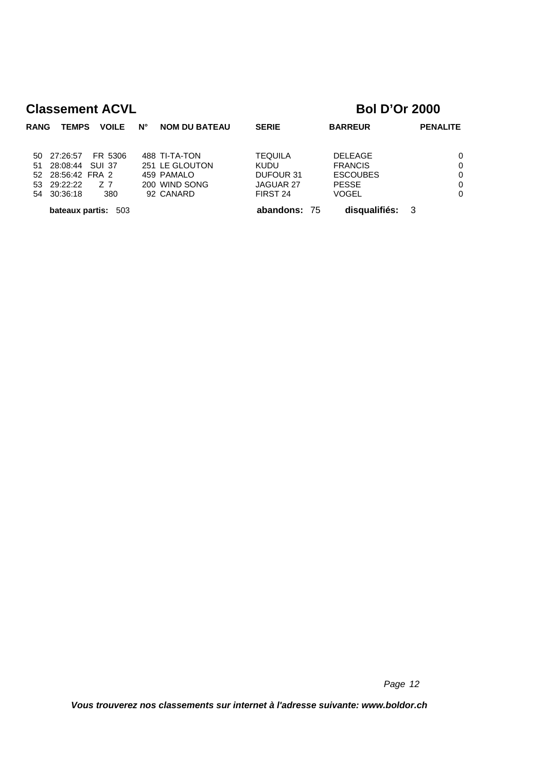| <b>RANG</b> | <b>TEMPS</b>      | <b>VOILE</b>        | <b>NOM DU BATEAU</b><br>Ν° | <b>SERIE</b>   | <b>BARREUR</b>  | <b>PENALITE</b> |
|-------------|-------------------|---------------------|----------------------------|----------------|-----------------|-----------------|
|             |                   |                     |                            |                |                 |                 |
|             | 50 27:26:57       | FR 5306             | 488 TI-TA-TON              | <b>TEQUILA</b> | <b>DELEAGE</b>  | $\Omega$        |
| 51          | 28:08:44 SUI 37   |                     | 251 LE GLOUTON             | <b>KUDU</b>    | <b>FRANCIS</b>  | $\Omega$        |
|             | 52 28:56:42 FRA 2 |                     | 459 PAMALO                 | DUFOUR 31      | <b>ESCOUBES</b> | $\Omega$        |
| 53.         | 29:22:22          | Z 7                 | 200 WIND SONG              | JAGUAR 27      | <b>PESSE</b>    | $\Omega$        |
|             | 54 30:36:18       | 380                 | 92 CANARD                  | FIRST 24       | <b>VOGEL</b>    | $\Omega$        |
|             |                   | bateaux partis: 503 |                            | abandons: 75   | disqualifiés:   | -3              |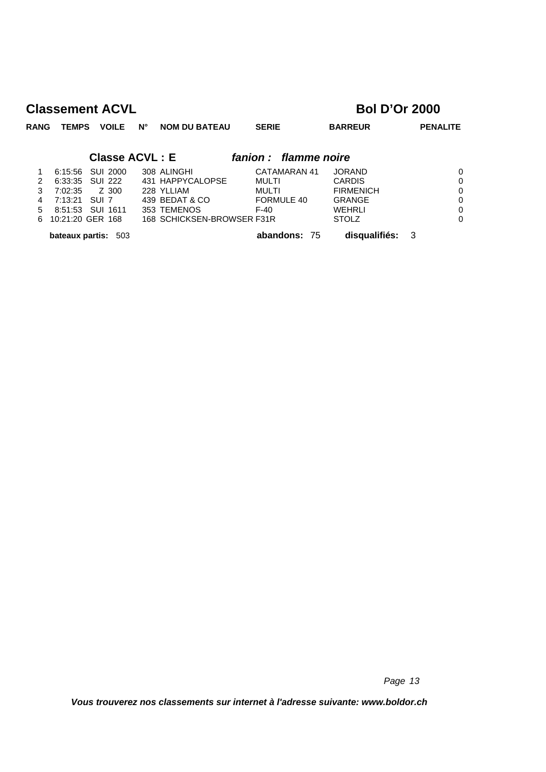| <b>RANG</b>   | <b>TEMPS</b>               |          | <b>VOILE</b> | $N^{\circ}$           | <b>NOM DU BATEAU</b>       | <b>SERIE</b>          |              | <b>BARREUR</b>   |     | <b>PENALITE</b> |
|---------------|----------------------------|----------|--------------|-----------------------|----------------------------|-----------------------|--------------|------------------|-----|-----------------|
|               |                            |          |              | <b>Classe ACVL: E</b> |                            | fanion : flamme noire |              |                  |     |                 |
|               | 6:15:56                    |          | SUI 2000     |                       | 308 ALINGHI                |                       | CATAMARAN 41 | <b>JORAND</b>    |     | 0               |
| $\mathcal{P}$ | 6:33:35                    | SUI 222  |              |                       | 431 HAPPYCALOPSE           | MULTI                 |              | <b>CARDIS</b>    |     | 0               |
| 3             | 7:02:35                    |          | Z 300        |                       | 228 YLLIAM                 | MULTI                 |              | <b>FIRMENICH</b> |     | 0               |
| 4             | 7:13:21 SUI 7              |          |              |                       | 439 BEDAT & CO             |                       | FORMULE 40   | <b>GRANGE</b>    |     | 0               |
| 5             | 8:51:53                    | SUI 1611 |              |                       | 353 TEMENOS                | F-40                  |              | WEHRLI           |     | 0               |
| 6             | 10:21:20 GER 168           |          |              |                       | 168 SCHICKSEN-BROWSER F31R |                       |              | <b>STOLZ</b>     |     | $\Omega$        |
|               | <b>bateaux partis: 503</b> |          |              |                       |                            |                       | abandons: 75 | disqualifiés:    | - 3 |                 |

*Page 13*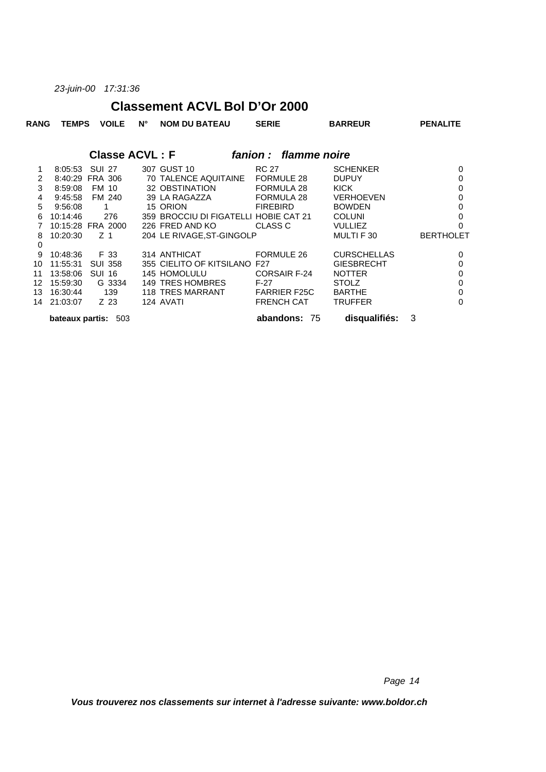*23-juin-00 17:31:36*

#### **Classement ACVL Bol D'Or 2000**

| <b>RANG</b> | <b>TEMPS</b>    | <b>VOILE</b>          | N° | <b>NOM DU BATEAU</b>                  | <b>SERIE</b>         | <b>BARREUR</b>     | <b>PENALITE</b>  |
|-------------|-----------------|-----------------------|----|---------------------------------------|----------------------|--------------------|------------------|
|             |                 | <b>Classe ACVL: F</b> |    |                                       | fanion: flamme noire |                    |                  |
| 1           | 8:05:53         | <b>SUI 27</b>         |    | 307 GUST 10                           | <b>RC 27</b>         | <b>SCHENKER</b>    | $\Omega$         |
| 2           | 8:40:29         | <b>FRA 306</b>        |    | 70 TALENCE AQUITAINE                  | FORMULE 28           | <b>DUPUY</b>       | 0                |
| 3           | 8:59:08         | FM 10                 |    | 32 OBSTINATION                        | FORMULA 28           | KICK               | $\mathbf 0$      |
| 4           | 9:45:58         | FM 240                |    | 39 LA RAGAZZA                         | FORMULA 28           | <b>VERHOEVEN</b>   | $\Omega$         |
| 5           | 9:56:08         | 1                     |    | 15 ORION                              | <b>FIREBIRD</b>      | <b>BOWDEN</b>      | 0                |
| 6           | 10:14:46        | 276                   |    | 359 BROCCIU DI FIGATELLI HOBIE CAT 21 |                      | <b>COLUNI</b>      | 0                |
|             |                 | 10:15:28 FRA 2000     |    | 226 FRED AND KO                       | CLASS C              | <b>VULLIEZ</b>     | 0                |
| 8           | 10:20:30        | Z 1                   |    | 204 LE RIVAGE, ST-GINGOLP             |                      | MULTI F 30         | <b>BERTHOLET</b> |
| 0           |                 |                       |    |                                       |                      |                    |                  |
| 9           | 10:48:36        | F 33                  |    | 314 ANTHICAT                          | <b>FORMULE 26</b>    | <b>CURSCHELLAS</b> | 0                |
| 10          | 11:55:31        | <b>SUI 358</b>        |    | 355 CIELITO OF KITSILANO              | F27                  | <b>GIESBRECHT</b>  | $\mathbf 0$      |
| 11          | 13:58:06        | <b>SUI 16</b>         |    | 145 HOMOLULU                          | <b>CORSAIR F-24</b>  | <b>NOTTER</b>      | 0                |
| 12          | 15:59:30        | G 3334                |    | 149 TRES HOMBRES                      | F-27                 | <b>STOLZ</b>       | $\mathbf 0$      |
| 13          | 16:30:44        | 139                   |    | 118 TRES MARRANT                      | <b>FARRIER F25C</b>  | <b>BARTHE</b>      | $\mathbf 0$      |
| 14          | 21:03:07        | Z 23                  |    | 124 AVATI                             | <b>FRENCH CAT</b>    | <b>TRUFFER</b>     | $\Omega$         |
|             | bateaux partis: | 503                   |    |                                       | abandons:<br>- 75    | disqualifiés:      | 3                |

*Page 14*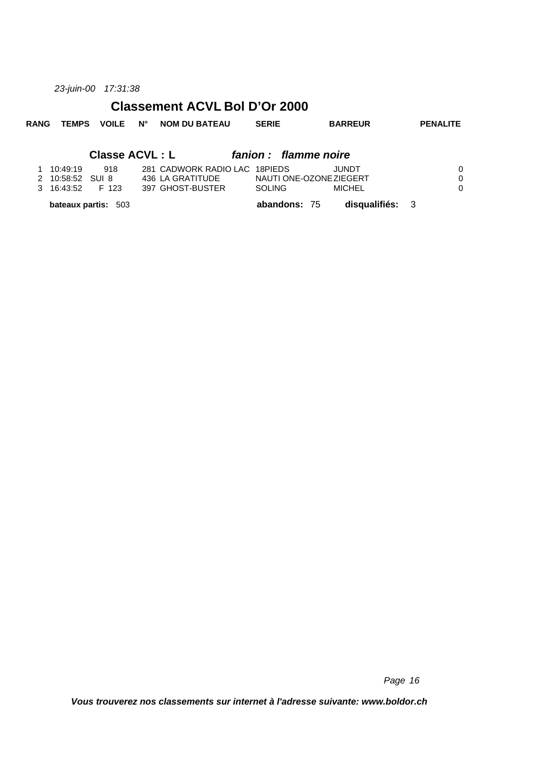*23-juin-00 17:31:38*

#### **Classement ACVL Bol D'Or 2000**

|  |  |  |  | RANG TEMPS VOILE N° NOMIDUIBATEAU | <b>SERIE</b> | <b>BARREUR</b> | <b>PENALITE</b> |
|--|--|--|--|-----------------------------------|--------------|----------------|-----------------|
|--|--|--|--|-----------------------------------|--------------|----------------|-----------------|

#### **Classe ACVL : L** *fanion : flamme noire*

|                    | <b>bateaux partis: 503</b> |                               | abandons: 75            | disqualifiés: 3 |   |
|--------------------|----------------------------|-------------------------------|-------------------------|-----------------|---|
| 3 16:43:52 F 123   |                            | 397 GHOST-BUSTER              | <b>SOLING</b>           | MICHEL          |   |
| 2 10:58:52 SUI 8   |                            | 436 LA GRATITUDE              | NAUTI ONE-OZONE ZIEGERT |                 | 0 |
| $1 \quad 10:49:19$ | 918                        | 281 CADWORK RADIO LAC 18PIEDS |                         | JUNDT.          |   |

*Page 16*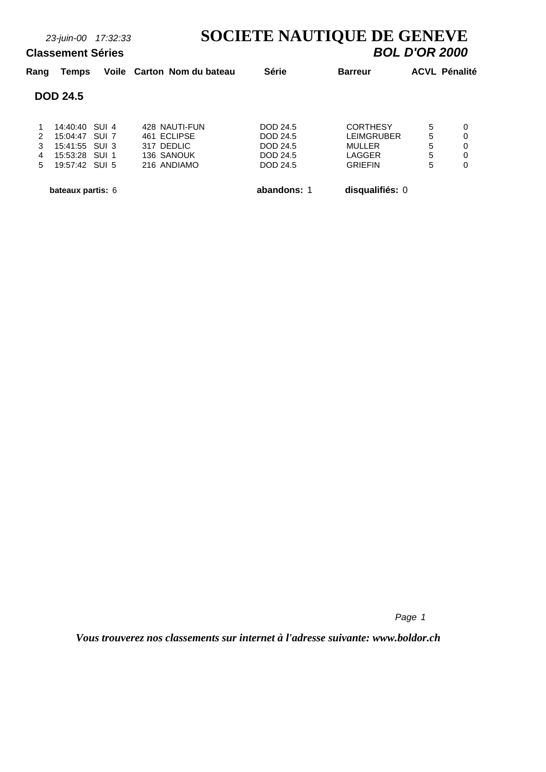# *23-juin-00 17:32:33* **SOCIETE NAUTIQUE DE GENEVE**

#### **Classement Séries**

| Rang | Temps                    | Voile Carton Nom du bateau | <b>Série</b>    | <b>Barreur</b>    | <b>ACVL Pénalité</b> |   |
|------|--------------------------|----------------------------|-----------------|-------------------|----------------------|---|
|      | <b>DOD 24.5</b>          |                            |                 |                   |                      |   |
|      | 14:40:40 SUI 4           | 428 NAUTI-FUN              | DOD 24.5        | <b>CORTHESY</b>   | 5                    | 0 |
| 2    | $15:04:47$ SUI 7         | 461 ECLIPSE                | DOD 24.5        | <b>LEIMGRUBER</b> | 5                    | 0 |
| 3    | 15:41:55 SUI 3           | 317 DEDLIC                 | DOD 24.5        | <b>MULLER</b>     | 5                    | 0 |
| 4    | 15:53:28 SUI 1           | 136 SANOUK                 | DOD 24.5        | LAGGER            | 5                    | 0 |
| 5    | 19:57:42 SUI 5           | 216 ANDIAMO                | <b>DOD 24.5</b> | <b>GRIEFIN</b>    | 5                    | 0 |
|      | <b>bateaux partis: 6</b> |                            | abandons: 1     | disqualifiés: 0   |                      |   |

*Page 1*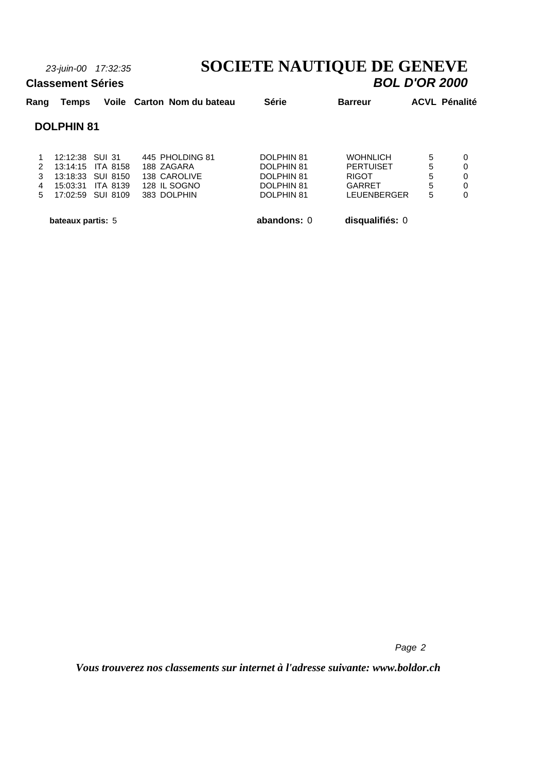### *23-juin-00 17:32:35* **SOCIETE NAUTIQUE DE GENEVE Classement Séries** *BOL D'OR 2000*

### **Rang Temps Voile Carton Nom du bateau Série Barreur ACVL Pénalité DOLPHIN 81** 1 12:12:38 SUI 31 445 PHOLDING 81 DOLPHIN 81 WOHNLICH 5 0 2 13:14:15 ITA 8158 188 ZAGARA DOLPHIN 81 PERTUISET 5 0 3 13:18:33 SUI 8150 138 CAROLIVE DOLPHIN 81 RIGOT 5 0 4 15:03:31 ITA 8139 128 IL SOGNO DOLPHIN 81 GARRET 5 0 5 17:02:59 SUI 8109 383 DOLPHIN

 **bateaux partis:** 5 **abandons:** 0 **disqualifiés:** 0

*Page 2*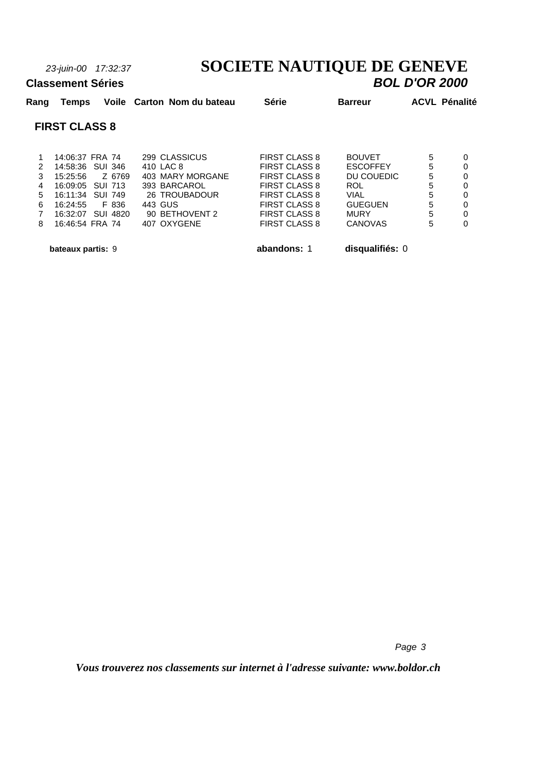**Classement Séries** 

# *23-juin-00 17:32:37* **SOCIETE NAUTIQUE DE GENEVE**

| Rang          | Temps                |                    | Voile Carton Nom du bateau | <b>Série</b>         | <b>Barreur</b>  | <b>ACVL Pénalité</b> |   |
|---------------|----------------------|--------------------|----------------------------|----------------------|-----------------|----------------------|---|
|               | <b>FIRST CLASS 8</b> |                    |                            |                      |                 |                      |   |
|               | 14:06:37 FRA 74      |                    | 299 CLASSICUS              | <b>FIRST CLASS 8</b> | <b>BOUVET</b>   | 5                    | 0 |
| $\mathcal{P}$ |                      | 14:58:36 SUI 346   | 410 LAC 8                  | FIRST CLASS 8        | <b>ESCOFFEY</b> | 5                    | 0 |
| 3             | 15:25:56             | Z 6769             | 403 MARY MORGANE           | FIRST CLASS 8        | DU COUEDIC      | 5                    | 0 |
| 4             |                      | $16:09:05$ SUI 713 | 393 BARCAROL               | FIRST CLASS 8        | ROL             | 5                    | 0 |
| 5             |                      | 16:11:34 SUI 749   | 26 TROUBADOUR              | FIRST CLASS 8        | VIAL            | 5                    | 0 |
| 6             | 16:24:55             | F 836              | 443 GUS                    | <b>FIRST CLASS 8</b> | <b>GUEGUEN</b>  | 5                    | 0 |
|               | 16:32:07             | SUI 4820           | 90 BETHOVENT 2             | <b>FIRST CLASS 8</b> | MURY            | 5                    | 0 |

8 16:46:54 FRA 74 407 OXYGENE FIRST CLASS 8 CANOVAS 5 0

 **bateaux partis:** 9 **abandons:** 1 **disqualifiés:** 0

*Page 3*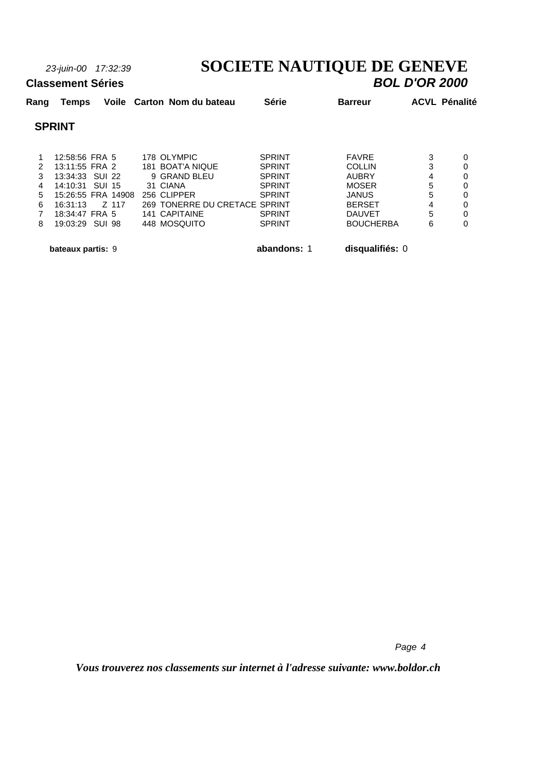#### *23-juin-00 17:32:39* **SOCIETE NAUTIQUE DE GENEVE Classement Séries** *BOL D'OR 2000*

#### **Rang Temps Voile Carton Nom du bateau Série Barreur ACVL Pénalité SPRINT** 1 12:58:56 FRA 5 178 OLYMPIC SPRINT FAVRE 3 0 2 13:11:55 FRA 2 181 BOAT'A NIQUE SPRINT COLLIN 3 0<br>3 13:34:33 SUI 22 9 GRAND BLEU SPRINT AUBRY 4 0 3 13:34:33 SUI 22 9 GRAND BLEU SPRINT AUBRY 4 0 4 14:10:31 SUI 15 31 CIANA SPRINT MOSER 5 0 5 15:26:55 FRA 14908 256 CLIPPER SPRINT JANUS 5 0 6 16:31:13 Z 117 269 TONERRE DU CRETACE SPRINT BERSET 4 0 7 18:34:47 FRA 5 141 CAPITAINE SPRINT DAUVET 5 0

8 19:03:29 SUI 98 448 MOSQUITO SPRINT BOUCHERBA 6 0

 **bateaux partis:** 9 **abandons:** 1 **disqualifiés:** 0

*Page 4*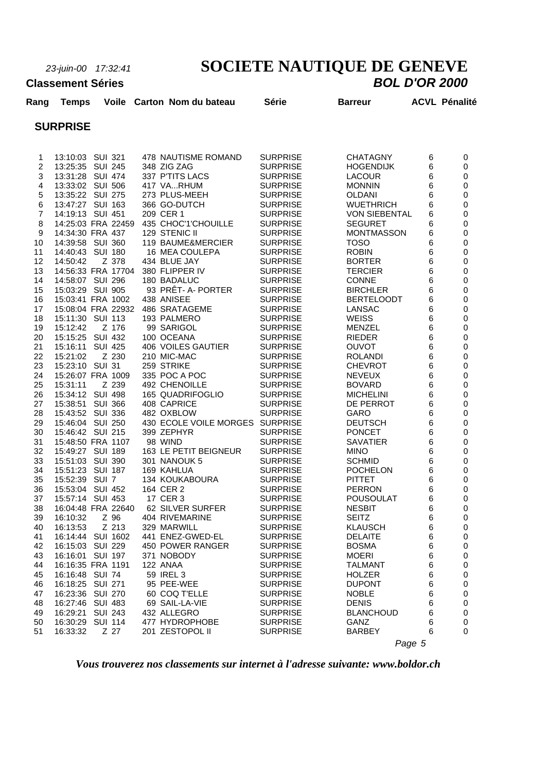# *23-juin-00 17:32:41* **SOCIETE NAUTIQUE DE GENEVE**

#### **Classement Séries**

| Rang           | Temps                          |                | Voile Carton Nom du bateau    | <b>Série</b>                       | <b>Barreur</b>                  |        | <b>ACVL Pénalité</b> |
|----------------|--------------------------------|----------------|-------------------------------|------------------------------------|---------------------------------|--------|----------------------|
|                | <b>SURPRISE</b>                |                |                               |                                    |                                 |        |                      |
|                |                                |                |                               |                                    |                                 |        |                      |
| 1              | 13:10:03 SUI 321               |                | 478 NAUTISME ROMAND           | <b>SURPRISE</b>                    | <b>CHATAGNY</b>                 | 6      | 0                    |
| $\overline{c}$ | 13:25:35 SUI 245               |                | 348 ZIG ZAG                   | <b>SURPRISE</b>                    | <b>HOGENDIJK</b>                | 6      | 0                    |
| 3              | 13:31:28 SUI 474               |                | 337 P'TITS LACS               | <b>SURPRISE</b>                    | <b>LACOUR</b>                   | 6      | 0                    |
| 4              | 13:33:02 SUI 506               |                | 417 VARHUM                    | <b>SURPRISE</b>                    | <b>MONNIN</b>                   | 6      | 0                    |
| 5              | 13:35:22 SUI 275               |                | 273 PLUS-MEEH                 | <b>SURPRISE</b>                    | <b>OLDANI</b>                   | 6      | 0                    |
| 6              | 13:47:27 SUI 163               |                | 366 GO-DUTCH                  | <b>SURPRISE</b>                    | <b>WUETHRICH</b>                | 6      | 0                    |
| $\overline{7}$ | 14:19:13 SUI 451               |                | 209 CER 1                     | <b>SURPRISE</b>                    | <b>VON SIEBENTAL</b>            | 6      | 0                    |
| 8              | 14:25:03 FRA 22459             |                | 435 CHOC'1'CHOUILLE           | <b>SURPRISE</b>                    | <b>SEGURET</b>                  | 6      | 0                    |
| 9              | 14:34:30 FRA 437               |                | 129 STENIC II                 | <b>SURPRISE</b>                    | <b>MONTMASSON</b>               | 6      | 0                    |
| 10             | 14:39:58 SUI 360               |                | 119 BAUME&MERCIER             | <b>SURPRISE</b>                    | <b>TOSO</b>                     | 6      | 0                    |
| 11             | 14:40:43 SUI 180               |                | 16 MEA COULEPA                | <b>SURPRISE</b>                    | <b>ROBIN</b>                    | 6      | $\mathbf 0$          |
| 12<br>13       | 14:50:42<br>14:56:33 FRA 17704 | Z 378          | 434 BLUE JAY                  | <b>SURPRISE</b><br><b>SURPRISE</b> | <b>BORTER</b><br><b>TERCIER</b> | 6<br>6 | 0                    |
| 14             | 14:58:07 SUI 296               |                | 380 FLIPPER IV<br>180 BADALUC | <b>SURPRISE</b>                    | <b>CONNE</b>                    |        | 0<br>$\mathbf 0$     |
| 15             | 15:03:29 SUI 905               |                | 93 PRÊT- A- PORTER            | <b>SURPRISE</b>                    | <b>BIRCHLER</b>                 | 6<br>6 | 0                    |
| 16             | 15:03:41 FRA 1002              |                | 438 ANISEE                    | <b>SURPRISE</b>                    | <b>BERTELOODT</b>               | 6      | 0                    |
| 17             | 15:08:04 FRA 22932             |                | 486 SRATAGEME                 | <b>SURPRISE</b>                    | LANSAC                          | 6      | 0                    |
| 18             | 15:11:30 SUI 113               |                | 193 PALMERO                   | <b>SURPRISE</b>                    | <b>WEISS</b>                    | 6      | 0                    |
| 19             | 15:12:42                       | Z 176          | 99 SARIGOL                    | <b>SURPRISE</b>                    | MENZEL                          | 6      | 0                    |
| 20             | 15:15:25 SUI 432               |                | 100 OCEANA                    | <b>SURPRISE</b>                    | <b>RIEDER</b>                   | 6      | 0                    |
| 21             | 15:16:11                       | <b>SUI 425</b> | <b>406 VOILES GAUTIER</b>     | <b>SURPRISE</b>                    | <b>OUVOT</b>                    | 6      | 0                    |
| 22             | 15:21:02                       | Z 230          | 210 MIC-MAC                   | <b>SURPRISE</b>                    | <b>ROLANDI</b>                  | 6      | $\mathbf 0$          |
| 23             | 15:23:10 SUI 31                |                | 259 STRIKE                    | <b>SURPRISE</b>                    | <b>CHEVROT</b>                  | 6      | 0                    |
| 24             | 15:26:07 FRA 1009              |                | 335 POC A POC                 | <b>SURPRISE</b>                    | <b>NEVEUX</b>                   | 6      | 0                    |
| 25             | 15:31:11                       | Z 239          | 492 CHENOILLE                 | <b>SURPRISE</b>                    | <b>BOVARD</b>                   | 6      | 0                    |
| 26             | 15:34:12 SUI 498               |                | 165 QUADRIFOGLIO              | <b>SURPRISE</b>                    | <b>MICHELINI</b>                | 6      | 0                    |
| 27             | 15:38:51 SUI 366               |                | 408 CAPRICE                   | <b>SURPRISE</b>                    | DE PERROT                       | 6      | 0                    |
| 28             | 15:43:52 SUI 336               |                | 482 OXBLOW                    | <b>SURPRISE</b>                    | <b>GARO</b>                     | 6      | 0                    |
| 29             | 15:46:04 SUI 250               |                | 430 ECOLE VOILE MORGES        | <b>SURPRISE</b>                    | <b>DEUTSCH</b>                  | 6      | 0                    |
| 30             | 15:46:42 SUI 215               |                | 399 ZEPHYR                    | <b>SURPRISE</b>                    | <b>PONCET</b>                   | 6      | $\mathbf 0$          |
| 31             | 15:48:50 FRA 1107              |                | 98 WIND                       | <b>SURPRISE</b>                    | <b>SAVATIER</b>                 | 6      | 0                    |
| 32             | 15:49:27 SUI 189               |                | 163 LE PETIT BEIGNEUR         | <b>SURPRISE</b>                    | <b>MINO</b>                     | 6      | 0                    |
| 33             | 15:51:03 SUI 390               |                | 301 NANOUK 5                  | <b>SURPRISE</b>                    | <b>SCHMID</b>                   | 6      | $\mathbf 0$          |
| 34             | 15:51:23 SUI 187               |                | 169 KAHLUA                    | <b>SURPRISE</b>                    | <b>POCHELON</b>                 | 6      | 0                    |
| 35             | 15:52:39 SUI 7                 |                | 134 KOUKABOURA                | <b>SURPRISE</b>                    | <b>PITTET</b>                   | 6      | 0                    |
| 36             | 15:53:04 SUI 452               |                | 164 CER 2                     | <b>SURPRISE</b>                    | <b>PERRON</b>                   | 6      | 0                    |
| 37             | 15:57:14 SUI 453               |                | 17 CER 3                      | <b>SURPRISE</b>                    | <b>POUSOULAT</b>                | 6      | 0                    |
| 38             | 16:04:48 FRA 22640             |                | 62 SILVER SURFER              | <b>SURPRISE</b>                    | <b>NESBIT</b>                   | 6      | 0                    |
| 39             | 16:10:32                       | Z 96           | 404 RIVEMARINE                | <b>SURPRISE</b>                    | <b>SEITZ</b>                    | 6      | 0                    |
| 40             | 16:13:53                       | Z 213          | 329 MARWILL                   | <b>SURPRISE</b>                    | <b>KLAUSCH</b>                  | 6      | 0                    |
| 41             | 16:14:44 SUI 1602              |                | 441 ENEZ-GWED-EL              | <b>SURPRISE</b>                    | <b>DELAITE</b>                  | 6      | 0                    |
| 42             | 16:15:03 SUI 229               |                | 450 POWER RANGER              | <b>SURPRISE</b>                    | <b>BOSMA</b>                    | 6      | 0                    |
| 43             | 16:16:01 SUI 197               |                | 371 NOBODY                    | <b>SURPRISE</b>                    | <b>MOERI</b>                    | 6      | 0                    |
| 44             | 16:16:35 FRA 1191              |                | 122 ANAA                      | <b>SURPRISE</b>                    | <b>TALMANT</b>                  | 6      | 0                    |
| 45             | 16:16:48 SUI 74                |                | 59 IREL 3                     | <b>SURPRISE</b>                    | <b>HOLZER</b>                   | 6      | 0                    |
| 46             | 16:18:25 SUI 271               |                | 95 PEE-WEE                    | <b>SURPRISE</b>                    | <b>DUPONT</b>                   | 6      | 0                    |
| 47             | 16:23:36 SUI 270               |                | 60 COQ T'ELLE                 | <b>SURPRISE</b>                    | <b>NOBLE</b>                    | 6      | 0                    |
| 48             | 16:27:46 SUI 483               |                | 69 SAIL-LA-VIE                | <b>SURPRISE</b>                    | <b>DENIS</b>                    | 6      | 0                    |
| 49             | 16:29:21 SUI 243               |                | 432 ALLEGRO                   | <b>SURPRISE</b>                    | <b>BLANCHOUD</b>                | 6      | 0                    |
| 50             | 16:30:29 SUI 114               |                | 477 HYDROPHOBE                | <b>SURPRISE</b>                    | GANZ                            | 6      | 0                    |
| 51             | 16:33:32                       | Z 27           | 201 ZESTOPOL II               | <b>SURPRISE</b>                    | <b>BARBEY</b>                   | 6      | 0                    |
|                |                                |                |                               |                                    |                                 | Page 5 |                      |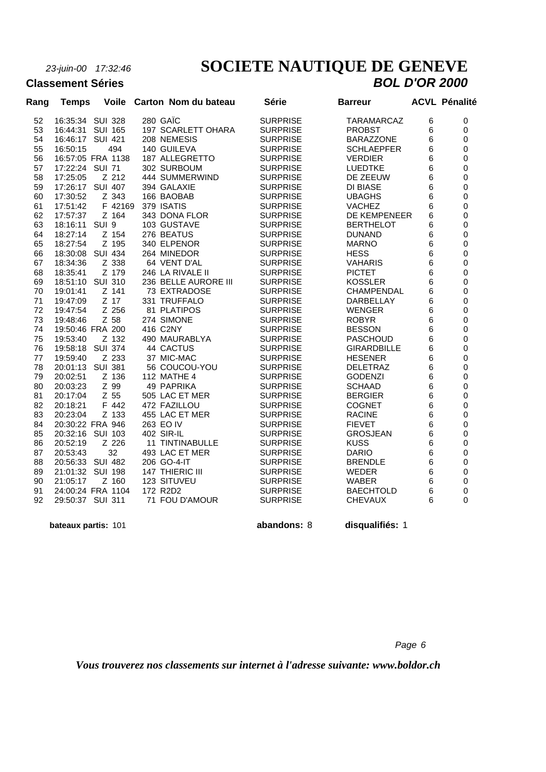**Classement Séries** 

# *23-juin-00 17:32:46* **SOCIETE NAUTIQUE DE GENEVE**

| Rang | <b>Temps</b>        | <b>Voile</b>   | Carton Nom du bateau | <b>Série</b>    | <b>Barreur</b>     |   | <b>ACVL Pénalité</b> |
|------|---------------------|----------------|----------------------|-----------------|--------------------|---|----------------------|
| 52   | 16:35:34 SUI 328    |                | 280 GAÏC             | <b>SURPRISE</b> | <b>TARAMARCAZ</b>  | 6 | 0                    |
| 53   | 16:44:31            | <b>SUI 165</b> | 197 SCARLETT OHARA   | <b>SURPRISE</b> | <b>PROBST</b>      | 6 | 0                    |
| 54   | 16:46:17 SUI 421    |                | 208 NEMESIS          | <b>SURPRISE</b> | <b>BARAZZONE</b>   | 6 | 0                    |
| 55   | 16:50:15            | 494            | 140 GUILEVA          | <b>SURPRISE</b> | <b>SCHLAEPFER</b>  | 6 | 0                    |
| 56   | 16:57:05 FRA 1138   |                | 187 ALLEGRETTO       | <b>SURPRISE</b> | <b>VERDIER</b>     | 6 | $\mathbf 0$          |
| 57   | 17:22:24 SUI 71     |                | 302 SURBOUM          | <b>SURPRISE</b> | LUEDTKE            | 6 | 0                    |
| 58   | 17:25:05            | Z 212          | 444 SUMMERWIND       | <b>SURPRISE</b> | DE ZEEUW           | 6 | 0                    |
| 59   | 17:26:17 SUI 407    |                | 394 GALAXIE          | <b>SURPRISE</b> | DI BIASE           | 6 | 0                    |
| 60   | 17:30:52            | Z 343          | 166 BAOBAB           | <b>SURPRISE</b> | <b>UBAGHS</b>      | 6 | 0                    |
| 61   | 17:51:42            | F 42169        | 379 ISATIS           | <b>SURPRISE</b> | <b>VACHEZ</b>      | 6 | 0                    |
| 62   | 17:57:37            | Z 164          | 343 DONA FLOR        | <b>SURPRISE</b> | DE KEMPENEER       | 6 | 0                    |
| 63   | 18:16:11 SUI 9      |                | 103 GUSTAVE          | <b>SURPRISE</b> | <b>BERTHELOT</b>   | 6 | 0                    |
| 64   | 18:27:14            | Z 154          | 276 BEATUS           | <b>SURPRISE</b> | <b>DUNAND</b>      | 6 | 0                    |
| 65   | 18:27:54            | Z 195          | 340 ELPENOR          | <b>SURPRISE</b> | <b>MARNO</b>       | 6 | 0                    |
| 66   | 18:30:08 SUI 434    |                | 264 MINEDOR          | <b>SURPRISE</b> | <b>HESS</b>        | 6 | 0                    |
| 67   | 18:34:36            | Z 338          | 64 VENT D'AL         | <b>SURPRISE</b> | <b>VAHARIS</b>     | 6 | 0                    |
| 68   | 18:35:41            | Z 179          | 246 LA RIVALE II     | <b>SURPRISE</b> | <b>PICTET</b>      | 6 | 0                    |
| 69   | 18:51:10            | <b>SUI 310</b> | 236 BELLE AURORE III | <b>SURPRISE</b> | <b>KOSSLER</b>     | 6 | $\mathbf 0$          |
| 70   | 19:01:41            | Z 141          | 73 EXTRADOSE         | <b>SURPRISE</b> | CHAMPENDAL         | 6 | 0                    |
| 71   | 19:47:09            | Z 17           | 331 TRUFFALO         | <b>SURPRISE</b> | DARBELLAY          | 6 | 0                    |
| 72   | 19:47:54            | Z 256          | 81 PLATIPOS          | <b>SURPRISE</b> | <b>WENGER</b>      | 6 | 0                    |
| 73   | 19:48:46            | Z 58           | 274 SIMONE           | <b>SURPRISE</b> | <b>ROBYR</b>       | 6 | 0                    |
| 74   | 19:50:46 FRA 200    |                | 416 C2NY             | <b>SURPRISE</b> | <b>BESSON</b>      | 6 | 0                    |
| 75   | 19:53:40            | Z 132          | 490 MAURABLYA        | <b>SURPRISE</b> | <b>PASCHOUD</b>    | 6 | 0                    |
| 76   | 19:58:18            | <b>SUI 374</b> | 44 CACTUS            | <b>SURPRISE</b> | <b>GIRARDBILLE</b> | 6 | 0                    |
| 77   | 19:59:40            | Z 233          | 37 MIC-MAC           | <b>SURPRISE</b> | <b>HESENER</b>     | 6 | 0                    |
| 78   | 20:01:13 SUI 381    |                | 56 COUCOU-YOU        | <b>SURPRISE</b> | <b>DELETRAZ</b>    | 6 | 0                    |
| 79   | 20:02:51            | Z 136          | <b>112 MATHE 4</b>   | <b>SURPRISE</b> | <b>GODENZI</b>     | 6 | 0                    |
| 80   | 20:03:23            | Z 99           | 49 PAPRIKA           | <b>SURPRISE</b> | <b>SCHAAD</b>      | 6 | 0                    |
| 81   | 20:17:04            | Z 55           | 505 LAC ET MER       | <b>SURPRISE</b> | <b>BERGIER</b>     | 6 | 0                    |
| 82   | 20:18:21            | F 442          | 472 FAZILLOU         | <b>SURPRISE</b> | <b>COGNET</b>      | 6 | 0                    |
| 83   | 20:23:04            | Z 133          | 455 LAC ET MER       | <b>SURPRISE</b> | <b>RACINE</b>      | 6 | $\mathbf 0$          |
| 84   | 20:30:22 FRA 946    |                | 263 EO IV            | <b>SURPRISE</b> | <b>FIEVET</b>      | 6 | 0                    |
| 85   | 20:32:16 SUI 103    |                | 402 SIR-IL           | <b>SURPRISE</b> | <b>GROSJEAN</b>    | 6 | $\mathbf 0$          |
| 86   | 20:52:19            | Z 226          | 11 TINTINABULLE      | <b>SURPRISE</b> | <b>KUSS</b>        | 6 | 0                    |
| 87   | 20:53:43            | 32             | 493 LAC ET MER       | <b>SURPRISE</b> | <b>DARIO</b>       | 6 | 0                    |
| 88   | 20:56:33 SUI 482    |                | 206 GO-4-IT          | <b>SURPRISE</b> | <b>BRENDLE</b>     | 6 | 0                    |
| 89   | 21:01:32 SUI 198    |                | 147 THIERIC III      | <b>SURPRISE</b> | WEDER              | 6 | 0                    |
| 90   | 21:05:17            | Z 160          | 123 SITUVEU          | <b>SURPRISE</b> | <b>WABER</b>       | 6 | 0                    |
| 91   | 24:00:24 FRA 1104   |                | 172 R2D2             | <b>SURPRISE</b> | <b>BAECHTOLD</b>   | 6 | 0                    |
| 92   | 29:50:37 SUI 311    |                | 71 FOU D'AMOUR       | <b>SURPRISE</b> | <b>CHEVAUX</b>     | 6 | 0                    |
|      | bateaux partis: 101 |                |                      | abandons: 8     | disqualifiés: 1    |   |                      |

*Page 6*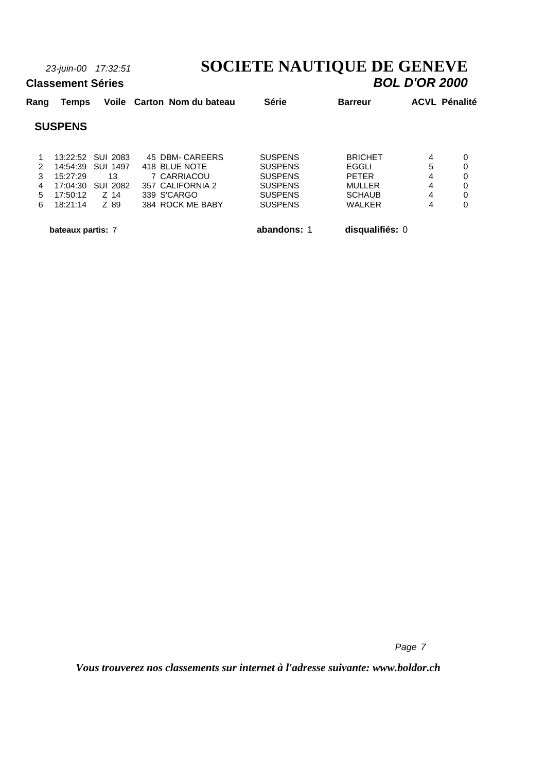# *23-juin-00 17:32:51* **SOCIETE NAUTIQUE DE GENEVE**

|      | <b>Classement Séries</b> |                   |                            |                |                | <b>BOL D'OR 2000</b> |
|------|--------------------------|-------------------|----------------------------|----------------|----------------|----------------------|
| Rang | Temps                    |                   | Voile Carton Nom du bateau | <b>Série</b>   | <b>Barreur</b> | <b>ACVL Pénalité</b> |
|      | <b>SUSPENS</b>           |                   |                            |                |                |                      |
| 1    |                          | 13:22:52 SUL 2083 | 45 DBM- CAREERS            | <b>SUSPENS</b> | <b>BRICHET</b> | 4<br>0               |
| 2    |                          | 14:54:39 SUI 1497 | 418 BLUE NOTE              | <b>SUSPENS</b> | EGGLI          | 5                    |
| 3    | 15:27:29                 | 13                | 7 CARRIACOU                | <b>SUSPENS</b> | <b>PETER</b>   | 4<br>0               |
| 4    | 17:04:30                 | SUI 2082          | 357 CALIFORNIA 2           | <b>SUSPENS</b> | <b>MULLER</b>  | 4<br>$\Omega$        |
| 5    | 17:50:12                 | Z 14              | 339 S'CARGO                | <b>SUSPENS</b> | <b>SCHAUB</b>  | 4<br>0               |
| 6    | 18:21:14                 | Z 89              | 384 ROCK ME BABY           | <b>SUSPENS</b> | <b>WALKER</b>  | 4<br>$\Omega$        |

 **bateaux partis:** 7 **abandons:** 1 **disqualifiés:** 0

*Page 7*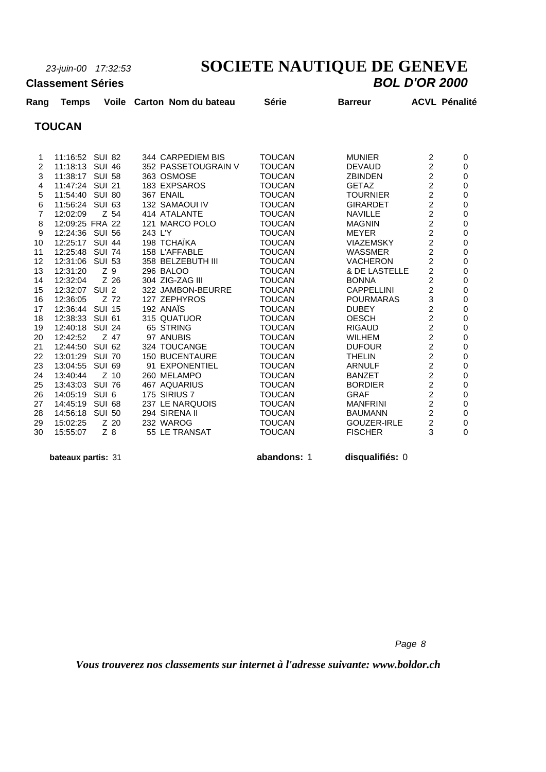# *23-juin-00 17:32:53* **SOCIETE NAUTIQUE DE GENEVE**

#### **Classement Séries**

| Rang           | <b>Temps</b>    |                | Voile Carton Nom du bateau | Série         | <b>Barreur</b>     |                | <b>ACVL Pénalité</b> |
|----------------|-----------------|----------------|----------------------------|---------------|--------------------|----------------|----------------------|
|                | <b>TOUCAN</b>   |                |                            |               |                    |                |                      |
|                |                 |                |                            |               |                    |                |                      |
| 1              | 11:16:52 SUI 82 |                | 344 CARPEDIEM BIS          | <b>TOUCAN</b> | <b>MUNIER</b>      | $\overline{c}$ | 0                    |
| $\overline{2}$ | 11:18:13 SUI 46 |                | 352 PASSETOUGRAIN V        | <b>TOUCAN</b> | <b>DEVAUD</b>      | 2              | 0                    |
| 3              | 11:38:17 SUI 58 |                | 363 OSMOSE                 | <b>TOUCAN</b> | <b>ZBINDEN</b>     | $\overline{c}$ | $\mathbf 0$          |
| 4              | 11:47:24 SUI 21 |                | 183 EXPSAROS               | <b>TOUCAN</b> | <b>GETAZ</b>       | $\overline{c}$ | 0                    |
| 5              | 11:54:40 SUI 80 |                | 367 ENAIL                  | <b>TOUCAN</b> | <b>TOURNIER</b>    | $\overline{c}$ | 0                    |
| 6              | 11:56:24 SUI 63 |                | 132 SAMAOUI IV             | <b>TOUCAN</b> | <b>GIRARDET</b>    | $\overline{c}$ | 0                    |
| $\overline{7}$ | 12:02:09        | Z 54           | 414 ATALANTE               | <b>TOUCAN</b> | <b>NAVILLE</b>     | 2              | 0                    |
| 8              | 12:09:25 FRA 22 |                | 121 MARCO POLO             | <b>TOUCAN</b> | <b>MAGNIN</b>      | $\overline{c}$ | 0                    |
| 9              | 12:24:36 SUI 56 |                | 243 L'Y                    | <b>TOUCAN</b> | <b>MEYER</b>       | $\overline{c}$ | 0                    |
| 10             | 12:25:17 SUI 44 |                | 198 TCHAÏKA                | <b>TOUCAN</b> | <b>VIAZEMSKY</b>   | $\overline{c}$ | 0                    |
| 11             | 12:25:48 SUI 74 |                | 158 L'AFFABLE              | <b>TOUCAN</b> | <b>WASSMER</b>     | $\overline{c}$ | $\mathbf 0$          |
| 12             | 12:31:06 SUI 53 |                | 358 BELZEBUTH III          | <b>TOUCAN</b> | <b>VACHERON</b>    | $\overline{c}$ | 0                    |
| 13             | 12:31:20        | Z <sub>9</sub> | 296 BALOO                  | <b>TOUCAN</b> | & DE LASTELLE      | $\overline{c}$ | $\mathbf 0$          |
| 14             | 12:32:04        | $Z$ 26         | 304 ZIG-ZAG III            | <b>TOUCAN</b> | <b>BONNA</b>       | $\overline{c}$ | $\mathbf 0$          |
| 15             | 12:32:07 SUI 2  |                | 322 JAMBON-BEURRE          | <b>TOUCAN</b> | <b>CAPPELLINI</b>  | $\overline{c}$ | $\mathbf 0$          |
| 16             | 12:36:05        | Z 72           | 127 ZEPHYROS               | <b>TOUCAN</b> | <b>POURMARAS</b>   | 3              | $\mathbf 0$          |
| 17             | 12:36:44 SUI 15 |                | 192 ANAÏS                  | <b>TOUCAN</b> | <b>DUBEY</b>       | $\overline{c}$ | 0                    |
| 18             | 12:38:33 SUI 61 |                | 315 QUATUOR                | <b>TOUCAN</b> | <b>OESCH</b>       | $\overline{c}$ | $\mathbf 0$          |
| 19             | 12:40:18 SUI 24 |                | 65 STRING                  | <b>TOUCAN</b> | <b>RIGAUD</b>      | $\overline{c}$ | 0                    |
| 20             | 12:42:52        | Z 47           | 97 ANUBIS                  | <b>TOUCAN</b> | <b>WILHEM</b>      | $\overline{c}$ | $\mathbf 0$          |
| 21             | 12:44:50        | SUI 62         | 324 TOUCANGE               | <b>TOUCAN</b> | <b>DUFOUR</b>      | $\overline{c}$ | 0                    |
| 22             | 13:01:29 SUI 70 |                | <b>150 BUCENTAURE</b>      | <b>TOUCAN</b> | <b>THELIN</b>      | $\overline{c}$ | 0                    |
| 23             | 13:04:55        | <b>SUI 69</b>  | 91 EXPONENTIEL             | <b>TOUCAN</b> | <b>ARNULF</b>      | $\overline{c}$ | $\mathbf 0$          |
| 24             | 13:40:44        | $Z$ 10         | 260 MELAMPO                | <b>TOUCAN</b> | <b>BANZET</b>      | $\overline{c}$ | 0                    |
| 25             | 13:43:03        | <b>SUI 76</b>  | 467 AQUARIUS               | <b>TOUCAN</b> | <b>BORDIER</b>     | $\overline{c}$ | $\mathbf 0$          |
| 26             | 14:05:19        | SUI 6          | 175 SIRIUS 7               | <b>TOUCAN</b> | <b>GRAF</b>        | $\overline{c}$ | $\mathbf 0$          |
| 27             | 14:45:19        | <b>SUI 68</b>  | 237 LE NARQUOIS            | <b>TOUCAN</b> | <b>MANFRINI</b>    | $\overline{c}$ | $\Omega$             |
| 28             | 14:56:18        | <b>SUI 50</b>  | 294 SIRENA II              | <b>TOUCAN</b> | <b>BAUMANN</b>     | $\overline{c}$ | $\mathbf 0$          |
| 29             | 15:02:25        | Z 20           | 232 WAROG                  | <b>TOUCAN</b> | <b>GOUZER-IRLE</b> | $\overline{c}$ | $\mathbf 0$          |
| 30             | 15:55:07        | $Z$ 8          | 55 LE TRANSAT              | <b>TOUCAN</b> | <b>FISCHER</b>     | 3              | 0                    |
|                |                 |                |                            |               |                    |                |                      |

 **bateaux partis:** 31 **abandons:** 1 **disqualifiés:** 0

*Page 8*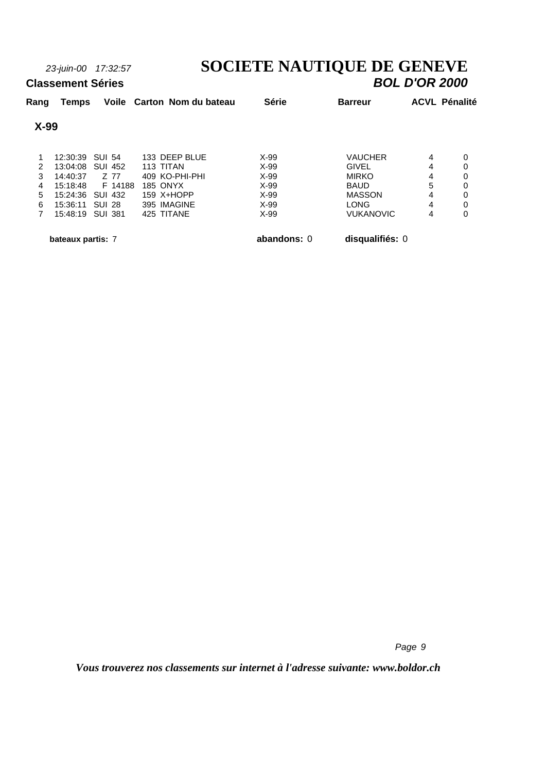# *23-juin-00 17:32:57* **SOCIETE NAUTIQUE DE GENEVE**

#### **Classement Séries**

| Rang           | Temps             |                | Voile Carton Nom du bateau | <b>Série</b> | <b>Barreur</b>   | <b>ACVL Pénalité</b> |   |
|----------------|-------------------|----------------|----------------------------|--------------|------------------|----------------------|---|
| $X-99$         |                   |                |                            |              |                  |                      |   |
|                | 12:30:39          | <b>SUI 54</b>  | 133 DEEP BLUE              | $X-99$       | <b>VAUCHER</b>   | 4                    | 0 |
| 2              | 13:04:08          | SUI 452        | 113 TITAN                  | $X-99$       | <b>GIVEL</b>     | 4                    | 0 |
| 3              | 14:40:37          | Z 77           | 409 KO-PHI-PHI             | $X-99$       | <b>MIRKO</b>     | 4                    | 0 |
| 4              | 15:18:48          | F 14188        | <b>185 ONYX</b>            | $X-99$       | <b>BAUD</b>      | 5                    | 0 |
| 5              | 15:24:36          | <b>SUI 432</b> | 159 X+HOPP                 | $X-99$       | <b>MASSON</b>    | 4                    | 0 |
| 6              | 15:36:11          | <b>SUI 28</b>  | 395 IMAGINE                | $X-99$       | <b>LONG</b>      | 4                    | 0 |
| $\overline{7}$ | 15:48:19          | <b>SUI 381</b> | 425 TITANE                 | X-99         | <b>VUKANOVIC</b> | 4                    | 0 |
|                | bateaux partis: 7 |                |                            | abandons: 0  | disqualifiés: 0  |                      |   |

*Page 9*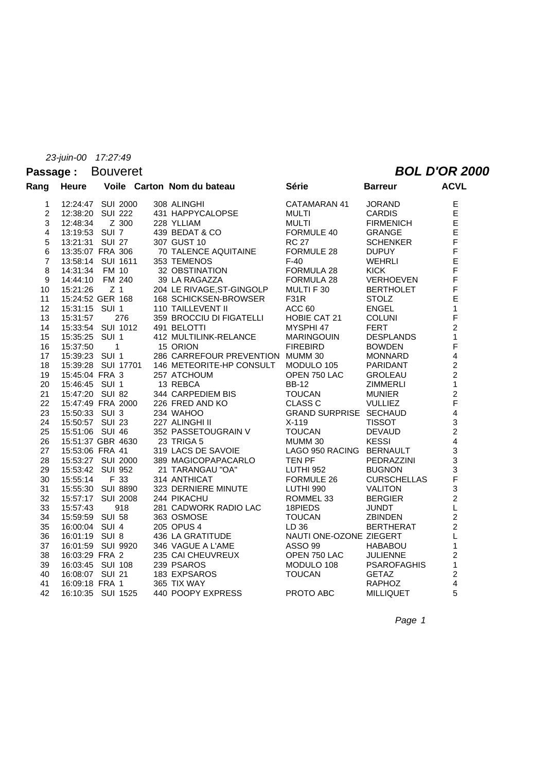#### **Passage :** Bouveret *BOL D'OR 2000*

| Rang                    | <b>Heure</b>      |                | Voile Carton Nom du bateau                                             | Série                    | <b>Barreur</b>     | <b>ACVL</b>             |
|-------------------------|-------------------|----------------|------------------------------------------------------------------------|--------------------------|--------------------|-------------------------|
| 1                       | 12:24:47 SUI 2000 |                | 308 ALINGHI                                                            | CATAMARAN 41             | <b>JORAND</b>      | E                       |
| $\overline{c}$          | 12:38:20 SUI 222  |                | 431 HAPPYCALOPSE                                                       | MULTI                    | <b>CARDIS</b>      | E<br>E                  |
| 3                       | 12:48:34          | Z 300          | 228 YLLIAM                                                             | <b>MULTI</b>             | <b>FIRMENICH</b>   |                         |
| $\overline{\mathbf{4}}$ | 13:19:53 SUI 7    |                | 439 BEDAT & CO                                                         | FORMULE 40               | <b>GRANGE</b>      | $\mathsf E$             |
| 5                       | 13:21:31 SUI 27   |                | 307 GUST 10                                                            | <b>RC 27</b>             | <b>SCHENKER</b>    | $\mathsf F$             |
| 6                       | 13:35:07 FRA 306  |                | 70 TALENCE AQUITAINE                                                   | FORMULE 28               | <b>DUPUY</b>       | F                       |
| $\overline{7}$          | 13:58:14 SUI 1611 |                | 353 TEMENOS                                                            | $F-40$                   | <b>WEHRLI</b>      | E                       |
| 8                       | 14:31:34 FM 10    |                | 32 OBSTINATION                                                         | FORMULA 28               | <b>KICK</b>        | F                       |
| 9                       | 14:44:10 FM 240   |                | 39 LA RAGAZZA                                                          | FORMULA 28               | VERHOEVEN          | F                       |
| 10                      | 15:21:26          | Z <sub>1</sub> | 204 LE RIVAGE, ST-GINGOLP                                              | MULTI F 30               | <b>BERTHOLET</b>   | F                       |
| 11                      | 15:24:52 GER 168  |                | 168 SCHICKSEN-BROWSER<br>110 TAILLEVENT II                             | <b>F31R</b>              | <b>STOLZ</b>       | E                       |
| 12                      | 15:31:15 SUI 1    |                |                                                                        | ACC 60                   | <b>ENGEL</b>       | $\mathbf{1}$            |
| 13                      | 15:31:57          | 276            | 359 BROCCIU DI FIGATELLI                                               | HOBIE CAT 21             | <b>COLUNI</b>      | F                       |
| 14                      | 15:33:54 SUI 1012 |                | 491 BELOTTI                                                            | MYSPHI 47                | <b>FERT</b>        | $\overline{2}$          |
| 15                      | 15:35:25 SUI 1    |                | 412 MULTILINK-RELANCE                                                  | <b>MARINGOUIN</b>        | <b>DESPLANDS</b>   | $\mathbf{1}$            |
| 16                      | 15:37:50          | $\overline{1}$ | 15 ORION                                                               | <b>FIREBIRD</b>          | <b>BOWDEN</b>      | F                       |
| 17                      | 15:39:23 SUI 1    |                | 286 CARREFOUR PREVENTION MUMM 30                                       |                          | <b>MONNARD</b>     | $\overline{4}$          |
| 18                      |                   |                | 15:39:28 SUI 17701 146 METEORITE-HP CONSULT MODULO 105                 |                          | PARIDANT           | $\overline{a}$          |
| 19                      | 15:45:04 FRA 3    |                | 257 ATCHOUM                                                            | OPEN 750 LAC             | <b>GROLEAU</b>     | $\overline{c}$          |
| 20                      | 15:46:45 SUI 1    |                | 13 REBCA                                                               | <b>BB-12</b>             | <b>ZIMMERLI</b>    | $\mathbf{1}$            |
| 21                      |                   |                | 15.47:20 SUI 82 344 CARPEDIEM BIS<br>15:47:49 FRA 2000 226 FRED AND KO | <b>TOUCAN</b>            | <b>MUNIER</b>      | $\overline{2}$          |
| 22                      |                   |                |                                                                        | <b>CLASS C</b>           | <b>VULLIEZ</b>     | F                       |
| 23                      | 15:50:33 SUI 3    |                | 234 WAHOO                                                              | GRAND SURPRISE SECHAUD   |                    | $\overline{\mathbf{4}}$ |
| 24                      | 15:50:57 SUI 23   |                | 227 ALINGHI II                                                         | $X-119$                  | <b>TISSOT</b>      | $\mathbf{3}$            |
| 25                      | 15:51:06 SUI 46   |                | 352 PASSETOUGRAIN V                                                    | <b>TOUCAN</b>            | <b>DEVAUD</b>      | $\overline{2}$          |
| 26                      | 15:51:37 GBR 4630 |                | 23 TRIGA 5                                                             | MUMM 30                  | <b>KESSI</b>       | $\frac{4}{3}$           |
| 27                      | 15:53:06 FRA 41   |                | 319 LACS DE SAVOIE                                                     | LAGO 950 RACING BERNAULT |                    |                         |
| 28                      | 15:53:27 SUI 2000 |                | 389 MAGICOPAPACARLO                                                    | TEN PF                   | PEDRAZZINI         | $\overline{3}$          |
| 29                      | 15:53:42 SUI 952  |                | 21 TARANGAU "OA"                                                       | LUTHI 952                | <b>BUGNON</b>      |                         |
| 30                      | 15:55:14          | F 33           | 314 ANTHICAT                                                           | FORMULE 26               | <b>CURSCHELLAS</b> | $\frac{3}{5}$           |
| 31                      | 15:55:30 SUI 8890 |                | 323 DERNIERE MINUTE                                                    | LUTHI 990                | <b>VALITON</b>     | $\overline{3}$          |
| 32                      | 15:57:17 SUI 2008 |                | 244 PIKACHU                                                            | ROMMEL 33                | <b>BERGIER</b>     | $\overline{2}$          |
| 33                      | 15:57:43          | 918            | 281 CADWORK RADIO LAC                                                  | 18PIEDS                  | <b>JUNDT</b>       | L                       |
| 34                      | 15:59:59 SUI 58   |                | 363 OSMOSE                                                             | <b>TOUCAN</b>            | <b>ZBINDEN</b>     | $\overline{a}$          |
| 35                      | 16:00:04 SUI 4    |                | 205 OPUS 4                                                             | LD 36                    | <b>BERTHERAT</b>   | $\overline{2}$          |
| 36                      | 16:01:19 SUI 8    |                | 436 LA GRATITUDE                                                       | NAUTI ONE-OZONE ZIEGERT  |                    | L                       |
| 37                      | 16:01:59 SUI 9920 |                | 346 VAGUE A L'AME                                                      | <b>ASSO 99</b>           | <b>HABABOU</b>     | $\mathbf{1}$            |
| 38                      | 16:03:29 FRA 2    |                | 235 CAI CHEUVREUX                                                      | OPEN 750 LAC             | <b>JULIENNE</b>    | $\overline{a}$          |
| 39                      | 16:03:45 SUI 108  |                | 239 PSAROS                                                             | MODULO 108               | <b>PSAROFAGHIS</b> | $\mathbf{1}$            |
| 40                      | 16:08:07 SUI 21   |                | 183 EXPSAROS                                                           | <b>TOUCAN</b>            | <b>GETAZ</b>       | $\overline{c}$          |
| 41                      | 16:09:18 FRA 1    |                | 365 TIX WAY                                                            |                          | <b>RAPHOZ</b>      | $\overline{4}$          |
| 42                      | 16:10:35 SUI 1525 |                | 440 POOPY EXPRESS                                                      | PROTO ABC                | <b>MILLIQUET</b>   | 5                       |
|                         |                   |                |                                                                        |                          |                    |                         |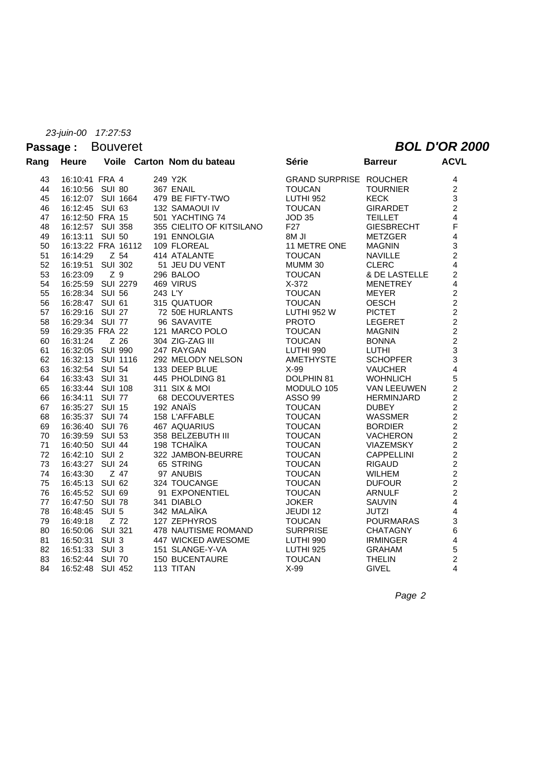### Passage : Bouveret **BOL D'OR 2000**

| Rang | <b>Heure</b>       |                | Voile Carton Nom du bateau | <b>Série</b>                  | <b>Barreur</b>    | <b>ACVL</b>             |
|------|--------------------|----------------|----------------------------|-------------------------------|-------------------|-------------------------|
| 43   | 16:10:41 FRA 4     |                | 249 Y2K                    | <b>GRAND SURPRISE ROUCHER</b> |                   | 4                       |
| 44   | 16:10:56 SUI 80    |                | 367 ENAIL                  | <b>TOUCAN</b>                 | <b>TOURNIER</b>   | $\overline{c}$          |
| 45   | 16:12:07 SUI 1664  |                | 479 BE FIFTY-TWO           | <b>LUTHI 952</b>              | <b>KECK</b>       | 3                       |
| 46   | 16:12:45 SUI 63    |                | 132 SAMAOUI IV             | <b>TOUCAN</b>                 | <b>GIRARDET</b>   | $\overline{2}$          |
| 47   | 16:12:50 FRA 15    |                | 501 YACHTING 74            | <b>JOD 35</b>                 | <b>TEILLET</b>    | $\overline{\mathbf{4}}$ |
| 48   | 16:12:57 SUI 358   |                | 355 CIELITO OF KITSILANO   | F <sub>27</sub>               | <b>GIESBRECHT</b> | F                       |
| 49   | 16:13:11 SUI 50    |                | 191 ENNOLGIA               | <b>BM JI</b>                  | <b>METZGER</b>    | $\overline{4}$          |
| 50   | 16:13:22 FRA 16112 |                | 109 FLOREAL                | 11 METRE ONE                  | <b>MAGNIN</b>     | 3                       |
| 51   | 16:14:29           | Z 54           | 414 ATALANTE               | <b>TOUCAN</b>                 | <b>NAVILLE</b>    | $\overline{a}$          |
| 52   | 16:19:51           | <b>SUI 302</b> | 51 JEU DU VENT             | MUMM 30                       | <b>CLERC</b>      | $\overline{4}$          |
| 53   | 16:23:09           | Z 9            | 296 BALOO                  | <b>TOUCAN</b>                 | & DE LASTELLE     | $\overline{c}$          |
| 54   | 16:25:59 SUI 2279  |                | 469 VIRUS                  | $X-372$                       | <b>MENETREY</b>   | $\overline{4}$          |
| 55   | 16:28:34 SUI 56    |                | 243 L'Y                    | <b>TOUCAN</b>                 | <b>MEYER</b>      | $\mathbf 2$             |
| 56   | 16:28:47 SUI 61    |                | 315 QUATUOR                | <b>TOUCAN</b>                 | <b>OESCH</b>      | $\overline{2}$          |
| 57   | 16:29:16 SUI 27    |                | 72 50E HURLANTS            | <b>LUTHI 952 W</b>            | <b>PICTET</b>     | $\overline{2}$          |
| 58   | 16:29:34 SUI 77    |                | 96 SAVAVITE                | <b>PROTO</b>                  | <b>LEGERET</b>    | $\overline{c}$          |
| 59   | 16:29:35 FRA 22    |                | 121 MARCO POLO             | <b>TOUCAN</b>                 | <b>MAGNIN</b>     | $\overline{2}$          |
| 60   | 16:31:24           | Z 26           | 304 ZIG-ZAG III            | <b>TOUCAN</b>                 | <b>BONNA</b>      | $\overline{2}$          |
| 61   | 16:32:05 SUI 990   |                | 247 RAYGAN                 | LUTHI 990                     | <b>LUTHI</b>      | 3                       |
| 62   | 16:32:13 SUI 1116  |                | 292 MELODY NELSON          | AMETHYSTE                     | <b>SCHOPFER</b>   | 3                       |
| 63   | 16:32:54 SUI 54    |                | 133 DEEP BLUE              | $X-99$                        | <b>VAUCHER</b>    | $\mathbf{A}$            |
| 64   | 16:33:43 SUI 31    |                | 445 PHOLDING 81            | DOLPHIN 81                    | <b>WOHNLICH</b>   | 5                       |
| 65   | 16:33:44 SUI 108   |                | 311 SIX & MOI              | MODULO 105                    | VAN LEEUWEN       | $\overline{c}$          |
| 66   | 16:34:11 SUI 77    |                | 68 DECOUVERTES             | <b>ASSO 99</b>                | <b>HERMINJARD</b> | $\overline{a}$          |
| 67   | 16:35:27 SUI 15    |                | 192 ANAÏS                  | <b>TOUCAN</b>                 | <b>DUBEY</b>      | $\overline{2}$          |
| 68   | 16:35:37 SUI 74    |                | 158 L'AFFABLE              | <b>TOUCAN</b>                 | <b>WASSMER</b>    | $\overline{2}$          |
| 69   | 16:36:40 SUI 76    |                | 467 AQUARIUS               | <b>TOUCAN</b>                 | <b>BORDIER</b>    | $\overline{a}$          |
| 70   | 16:39:59 SUI 53    |                | 358 BELZEBUTH III          | <b>TOUCAN</b>                 | <b>VACHERON</b>   | $\overline{2}$          |
| 71   | 16:40:50 SUI 44    |                | 198 TCHAÏKA                | <b>TOUCAN</b>                 | <b>VIAZEMSKY</b>  | $\overline{c}$          |
| 72   | 16:42:10 SUI 2     |                | 322 JAMBON-BEURRE          | <b>TOUCAN</b>                 | <b>CAPPELLINI</b> | $\overline{c}$          |
| 73   | 16:43:27 SUI 24    |                | 65 STRING                  | <b>TOUCAN</b>                 | <b>RIGAUD</b>     | $\overline{2}$          |
| 74   | 16:43:30           | Z 47           | 97 ANUBIS                  | <b>TOUCAN</b>                 | <b>WILHEM</b>     | $\frac{2}{2}$           |
| 75   | 16:45:13 SUI 62    |                | 324 TOUCANGE               | <b>TOUCAN</b>                 | <b>DUFOUR</b>     |                         |
| 76   | 16:45:52 SUI 69    |                | 91 EXPONENTIEL             | <b>TOUCAN</b>                 | <b>ARNULF</b>     | $\overline{2}$          |
| 77   | 16:47:50 SUI 78    |                | 341 DIABLO                 | <b>JOKER</b>                  | <b>SAUVIN</b>     | $\overline{4}$          |
| 78   | 16:48:45 SUI 5     |                | 342 MALAÏKA                | JEUDI 12                      | <b>JUTZI</b>      | $\overline{4}$          |
| 79   | 16:49:18           | Z 72           | 127 ZEPHYROS               | <b>TOUCAN</b>                 | <b>POURMARAS</b>  | 3                       |
| 80   | 16:50:06 SUI 321   |                | 478 NAUTISME ROMAND        | <b>SURPRISE</b>               | <b>CHATAGNY</b>   | 6                       |
| 81   | 16:50:31 SUI 3     |                | 447 WICKED AWESOME         | LUTHI 990                     | <b>IRMINGER</b>   | $\overline{\mathbf{4}}$ |
| 82   | 16:51:33 SUI 3     |                | 151 SLANGE-Y-VA            | LUTHI 925                     | <b>GRAHAM</b>     | 5                       |
| 83   | 16:52:44 SUI 70    |                | <b>150 BUCENTAURE</b>      | <b>TOUCAN</b>                 | <b>THELIN</b>     | $\overline{a}$          |
| 84   | 16:52:48 SUI 452   |                | 113 TITAN                  | X-99                          | <b>GIVEL</b>      | 4                       |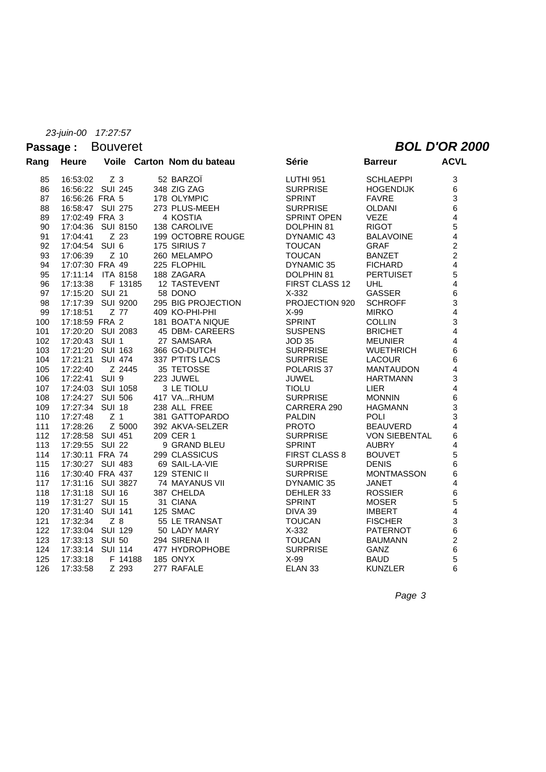#### Passage : Bouveret **BOL D'OR 2000**

| Rang | <b>Heure</b>        |                   | Voile Carton Nom du bateau | Série                | <b>Barreur</b>       | <b>ACVL</b>             |
|------|---------------------|-------------------|----------------------------|----------------------|----------------------|-------------------------|
| 85   | 16:53:02            | Z <sub>3</sub>    | 52 BARZOÏ                  | LUTHI 951            | <b>SCHLAEPPI</b>     | 3                       |
| 86   |                     | 16:56:22 SUI 245  | 348 ZIG ZAG                | <b>SURPRISE</b>      | <b>HOGENDIJK</b>     | 6                       |
| 87   | 16:56:26 FRA 5      |                   | 178 OLYMPIC                | <b>SPRINT</b>        | <b>FAVRE</b>         | 3                       |
| 88   |                     | 16:58:47 SUI 275  | 273 PLUS-MEEH              | <b>SURPRISE</b>      | <b>OLDANI</b>        | 6                       |
| 89   | 17:02:49 FRA 3      |                   | 4 KOSTIA                   | SPRINT OPEN          | <b>VEZE</b>          | $\overline{4}$          |
| 90   |                     | 17:04:36 SUI 8150 | 138 CAROLIVE               | DOLPHIN 81           | <b>RIGOT</b>         | 5                       |
| 91   | 17:04:41            | Z 23              | 199 OCTOBRE ROUGE          | DYNAMIC 43           | <b>BALAVOINE</b>     | $\overline{4}$          |
| 92   | 17:04:54 SUI 6      |                   | 175 SIRIUS 7               | <b>TOUCAN</b>        | <b>GRAF</b>          | $\overline{2}$          |
| 93   | 17:06:39            | $Z$ 10            | 260 MELAMPO                | <b>TOUCAN</b>        | <b>BANZET</b>        | $\overline{2}$          |
| 94   | 17:07:30 FRA 49     |                   | 225 FLOPHIL                | DYNAMIC 35           | <b>FICHARD</b>       | $\overline{4}$          |
| 95   |                     | 17:11:14 ITA 8158 | 188 ZAGARA                 | DOLPHIN 81           | <b>PERTUISET</b>     | 5                       |
| 96   |                     | 17:13:38 F 13185  | 12 TASTEVENT               | FIRST CLASS 12       | <b>UHL</b>           | 4                       |
| 97   | 17:15:20 SUI 21     |                   | 58 DONO                    | $X-332$              | GASSER               | 6                       |
| 98   |                     | 17:17:39 SUI 9200 | 295 BIG PROJECTION         | PROJECTION 920       | <b>SCHROFF</b>       | 3                       |
| 99   | 17:18:51    Z    77 |                   | 409 KO-PHI-PHI             | X-99                 | <b>MIRKO</b>         | $\overline{\mathbf{4}}$ |
| 100  | 17:18:59 FRA 2      |                   | 181 BOAT'A NIQUE           | <b>SPRINT</b>        | <b>COLLIN</b>        | 3                       |
| 101  |                     | 17:20:20 SUI 2083 | 45 DBM- CAREERS            | <b>SUSPENS</b>       | <b>BRICHET</b>       | $\overline{\mathbf{4}}$ |
| 102  | 17:20:43 SUI 1      |                   | 27 SAMSARA                 | <b>JOD 35</b>        | <b>MEUNIER</b>       | $\overline{\mathbf{4}}$ |
| 103  |                     | 17:21:20 SUI 163  | 366 GO-DUTCH               | <b>SURPRISE</b>      | <b>WUETHRICH</b>     | 6                       |
| 104  |                     | 17:21:21 SUI 474  | 337 P'TITS LACS            | <b>SURPRISE</b>      | <b>LACOUR</b>        | $\,6$                   |
| 105  | 17:22:40            | Z 2445            | 35 TETOSSE                 | POLARIS 37           | <b>MANTAUDON</b>     | $\overline{\mathbf{4}}$ |
| 106  | 17:22:41 SUI 9      |                   | 223 JUWEL                  | <b>JUWEL</b>         | <b>HARTMANN</b>      | 3                       |
| 107  |                     | 17:24:03 SUI 1058 | 3 LE TIOLU                 | <b>TIOLU</b>         | <b>LIER</b>          | $\overline{4}$          |
| 108  |                     | 17:24:27 SUI 506  | 417 VARHUM                 | <b>SURPRISE</b>      | <b>MONNIN</b>        | $\,6\,$                 |
| 109  | 17:27:34 SUI 18     |                   | 238 ALL FREE               | CARRERA 290          | <b>HAGMANN</b>       | 3                       |
| 110  | 17:27:48            | Z <sub>1</sub>    | 381 GATTOPARDO             | <b>PALDIN</b>        | <b>POLI</b>          | $\mathbf{3}$            |
| 111  | 17:28:26            | Z 5000            | 392 AKVA-SELZER            | <b>PROTO</b>         | <b>BEAUVERD</b>      | $\overline{4}$          |
| 112  |                     | 17:28:58 SUI 451  | 209 CER 1                  | <b>SURPRISE</b>      | <b>VON SIEBENTAL</b> | 6                       |
| 113  |                     | 17:29:55 SUI 22   | 9 GRAND BLEU               | <b>SPRINT</b>        | <b>AUBRY</b>         | $\overline{4}$          |
| 114  |                     | 17:30:11 FRA 74   | 299 CLASSICUS              | <b>FIRST CLASS 8</b> | <b>BOUVET</b>        | 5                       |
| 115  |                     | 17:30:27 SUI 483  | 69 SAIL-LA-VIE             | <b>SURPRISE</b>      | <b>DENIS</b>         | 6                       |
| 116  |                     | 17:30:40 FRA 437  | 129 STENIC II              | <b>SURPRISE</b>      | <b>MONTMASSON</b>    | 6                       |
| 117  |                     | 17:31:16 SUI 3827 | 74 MAYANUS VII             | DYNAMIC 35           | <b>JANET</b>         | $\overline{4}$          |
| 118  | 17:31:18 SUI 16     |                   | 387 CHELDA                 | DEHLER 33            | <b>ROSSIER</b>       | $\,6$                   |
| 119  | 17:31:27 SUI 15     |                   | 31 CIANA                   | <b>SPRINT</b>        | <b>MOSER</b>         | 5                       |
| 120  |                     | 17:31:40 SUI 141  | 125 SMAC                   | DIVA 39              | <b>IMBERT</b>        | $\overline{\mathbf{4}}$ |
| 121  | 17:32:34            | $Z$ 8             | 55 LE TRANSAT              | <b>TOUCAN</b>        | <b>FISCHER</b>       | 3                       |
| 122  |                     | 17:33:04 SUI 129  | 50 LADY MARY               | $X-332$              | <b>PATERNOT</b>      | $6\phantom{a}$          |
| 123  |                     | 17:33:13 SUI 50   | 294 SIRENA II              | <b>TOUCAN</b>        | <b>BAUMANN</b>       | $\boldsymbol{2}$        |
| 124  |                     | 17:33:14 SUI 114  | 477 HYDROPHOBE             | <b>SURPRISE</b>      | GANZ                 | $\,6$                   |
| 125  | 17:33:18            | F 14188           | 185 ONYX                   | X-99                 | <b>BAUD</b>          | 5                       |
| 126  | 17:33:58            | Z 293             | 277 RAFALE                 | ELAN <sub>33</sub>   | <b>KUNZLER</b>       | 6                       |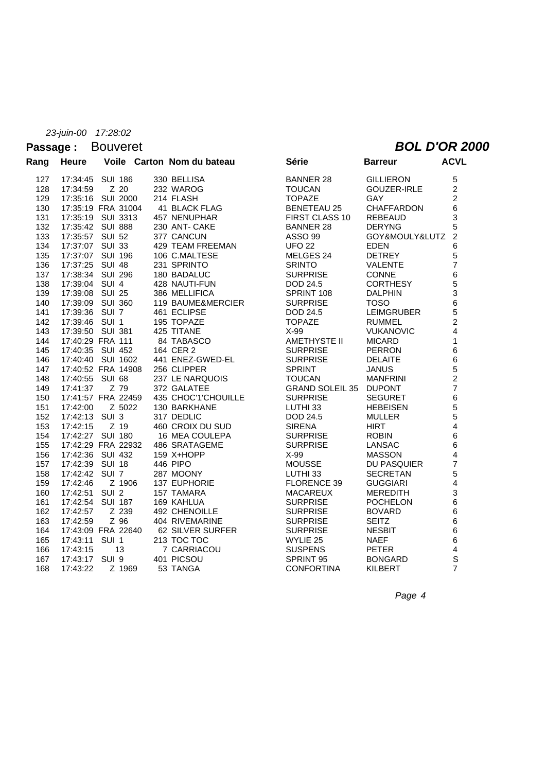### Passage : Bouveret **BOL D'OR 2000**

| Rang       | <b>Heure</b>                           |        | Voile Carton Nom du bateau | <b>Série</b>            | <b>Barreur</b>                      | <b>ACVL</b>                                |
|------------|----------------------------------------|--------|----------------------------|-------------------------|-------------------------------------|--------------------------------------------|
| 127        | 17:34:45 SUI 186                       |        | 330 BELLISA                | <b>BANNER 28</b>        | <b>GILLIERON</b>                    | 5                                          |
| 128        | 17:34:59                               | Z 20   | 232 WAROG                  | <b>TOUCAN</b>           | GOUZER-IRLE                         | $\overline{c}$                             |
| 129        | 17:35:16 SUI 2000                      |        | 214 FLASH                  | <b>TOPAZE</b>           | <b>GAY</b>                          | $\overline{c}$                             |
| 130        | 17:35:19 FRA 31004                     |        | 41 BLACK FLAG              | <b>BENETEAU 25</b>      | <b>CHAFFARDON</b>                   | 6                                          |
| 131        | 17:35:19 SUI 3313                      |        | 457 NENUPHAR               | FIRST CLASS 10          | <b>REBEAUD</b>                      | 3                                          |
| 132        | 17:35:42 SUI 888                       |        | 230 ANT- CAKE              | <b>BANNER 28</b>        | <b>DERYNG</b>                       | 5                                          |
| 133        | 17:35:57 SUI 52                        |        | 377 CANCUN                 | <b>ASSO 99</b>          | GOY&MOULY&LUTZ                      | $\overline{2}$                             |
| 134        | 17:37:07 SUI 33                        |        | 429 TEAM FREEMAN           | <b>UFO 22</b>           | <b>EDEN</b>                         | 6                                          |
| 135        | 17:37:07 SUI 196                       |        | 106 C.MALTESE              | MELGES 24               | <b>DETREY</b>                       | 5                                          |
| 136        | 17:37:25 SUI 48                        |        | 231 SPRINTO                | <b>SRINTO</b>           | VALENTE                             | $\overline{7}$                             |
| 137        | 17:38:34 SUI 296                       |        | 180 BADALUC                | <b>SURPRISE</b>         | <b>CONNE</b>                        |                                            |
| 138        | 17:39:04 SUI 4                         |        | 428 NAUTI-FUN              | DOD 24.5                | <b>CORTHESY</b>                     | $\begin{array}{c} 6 \\ 5 \\ 3 \end{array}$ |
| 139        | 17:39:08 SUI 25                        |        | 386 MELLIFICA              | SPRINT 108              | <b>DALPHIN</b>                      |                                            |
| 140        | 17:39:09 SUI 360                       |        | 119 BAUME&MERCIER          | <b>SURPRISE</b>         | <b>TOSO</b>                         | 6                                          |
| 141        | 17:39:36 SUI 7                         |        | 461 ECLIPSE                | DOD 24.5                | <b>LEIMGRUBER</b>                   | $\frac{5}{2}$                              |
| 142        | 17:39:46 SUI 1                         |        | 195 TOPAZE                 | <b>TOPAZE</b>           | <b>RUMMEL</b>                       |                                            |
| 143        | 17:39:50 SUI 381                       |        | 425 TITANE                 | X-99                    | <b>VUKANOVIC</b>                    | $\overline{\mathbf{4}}$                    |
| 144        | 17:40:29 FRA 111                       |        | 84 TABASCO                 | AMETHYSTE II            | <b>MICARD</b>                       | $\mathbf{1}$                               |
| 145        | 17:40:35 SUI 452                       |        | 164 CER 2                  | <b>SURPRISE</b>         | <b>PERRON</b>                       | $\overline{6}$                             |
| 146        | 17:40:40 SUI 1602                      |        | 441 ENEZ-GWED-EL           | <b>SURPRISE</b>         | <b>DELAITE</b>                      | 6                                          |
| 147        | 17:40:52 FRA 14908                     |        | 256 CLIPPER                | <b>SPRINT</b>           | <b>JANUS</b>                        | $\frac{5}{2}$                              |
| 148        | 17:40:55 SUI 68                        |        | 237 LE NARQUOIS            | <b>TOUCAN</b>           | <b>MANFRINI</b>                     |                                            |
| 149        | 17:41:37                               | Z 79   | 372 GALATEE                | GRAND SOLEIL 35 DUPONT  |                                     | $\overline{7}$                             |
| 150        | 17:41:57 FRA 22459                     |        | 435 CHOC'1'CHOUILLE        | <b>SURPRISE</b>         | <b>SEGURET</b>                      |                                            |
| 151        | 17:42:00                               | Z 5022 | 130 BARKHANE               | LUTHI 33                | <b>HEBEISEN</b>                     | 6<br>5<br>5                                |
| 152        | 17:42:13 SUI 3                         |        | 317 DEDLIC                 | DOD 24.5                | <b>MULLER</b>                       |                                            |
| 153        | 17:42:15                               | Z 19   | 460 CROIX DU SUD           | <b>SIRENA</b>           | <b>HIRT</b>                         | $\overline{\mathbf{4}}$                    |
| 154        | 17:42:27 SUI 180                       |        | 16 MEA COULEPA             | <b>SURPRISE</b>         | <b>ROBIN</b>                        | 6<br>6                                     |
| 155        | 17:42:29 FRA 22932<br>17:42:36 SUI 432 |        | 486 SRATAGEME              | <b>SURPRISE</b><br>X-99 | <b>LANSAC</b>                       | $\overline{\mathbf{4}}$                    |
| 156<br>157 | 17:42:39 SUI 18                        |        | 159 X+HOPP<br>446 PIPO     | <b>MOUSSE</b>           | <b>MASSON</b><br><b>DU PASQUIER</b> | $\overline{7}$                             |
| 158        | 17:42:42 SUI 7                         |        | 287 MOONY                  | LUTHI 33                | <b>SECRETAN</b>                     | 5                                          |
| 159        | 17:42:46                               | Z 1906 | 137 EUPHORIE               | <b>FLORENCE 39</b>      | <b>GUGGIARI</b>                     | $\overline{\mathbf{4}}$                    |
| 160        | 17:42:51 SUI 2                         |        | 157 TAMARA                 | <b>MACAREUX</b>         | <b>MEREDITH</b>                     |                                            |
| 161        | 17:42:54 SUI 187                       |        | 169 KAHLUA                 | <b>SURPRISE</b>         | <b>POCHELON</b>                     | 3<br>6                                     |
| 162        | 17:42:57                               | Z 239  | 492 CHENOILLE              | <b>SURPRISE</b>         | <b>BOVARD</b>                       | 6                                          |
| 163        | 17:42:59                               | Z 96   | 404 RIVEMARINE             | <b>SURPRISE</b>         | <b>SEITZ</b>                        |                                            |
| 164        | 17:43:09 FRA 22640                     |        | 62 SILVER SURFER           | <b>SURPRISE</b>         | <b>NESBIT</b>                       | 6<br>6                                     |
| 165        | 17:43:11 SUI 1                         |        | 213 TOC TOC                | WYLIE 25                | <b>NAEF</b>                         | $\overline{6}$                             |
| 166        | 17:43:15                               | 13     | 7 CARRIACOU                | <b>SUSPENS</b>          | <b>PETER</b>                        | $\overline{\mathbf{r}}$                    |
| 167        | 17:43:17 SUI 9                         |        | 401 PICSOU                 | SPRINT 95               | <b>BONGARD</b>                      | S                                          |
| 168        | 17:43:22                               | Z 1969 | 53 TANGA                   | <b>CONFORTINA</b>       | KILBERT                             | $\overline{7}$                             |
|            |                                        |        |                            |                         |                                     |                                            |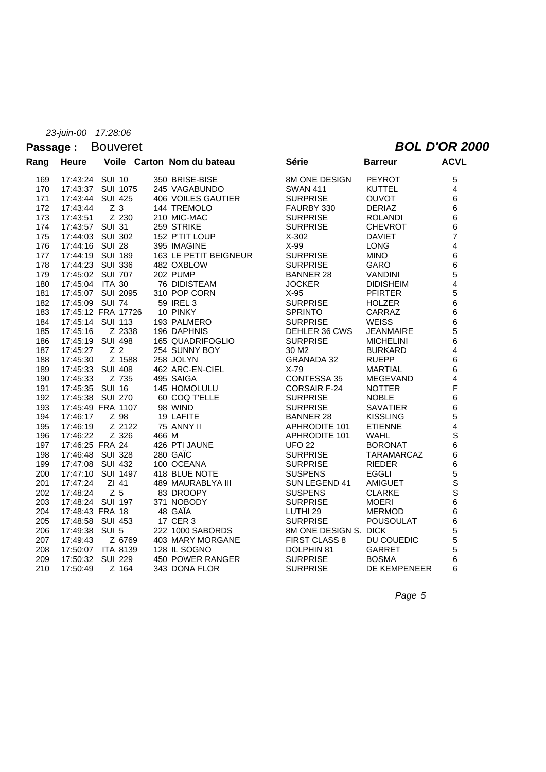### Passage : Bouveret **BOL D'OR 2000**

| Rang | <b>Heure</b>    |                    | Voile Carton Nom du bateau | Série                 | <b>Barreur</b>    | <b>ACVL</b>             |
|------|-----------------|--------------------|----------------------------|-----------------------|-------------------|-------------------------|
| 169  | 17:43:24 SUI 10 |                    | 350 BRISE-BISE             | <b>8M ONE DESIGN</b>  | <b>PEYROT</b>     | 5                       |
| 170  |                 | 17:43:37 SUI 1075  | 245 VAGABUNDO              | <b>SWAN 411</b>       | <b>KUTTEL</b>     | $\overline{4}$          |
| 171  |                 | 17:43:44 SUI 425   | 406 VOILES GAUTIER         | <b>SURPRISE</b>       | <b>OUVOT</b>      | 6                       |
| 172  | 17:43:44        | Z <sub>3</sub>     | 144 TREMOLO                | FAURBY 330            | <b>DERIAZ</b>     | 6                       |
| 173  | 17:43:51        | Z 230              | 210 MIC-MAC                | <b>SURPRISE</b>       | <b>ROLANDI</b>    | 6                       |
| 174  | 17:43:57 SUI 31 |                    | 259 STRIKE                 | <b>SURPRISE</b>       | <b>CHEVROT</b>    | 6                       |
| 175  |                 | 17:44:03 SUI 302   | 152 P'TIT LOUP             | X-302                 | <b>DAVIET</b>     | $\overline{7}$          |
| 176  | 17:44:16 SUI 28 |                    | 395 IMAGINE                | $X-99$                | <b>LONG</b>       | $\overline{\mathbf{4}}$ |
| 177  |                 | 17:44:19 SUI 189   | 163 LE PETIT BEIGNEUR      | <b>SURPRISE</b>       | <b>MINO</b>       | 6                       |
| 178  |                 | 17:44:23 SUI 336   | 482 OXBLOW                 | <b>SURPRISE</b>       | <b>GARO</b>       | 6                       |
| 179  |                 | 17:45:02 SUI 707   | 202 PUMP                   | <b>BANNER 28</b>      | <b>VANDINI</b>    | 5                       |
| 180  | 17:45:04 ITA 30 |                    | 76 DIDISTEAM               | <b>JOCKER</b>         | <b>DIDISHEIM</b>  | $\overline{\mathbf{4}}$ |
| 181  |                 | 17:45:07 SUI 2095  | 310 POP CORN               | $X-95$                | <b>PFIRTER</b>    | 5                       |
| 182  | 17:45:09 SUI 74 |                    | 59 IREL 3                  | <b>SURPRISE</b>       | <b>HOLZER</b>     | 6                       |
| 183  |                 | 17:45:12 FRA 17726 | 10 PINKY                   | <b>SPRINTO</b>        | CARRAZ            | 6                       |
| 184  |                 | 17:45:14 SUI 113   | 193 PALMERO                | <b>SURPRISE</b>       | <b>WEISS</b>      | 6                       |
| 185  | 17:45:16        | Z 2338             | 196 DAPHNIS                | DEHLER 36 CWS         | <b>JEANMAIRE</b>  | 5                       |
| 186  |                 | 17:45:19 SUI 498   | 165 QUADRIFOGLIO           | <b>SURPRISE</b>       | <b>MICHELINI</b>  | 6                       |
| 187  | 17:45:27        | Z <sub>2</sub>     | 254 SUNNY BOY              | 30 M <sub>2</sub>     | <b>BURKARD</b>    | 4                       |
| 188  | 17:45:30        | Z 1588             | 258 JOLYN                  | <b>GRANADA 32</b>     | <b>RUEPP</b>      | 6                       |
| 189  |                 | 17:45:33 SUI 408   | 462 ARC-EN-CIEL            | $X-79$                | <b>MARTIAL</b>    | 6                       |
| 190  | 17:45:33        | Z 735              | 495 SAIGA                  | CONTESSA 35           | MEGEVAND          | $\overline{\mathbf{4}}$ |
| 191  |                 | 17:45:35 SUI 16    | 145 HOMOLULU               | <b>CORSAIR F-24</b>   | <b>NOTTER</b>     | F                       |
| 192  |                 | 17:45:38 SUI 270   | 60 COQ T'ELLE              | <b>SURPRISE</b>       | <b>NOBLE</b>      | 6                       |
| 193  |                 | 17:45:49 FRA 1107  | 98 WIND                    | <b>SURPRISE</b>       | <b>SAVATIER</b>   | 6                       |
| 194  | 17:46:17        | Z 98               | 19 LAFITE                  | <b>BANNER 28</b>      | <b>KISSLING</b>   | 5                       |
| 195  | 17:46:19        | Z 2122             | 75 ANNY II                 | APHRODITE 101         | <b>ETIENNE</b>    | $\overline{4}$          |
| 196  | 17:46:22        | Z 326              | 466 M                      | APHRODITE 101         | <b>WAHL</b>       | $\mathbf S$             |
| 197  |                 | 17:46:25 FRA 24    | 426 PTI JAUNE              | <b>UFO 22</b>         | <b>BORONAT</b>    | 6                       |
| 198  |                 | 17:46:48 SUI 328   | 280 GAIC                   | <b>SURPRISE</b>       | <b>TARAMARCAZ</b> | 6                       |
| 199  |                 | 17:47:08 SUI 432   | 100 OCEANA                 | <b>SURPRISE</b>       | <b>RIEDER</b>     | $\,6\,$                 |
| 200  |                 | 17:47:10 SUI 1497  | 418 BLUE NOTE              | <b>SUSPENS</b>        | <b>EGGLI</b>      | $\frac{5}{S}$           |
| 201  | 17:47:24        | ZI 41              | 489 MAURABLYA III          | SUN LEGEND 41         | <b>AMIGUET</b>    |                         |
| 202  | 17:48:24        | Z <sub>5</sub>     | 83 DROOPY                  | <b>SUSPENS</b>        | <b>CLARKE</b>     | $\overline{\mathbf{s}}$ |
| 203  |                 | 17:48:24 SUI 197   | 371 NOBODY                 | <b>SURPRISE</b>       | <b>MOERI</b>      | 6                       |
| 204  | 17:48:43 FRA 18 |                    | 48 GAÏA                    | LUTHI <sub>29</sub>   | <b>MERMOD</b>     | 6                       |
| 205  |                 | 17:48:58 SUI 453   | 17 CER 3                   | <b>SURPRISE</b>       | POUSOULAT         | 6                       |
| 206  | 17:49:38 SUI 5  |                    | 222 1000 SABORDS           | 8M ONE DESIGN S. DICK |                   | 5                       |
| 207  | 17:49:43        | Z 6769             | 403 MARY MORGANE           | <b>FIRST CLASS 8</b>  | DU COUEDIC        | 5                       |
| 208  |                 | 17:50:07 ITA 8139  | 128 IL SOGNO               | DOLPHIN 81            | GARRET            | 5                       |
| 209  |                 | 17:50:32 SUI 229   | 450 POWER RANGER           | <b>SURPRISE</b>       | <b>BOSMA</b>      | 6                       |
| 210  | 17:50:49        | Z 164              | 343 DONA FLOR              | <b>SURPRISE</b>       | DE KEMPENEER      | 6                       |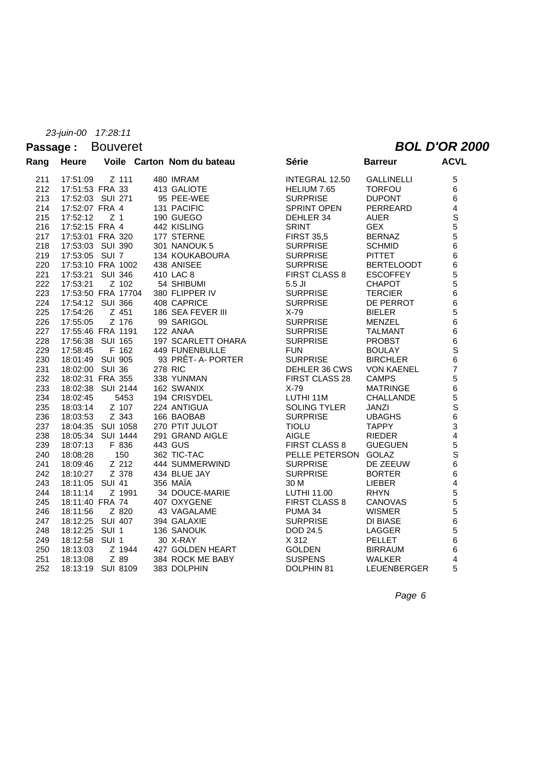#### **Passage :** Bouveret *BOL D'OR 2000*

| Rang | <b>Heure</b>       |                | Voile Carton Nom du bateau | Série                | <b>Barreur</b>     | <b>ACVL</b>                                      |
|------|--------------------|----------------|----------------------------|----------------------|--------------------|--------------------------------------------------|
| 211  | 17:51:09           | Z 111          | 480 IMRAM                  | INTEGRAL 12.50       | <b>GALLINELLI</b>  | 5                                                |
| 212  | 17:51:53 FRA 33    |                | 413 GALIOTE                | HELIUM 7.65          | <b>TORFOU</b>      | 6                                                |
| 213  | 17:52:03 SUI 271   |                | 95 PEE-WEE                 | <b>SURPRISE</b>      | <b>DUPONT</b>      | 6                                                |
| 214  | 17:52:07 FRA 4     |                | 131 PACIFIC                | SPRINT OPEN          | PERREARD           | $\overline{\mathbf{4}}$                          |
| 215  | 17:52:12           | Z <sub>1</sub> | 190 GUEGO                  | DEHLER 34            | <b>AUER</b>        | S                                                |
| 216  | 17:52:15 FRA 4     |                | 442 KISLING                | <b>SRINT</b>         | <b>GEX</b>         | 5                                                |
| 217  | 17:53:01 FRA 320   |                | 177 STERNE                 | <b>FIRST 35,5</b>    | <b>BERNAZ</b>      | 5                                                |
| 218  | 17:53:03 SUI 390   |                | 301 NANOUK 5               | <b>SURPRISE</b>      | <b>SCHMID</b>      | 6                                                |
| 219  | 17:53:05 SUI 7     |                | 134 KOUKABOURA             | <b>SURPRISE</b>      | <b>PITTET</b>      | 6                                                |
| 220  | 17:53:10 FRA 1002  |                | 438 ANISEE                 | <b>SURPRISE</b>      | <b>BERTELOODT</b>  | 6                                                |
| 221  | 17:53:21 SUI 346   |                | 410 LAC 8                  | <b>FIRST CLASS 8</b> | <b>ESCOFFEY</b>    | 5                                                |
| 222  | 17:53:21           | Z 102          | 54 SHIBUMI                 | $5.5$ JI             | <b>CHAPOT</b>      | 5                                                |
| 223  | 17:53:50 FRA 17704 |                | 380 FLIPPER IV             | <b>SURPRISE</b>      | <b>TERCIER</b>     | $\overline{6}$                                   |
| 224  | 17:54:12 SUI 366   |                | 408 CAPRICE                | <b>SURPRISE</b>      | DE PERROT          | 6                                                |
| 225  | 17:54:26           | Z 451          | 186 SEA FEVER III          | $X-79$               | <b>BIELER</b>      | 5                                                |
| 226  | 17:55:05           | Z 176          | 99 SARIGOL                 | <b>SURPRISE</b>      | <b>MENZEL</b>      | $6\phantom{a}$                                   |
| 227  | 17:55:46 FRA 1191  |                | 122 ANAA                   | <b>SURPRISE</b>      | <b>TALMANT</b>     | 6                                                |
| 228  | 17:56:38 SUI 165   |                | 197 SCARLETT OHARA         | <b>SURPRISE</b>      | <b>PROBST</b>      | $\frac{6}{S}$                                    |
| 229  | 17:58:45           | F 162          | <b>449 FUNENBULLE</b>      | <b>FUN</b>           | <b>BOULAY</b>      |                                                  |
| 230  | 18:01:49 SUI 905   |                | 93 PRÊT- A- PORTER         | <b>SURPRISE</b>      | <b>BIRCHLER</b>    | $6\phantom{a}$                                   |
| 231  | 18:02:00 SUI 36    |                | <b>278 RIC</b>             | DEHLER 36 CWS        | <b>VON KAENEL</b>  | $\overline{7}$                                   |
| 232  | 18:02:31 FRA 355   |                | 338 YUNMAN                 | FIRST CLASS 28       | <b>CAMPS</b>       | 5                                                |
| 233  | 18:02:38 SUI 2144  |                | 162 SWANIX                 | $X-79$               | <b>MATRINGE</b>    | $\overline{6}$                                   |
| 234  | 18:02:45           | 5453           | 194 CRISYDEL               | LUTHI 11M            | CHALLANDE          | 5                                                |
| 235  | 18:03:14           | Z 107          | 224 ANTIGUA                | <b>SOLING TYLER</b>  | <b>JANZI</b>       | $\overline{\begin{array}{c} 5 \\ 6 \end{array}}$ |
| 236  | 18:03:53           | Z 343          | 166 BAOBAB                 | <b>SURPRISE</b>      | <b>UBAGHS</b>      |                                                  |
| 237  | 18:04:35 SUI 1058  |                | 270 PTIT JULOT             | <b>TIOLU</b>         | <b>TAPPY</b>       | 3                                                |
| 238  | 18:05:34 SUI 1444  |                | 291 GRAND AIGLE            | <b>AIGLE</b>         | <b>RIEDER</b>      | $\overline{\mathbf{4}}$                          |
| 239  | 18:07:13           | F 836          | 443 GUS                    | <b>FIRST CLASS 8</b> | <b>GUEGUEN</b>     | 5                                                |
| 240  | 18:08:28           | 150            | 362 TIC-TAC                | PELLE PETERSON       | <b>GOLAZ</b>       | $\overline{\mathbf{s}}$                          |
| 241  | 18:09:46           | Z 212          | 444 SUMMERWIND             | <b>SURPRISE</b>      | DE ZEEUW           | 6                                                |
| 242  | 18:10:27           | Z 378          | 434 BLUE JAY               | <b>SURPRISE</b>      | <b>BORTER</b>      | 6                                                |
| 243  | 18:11:05 SUI 41    |                | 356 MAÏA                   | 30 M                 | <b>LIEBER</b>      | $\overline{\mathbf{4}}$                          |
| 244  | 18:11:14           | Z 1991         | 34 DOUCE-MARIE             | LUTHI 11.00          | <b>RHYN</b>        | 5                                                |
| 245  | 18:11:40 FRA 74    |                | 407 OXYGENE                | <b>FIRST CLASS 8</b> | <b>CANOVAS</b>     | 5                                                |
| 246  | 18:11:56           | Z 820          | 43 VAGALAME                | PUMA 34              | <b>WISMER</b>      | 5                                                |
| 247  | 18:12:25 SUI 407   |                | 394 GALAXIE                | <b>SURPRISE</b>      | <b>DI BIASE</b>    | 6                                                |
| 248  | 18:12:25 SUI 1     |                | 136 SANOUK                 | DOD 24.5             | LAGGER             | 5                                                |
| 249  | 18:12:58 SUI 1     |                | 30 X-RAY                   | X 312                | <b>PELLET</b>      | 6                                                |
| 250  | 18:13:03           | Z 1944         | 427 GOLDEN HEART           | <b>GOLDEN</b>        | <b>BIRRAUM</b>     | 6                                                |
| 251  | 18:13:08           | Z 89           | 384 ROCK ME BABY           | <b>SUSPENS</b>       | <b>WALKER</b>      | 4                                                |
| 252  | 18:13:19 SUI 8109  |                | 383 DOLPHIN                | DOLPHIN 81           | <b>LEUENBERGER</b> | 5                                                |
|      |                    |                |                            |                      |                    |                                                  |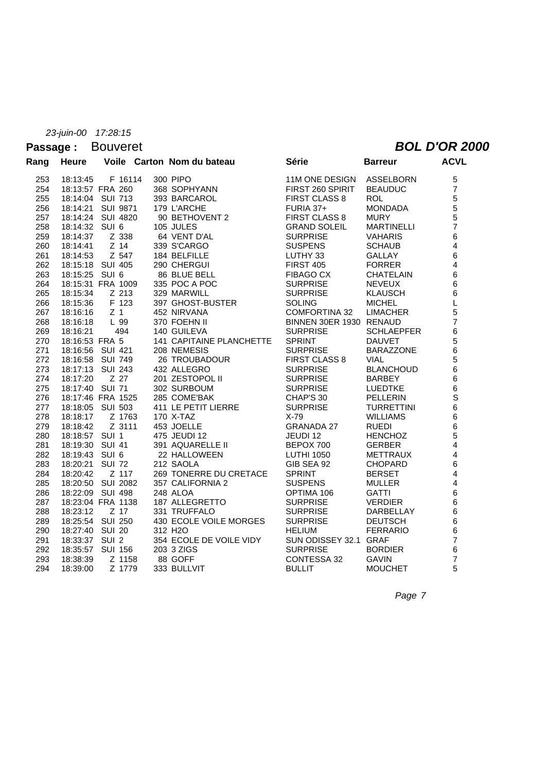### Passage : Bouveret **BOL D'OR 2000**

| Rang | <b>Heure</b>      |                  | Voile Carton Nom du bateau      | Série                   | <b>Barreur</b>    | <b>ACVL</b>    |
|------|-------------------|------------------|---------------------------------|-------------------------|-------------------|----------------|
| 253  | 18:13:45          | F 16114          | 300 PIPO                        | 11M ONE DESIGN          | <b>ASSELBORN</b>  | 5              |
| 254  | 18:13:57 FRA 260  |                  | 368 SOPHYANN                    | FIRST 260 SPIRIT        | <b>BEAUDUC</b>    | $\overline{7}$ |
| 255  | 18:14:04 SUI 713  |                  | 393 BARCAROL                    | <b>FIRST CLASS 8</b>    | <b>ROL</b>        | 5              |
| 256  | 18:14:21          | SUI 9871         | 179 L'ARCHE                     | <b>FURIA 37+</b>        | <b>MONDADA</b>    | 5<br>5         |
| 257  | 18:14:24 SUI 4820 |                  | 90 BETHOVENT 2                  | <b>FIRST CLASS 8</b>    | <b>MURY</b>       |                |
| 258  | 18:14:32 SUI 6    |                  | 105 JULES                       | <b>GRAND SOLEIL</b>     | <b>MARTINELLI</b> | $\overline{7}$ |
| 259  | 18:14:37          | Z 338            | 64 VENT D'AL                    | <b>SURPRISE</b>         | <b>VAHARIS</b>    | 6              |
| 260  | 18:14:41          | $Z$ 14           | 339 S'CARGO                     | <b>SUSPENS</b>          | <b>SCHAUB</b>     | 4              |
| 261  | 18:14:53          | Z 547            | 184 BELFILLE                    | LUTHY 33                | <b>GALLAY</b>     | 6              |
| 262  | 18:15:18 SUI 405  |                  | 290 CHERGUI                     | <b>FIRST 405</b>        | <b>FORRER</b>     | 4              |
| 263  | 18:15:25          | SUI <sub>6</sub> | 86 BLUE BELL                    | <b>FIBAGO CX</b>        | <b>CHATELAIN</b>  | 6              |
| 264  | 18:15:31 FRA 1009 |                  | 335 POC A POC                   | <b>SURPRISE</b>         | <b>NEVEUX</b>     | 6              |
| 265  | 18:15:34          | Z 213            | 329 MARWILL                     | <b>SURPRISE</b>         | <b>KLAUSCH</b>    | 6              |
| 266  | 18:15:36          | F 123            | 397 GHOST-BUSTER                | <b>SOLING</b>           | <b>MICHEL</b>     | L              |
| 267  | 18:16:16          | Z <sub>1</sub>   | 452 NIRVANA                     | <b>COMFORTINA 32</b>    | <b>LIMACHER</b>   | 5              |
| 268  | 18:16:18          | L 99             | 370 FOEHN II                    | BINNEN 30ER 1930 RENAUD |                   | $\overline{7}$ |
| 269  | 18:16:21          | 494              | 140 GUILEVA                     | <b>SURPRISE</b>         | <b>SCHLAEPFER</b> | 6              |
| 270  | 18:16:53 FRA 5    |                  | <b>141 CAPITAINE PLANCHETTE</b> | <b>SPRINT</b>           | <b>DAUVET</b>     | 5              |
| 271  | 18:16:56          | SUI 421          | 208 NEMESIS                     | <b>SURPRISE</b>         | <b>BARAZZONE</b>  | 6              |
| 272  | 18:16:58 SUI 749  |                  | <b>26 TROUBADOUR</b>            | <b>FIRST CLASS 8</b>    | <b>VIAL</b>       | 5<br>6         |
| 273  | 18:17:13 SUI 243  |                  | 432 ALLEGRO                     | <b>SURPRISE</b>         | <b>BLANCHOUD</b>  |                |
| 274  | 18:17:20          | Z 27             | 201 ZESTOPOL II                 | <b>SURPRISE</b>         | <b>BARBEY</b>     | 6              |
| 275  | 18:17:40 SUI 71   |                  | 302 SURBOUM                     | <b>SURPRISE</b>         | <b>LUEDTKE</b>    | 6              |
| 276  | 18:17:46 FRA 1525 |                  | 285 COME'BAK                    | CHAP'S 30               | <b>PELLERIN</b>   | $\mathsf{s}$   |
| 277  | 18:18:05 SUI 503  |                  | 411 LE PETIT LIERRE             | <b>SURPRISE</b>         | <b>TURRETTINI</b> | 6              |
| 278  | 18:18:17          | Z 1763           | 170 X-TAZ                       | $X-79$                  | <b>WILLIAMS</b>   | 6              |
| 279  | 18:18:42          | Z 3111           | 453 JOELLE                      | <b>GRANADA 27</b>       | <b>RUEDI</b>      | 6              |
| 280  | 18:18:57 SUI 1    |                  | 475 JEUDI 12                    | JEUDI 12                | <b>HENCHOZ</b>    | 5              |
| 281  | 18:19:30 SUI 41   |                  | 391 AQUARELLE II                | BEPOX 700               | <b>GERBER</b>     | 4              |
| 282  | 18:19:43 SUI 6    |                  | 22 HALLOWEEN                    | <b>LUTHI 1050</b>       | <b>METTRAUX</b>   | 4              |
| 283  | 18:20:21 SUI 72   |                  | 212 SAOLA                       | GIB SEA 92              | <b>CHOPARD</b>    | 6              |
| 284  | 18:20:42          | Z 117            | 269 TONERRE DU CRETACE          | <b>SPRINT</b>           | <b>BERSET</b>     | 4              |
| 285  | 18:20:50 SUI 2082 |                  | 357 CALIFORNIA 2                | <b>SUSPENS</b>          | <b>MULLER</b>     | 4              |
| 286  | 18:22:09 SUI 498  |                  | 248 ALOA                        | OPTIMA 106              | <b>GATTI</b>      | 6              |
| 287  | 18:23:04 FRA 1138 |                  | 187 ALLEGRETTO                  | <b>SURPRISE</b>         | <b>VERDIER</b>    | 6              |
| 288  | 18:23:12          | Z 17             | 331 TRUFFALO                    | <b>SURPRISE</b>         | DARBELLAY         | 6              |
| 289  | 18:25:54 SUI 250  |                  | 430 ECOLE VOILE MORGES          | <b>SURPRISE</b>         | <b>DEUTSCH</b>    | 6              |
| 290  | 18:27:40 SUI 20   |                  | 312 H <sub>2</sub> O            | <b>HELIUM</b>           | <b>FERRARIO</b>   | 6              |
| 291  | 18:33:37          | SUI <sub>2</sub> | 354 ECOLE DE VOILE VIDY         | SUN ODISSEY 32.1 GRAF   |                   | $\overline{7}$ |
| 292  | 18:35:57          | <b>SUI 156</b>   | 203 3 ZIGS                      | <b>SURPRISE</b>         | <b>BORDIER</b>    | 6              |
| 293  | 18:38:39          | Z 1158           | 88 GOFF                         | CONTESSA 32             | <b>GAVIN</b>      | 7              |
| 294  | 18:39:00          | Z 1779           | 333 BULLVIT                     | <b>BULLIT</b>           | <b>MOUCHET</b>    | 5              |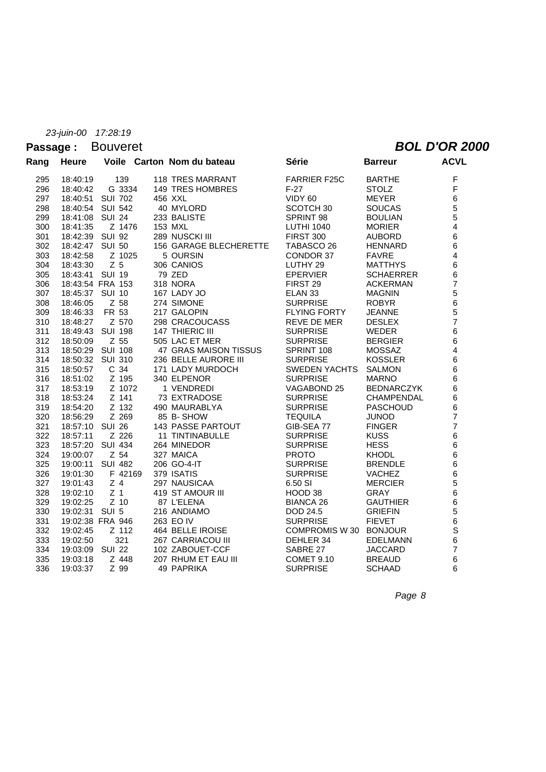### Passage : Bouveret **BOL D'OR 2000**

| Rang | <b>Heure</b>    |                  | Voile Carton Nom du bateau    | Série                | <b>Barreur</b>    | <b>ACVL</b>             |
|------|-----------------|------------------|-------------------------------|----------------------|-------------------|-------------------------|
| 295  | 18:40:19        | 139              | <b>118 TRES MARRANT</b>       | <b>FARRIER F25C</b>  | <b>BARTHE</b>     | F                       |
| 296  | 18:40:42        | G 3334           | 149 TRES HOMBRES              | $F-27$               | <b>STOLZ</b>      | F                       |
| 297  | 18:40:51        | <b>SUI 702</b>   | 456 XXL                       | VIDY 60              | <b>MEYER</b>      | 6                       |
| 298  | 18:40:54        | <b>SUI 542</b>   | 40 MYLORD                     | SCOTCH <sub>30</sub> | <b>SOUCAS</b>     | 5                       |
| 299  | 18:41:08        | <b>SUI 24</b>    | 233 BALISTE                   | SPRINT 98            | <b>BOULIAN</b>    | 5                       |
| 300  | 18:41:35        | Z 1476           | 153 MXL                       | <b>LUTHI 1040</b>    | <b>MORIER</b>     | $\overline{\mathbf{4}}$ |
| 301  | 18:42:39        | <b>SUI 92</b>    | 289 NUSCKI III                | <b>FIRST 300</b>     | <b>AUBORD</b>     | 6                       |
| 302  | 18:42:47 SUI 50 |                  | <b>156 GARAGE BLECHERETTE</b> | TABASCO 26           | <b>HENNARD</b>    | 6                       |
| 303  | 18:42:58        | Z 1025           | 5 OURSIN                      | CONDOR 37            | <b>FAVRE</b>      | 4                       |
| 304  | 18:43:30        | Z <sub>5</sub>   | 306 CANIOS                    | LUTHY 29             | <b>MATTHYS</b>    | 6                       |
| 305  | 18:43:41 SUI 19 |                  | 79 ZED                        | <b>EPERVIER</b>      | <b>SCHAERRER</b>  | 6                       |
| 306  |                 | 18:43:54 FRA 153 | <b>318 NORA</b>               | FIRST 29             | <b>ACKERMAN</b>   | $\overline{7}$          |
| 307  | 18:45:37 SUI 10 |                  | 167 LADY JO                   | ELAN <sub>33</sub>   | <b>MAGNIN</b>     | 5                       |
| 308  | 18:46:05        | Z 58             | 274 SIMONE                    | <b>SURPRISE</b>      | <b>ROBYR</b>      | 6                       |
| 309  | 18:46:33        | FR 53            | 217 GALOPIN                   | <b>FLYING FORTY</b>  | <b>JEANNE</b>     | 5                       |
| 310  | 18:48:27        | Z 570            | 298 CRACOUCASS                | REVE DE MER          | <b>DESLEX</b>     | $\overline{7}$          |
| 311  | 18:49:43        | <b>SUI 198</b>   | 147 THIERIC III               | <b>SURPRISE</b>      | <b>WEDER</b>      | 6                       |
| 312  | 18:50:09        | Z 55             | 505 LAC ET MER                | <b>SURPRISE</b>      | <b>BERGIER</b>    | 6                       |
| 313  |                 | 18:50:29 SUI 108 | 47 GRAS MAISON TISSUS         | SPRINT 108           | <b>MOSSAZ</b>     | $\overline{\mathbf{4}}$ |
| 314  |                 | 18:50:32 SUI 310 | 236 BELLE AURORE III          | <b>SURPRISE</b>      | <b>KOSSLER</b>    | 6                       |
| 315  | 18:50:57        | C <sub>34</sub>  | 171 LADY MURDOCH              | <b>SWEDEN YACHTS</b> | <b>SALMON</b>     | 6                       |
| 316  | 18:51:02        | Z 195            | 340 ELPENOR                   | <b>SURPRISE</b>      | <b>MARNO</b>      | 6                       |
| 317  | 18:53:19        | Z 1072           | 1 VENDREDI                    | VAGABOND 25          | <b>BEDNARCZYK</b> | 6                       |
| 318  | 18:53:24        | Z 141            | 73 EXTRADOSE                  | <b>SURPRISE</b>      | <b>CHAMPENDAL</b> | 6                       |
| 319  | 18:54:20        | Z 132            | 490 MAURABLYA                 | <b>SURPRISE</b>      | <b>PASCHOUD</b>   | 6                       |
| 320  | 18:56:29        | Z 269            | 85 B-SHOW                     | <b>TEQUILA</b>       | <b>JUNOD</b>      | $\overline{7}$          |
| 321  | 18:57:10        | <b>SUI 26</b>    | <b>143 PASSE PARTOUT</b>      | GIB-SEA 77           | <b>FINGER</b>     | $\overline{7}$          |
| 322  | 18:57:11        | Z 226            | <b>11 TINTINABULLE</b>        | <b>SURPRISE</b>      | <b>KUSS</b>       | $6\phantom{1}$          |
| 323  |                 | 18:57:20 SUI 434 | 264 MINEDOR                   | <b>SURPRISE</b>      | <b>HESS</b>       | 6                       |
| 324  | 19:00:07        | $Z$ 54           | 327 MAICA                     | <b>PROTO</b>         | <b>KHODL</b>      | 6                       |
| 325  | 19:00:11        | <b>SUI 482</b>   | 206 GO-4-IT                   | <b>SURPRISE</b>      | <b>BRENDLE</b>    | 6                       |
| 326  | 19:01:30        | F 42169          | 379 ISATIS                    | <b>SURPRISE</b>      | VACHEZ            | 6                       |
| 327  | 19:01:43        | $Z$ 4            | 297 NAUSICAA                  | 6.50 SI              | <b>MERCIER</b>    | 5                       |
| 328  | 19:02:10        | Z <sub>1</sub>   | 419 ST AMOUR III              | HOOD 38              | <b>GRAY</b>       | 6                       |
| 329  | 19:02:25        | $Z$ 10           | 87 L'ELENA                    | <b>BIANCA 26</b>     | <b>GAUTHIER</b>   | $\,6$                   |
| 330  | 19:02:31        | SUI 5            | 216 ANDIAMO                   | DOD 24.5             | <b>GRIEFIN</b>    | 5                       |
| 331  |                 | 19:02:38 FRA 946 | 263 EO IV                     | <b>SURPRISE</b>      | <b>FIEVET</b>     | 6                       |
| 332  | 19:02:45        | Z 112            | 464 BELLE IROISE              | <b>COMPROMIS W30</b> | <b>BONJOUR</b>    | $\mathbf S$             |
| 333  | 19:02:50        | 321              | 267 CARRIACOU III             | DEHLER 34            | <b>EDELMANN</b>   | 6                       |
| 334  | 19:03:09        | <b>SUI 22</b>    | 102 ZABOUET-CCF               | SABRE 27             | <b>JACCARD</b>    | $\overline{7}$          |
| 335  | 19:03:18        | Z 448            | 207 RHUM ET EAU III           | COMET 9.10           | <b>BREAUD</b>     | 6                       |
| 336  | 19:03:37        | Z 99             | 49 PAPRIKA                    | <b>SURPRISE</b>      | <b>SCHAAD</b>     | 6                       |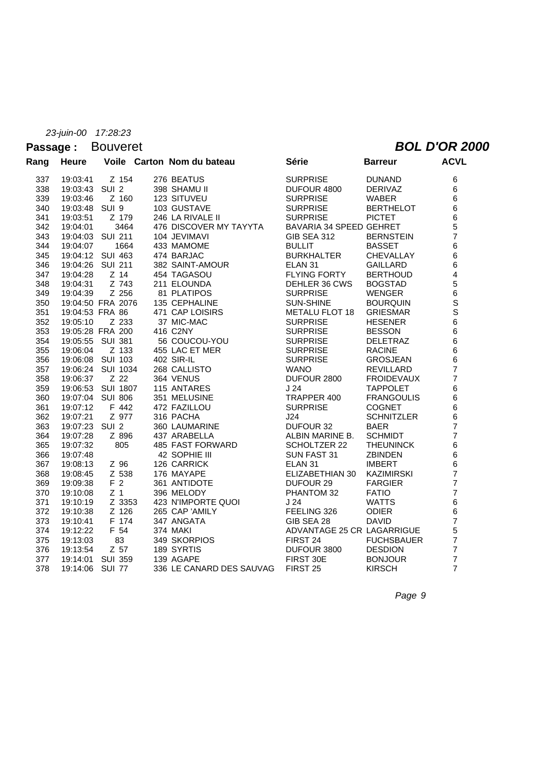## Passage : Bouveret *BOL D'OR 2000*

| Rang | <b>Heure</b>    |                   | Voile Carton Nom du bateau | <b>Série</b>               | <b>Barreur</b>    | <b>ACVL</b>             |
|------|-----------------|-------------------|----------------------------|----------------------------|-------------------|-------------------------|
| 337  | 19:03:41        | Z 154             | 276 BEATUS                 | <b>SURPRISE</b>            | <b>DUNAND</b>     | 6                       |
| 338  | 19:03:43 SUI 2  |                   | 398 SHAMU II               | DUFOUR 4800                | <b>DERIVAZ</b>    | 6                       |
| 339  | 19:03:46        | Z 160             | 123 SITUVEU                | <b>SURPRISE</b>            | <b>WABER</b>      | 6                       |
| 340  | 19:03:48 SUI 9  |                   | 103 GUSTAVE                | <b>SURPRISE</b>            | <b>BERTHELOT</b>  | 6                       |
| 341  | 19:03:51        | Z 179             | 246 LA RIVALE II           | <b>SURPRISE</b>            | <b>PICTET</b>     | 6                       |
| 342  | 19:04:01        | 3464              | 476 DISCOVER MY TAYYTA     | BAVARIA 34 SPEED GEHRET    |                   | 5                       |
| 343  |                 | 19:04:03 SUI 211  | 104 JEVIMAVI               | <b>GIB SEA 312</b>         | <b>BERNSTEIN</b>  | $\overline{7}$          |
| 344  | 19:04:07        | 1664              | 433 MAMOME                 | <b>BULLIT</b>              | <b>BASSET</b>     | 6                       |
| 345  |                 | 19:04:12 SUI 463  | 474 BARJAC                 | <b>BURKHALTER</b>          | CHEVALLAY         | 6                       |
| 346  |                 | 19:04:26 SUI 211  | 382 SAINT-AMOUR            | ELAN <sub>31</sub>         | <b>GAILLARD</b>   | 6                       |
| 347  | 19:04:28        | $Z$ 14            | 454 TAGASOU                | <b>FLYING FORTY</b>        | <b>BERTHOUD</b>   | $\overline{\mathbf{4}}$ |
| 348  | 19:04:31        | Z 743             | 211 ELOUNDA                | DEHLER 36 CWS              | <b>BOGSTAD</b>    | 5                       |
| 349  | 19:04:39        | Z 256             | 81 PLATIPOS                | <b>SURPRISE</b>            | <b>WENGER</b>     | $\frac{6}{S}$           |
| 350  |                 | 19:04:50 FRA 2076 | 135 CEPHALINE              | <b>SUN-SHINE</b>           | <b>BOURQUIN</b>   |                         |
| 351  | 19:04:53 FRA 86 |                   | 471 CAP LOISIRS            | <b>METALU FLOT 18</b>      | <b>GRIESMAR</b>   | S                       |
| 352  | 19:05:10        | Z 233             | 37 MIC-MAC                 | <b>SURPRISE</b>            | <b>HESENER</b>    | 6                       |
| 353  |                 | 19:05:28 FRA 200  | 416 C2NY                   | <b>SURPRISE</b>            | <b>BESSON</b>     | 6                       |
| 354  | 19:05:55        | SUI 381           | 56 COUCOU-YOU              | <b>SURPRISE</b>            | <b>DELETRAZ</b>   | 6                       |
| 355  | 19:06:04        | Z 133             | 455 LAC ET MER             | <b>SURPRISE</b>            | <b>RACINE</b>     | 6<br>6                  |
| 356  |                 | 19:06:08 SUI 103  | 402 SIR-IL                 | <b>SURPRISE</b>            | <b>GROSJEAN</b>   |                         |
| 357  |                 | 19:06:24 SUI 1034 | 268 CALLISTO               | <b>WANO</b>                | <b>REVILLARD</b>  | $\overline{7}$          |
| 358  | 19:06:37        | Z 22              | 364 VENUS                  | DUFOUR 2800                | <b>FROIDEVAUX</b> | $\overline{7}$          |
| 359  |                 | 19:06:53 SUI 1807 | 115 ANTARES                | J <sub>24</sub>            | <b>TAPPOLET</b>   | 6                       |
| 360  |                 | 19:07:04 SUI 806  | 351 MELUSINE               | TRAPPER 400                | <b>FRANGOULIS</b> | 6                       |
| 361  | 19:07:12        | F 442             | 472 FAZILLOU               | <b>SURPRISE</b>            | <b>COGNET</b>     | 6                       |
| 362  | 19:07:21        | Z 977             | 316 PACHA                  | J24                        | <b>SCHNITZLER</b> | 6                       |
| 363  | 19:07:23 SUI 2  |                   | 360 LAUMARINE              | <b>DUFOUR 32</b>           | <b>BAER</b>       | $\overline{7}$          |
| 364  | 19:07:28        | Z 896             | 437 ARABELLA               | ALBIN MARINE B.            | <b>SCHMIDT</b>    | $\overline{7}$          |
| 365  | 19:07:32        | 805               | <b>485 FAST FORWARD</b>    | SCHOLTZER 22               | <b>THEUNINCK</b>  | 6                       |
| 366  | 19:07:48        |                   | 42 SOPHIE III              | SUN FAST 31                | <b>ZBINDEN</b>    | 6                       |
| 367  | 19:08:13        | Z 96              | 126 CARRICK                | ELAN <sub>31</sub>         | <b>IMBERT</b>     | 6                       |
| 368  | 19:08:45        | Z 538             | 176 MAYAPE                 | ELIZABETHIAN 30            | <b>KAZIMIRSKI</b> | $\overline{7}$          |
| 369  | 19:09:38        | F <sub>2</sub>    | 361 ANTIDOTE               | DUFOUR 29                  | <b>FARGIER</b>    | $\overline{7}$          |
| 370  | 19:10:08        | Z <sub>1</sub>    | 396 MELODY                 | PHANTOM 32                 | <b>FATIO</b>      | $\overline{7}$          |
| 371  | 19:10:19        | Z 3353            | 423 N'IMPORTE QUOI         | J <sub>24</sub>            | <b>WATTS</b>      | 6                       |
| 372  | 19:10:38        | $Z$ 126           | 265 CAP 'AMILY             | FEELING 326                | <b>ODIER</b>      | 6                       |
| 373  | 19:10:41        | F 174             | 347 ANGATA                 | GIB SEA 28                 | <b>DAVID</b>      | $\overline{7}$          |
| 374  | 19:12:22        | F 54              | 374 MAKI                   | ADVANTAGE 25 CR LAGARRIGUE |                   | 5                       |
| 375  | 19:13:03        | 83                | 349 SKORPIOS               | FIRST 24                   | <b>FUCHSBAUER</b> | $\overline{7}$          |
| 376  | 19:13:54        | Z 57              | 189 SYRTIS                 | DUFOUR 3800                | <b>DESDION</b>    | $\overline{7}$          |
| 377  | 19:14:01        | <b>SUI 359</b>    | 139 AGAPE                  | FIRST 30E                  | <b>BONJOUR</b>    | $\overline{7}$          |
| 378  | 19:14:06        | <b>SUI 77</b>     | 336 LE CANARD DES SAUVAG   | FIRST <sub>25</sub>        | <b>KIRSCH</b>     | $\overline{7}$          |
|      |                 |                   |                            |                            |                   |                         |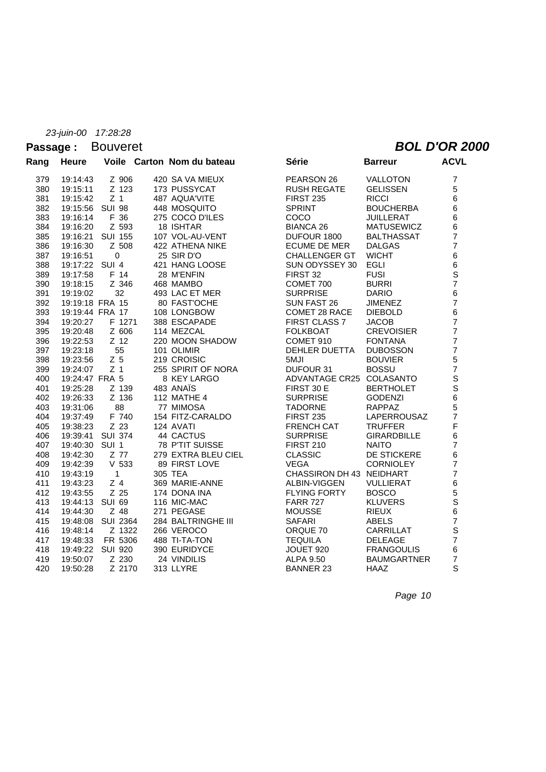### Passage : Bouveret **BOL D'OR 2000**

| Rang | <b>Heure</b>    |                   | Voile Carton Nom du bateau | <b>Série</b>     |                          | <b>Barreur</b>           | <b>ACVL</b>        |
|------|-----------------|-------------------|----------------------------|------------------|--------------------------|--------------------------|--------------------|
| 379  | 19:14:43        | Z 906             | 420 SA VA MIEUX            |                  | PEARSON 26               | <b>VALLOTON</b>          | $\boldsymbol{7}$   |
| 380  | 19:15:11        | Z 123             | 173 PUSSYCAT               |                  | <b>RUSH REGATE</b>       | <b>GELISSEN</b>          | 5                  |
| 381  | 19:15:42        | Z <sub>1</sub>    | 487 AQUA'VITE              | <b>FIRST 235</b> |                          | <b>RICCI</b>             | 6                  |
| 382  | 19:15:56 SUI 98 |                   | 448 MOSQUITO               | <b>SPRINT</b>    |                          | <b>BOUCHERBA</b>         | 6                  |
| 383  | 19:16:14        | F 36              | 275 COCO D'ILES            | COCO             |                          | <b>JUILLERAT</b>         | 6                  |
| 384  | 19:16:20        | Z 593             | 18 ISHTAR                  | <b>BIANCA 26</b> |                          | <b>MATUSEWICZ</b>        | 6                  |
| 385  |                 | 19:16:21 SUI 155  | 107 VOL-AU-VENT            |                  | DUFOUR 1800              | <b>BALTHASSAT</b>        | $\overline{7}$     |
| 386  | 19:16:30        | Z 508             | 422 ATHENA NIKE            |                  | <b>ECUME DE MER</b>      | <b>DALGAS</b>            | $\overline{7}$     |
| 387  | 19:16:51        | $\mathbf 0$       | 25 SIR D'O                 |                  | <b>CHALLENGER GT</b>     | <b>WICHT</b>             | 6                  |
| 388  | 19:17:22 SUI 4  |                   | 421 HANG LOOSE             |                  | SUN ODYSSEY 30           | <b>EGLI</b>              | 6                  |
| 389  | 19:17:58        | F 14              | 28 M'ENFIN                 | FIRST 32         |                          | <b>FUSI</b>              | $\mathbf S$        |
| 390  | 19:18:15        | Z 346             | 468 MAMBO                  | COMET 700        |                          | <b>BURRI</b>             | $\overline{7}$     |
| 391  | 19:19:02        | 32                | 493 LAC ET MER             | <b>SURPRISE</b>  |                          | <b>DARIO</b>             | 6                  |
| 392  | 19:19:18 FRA 15 |                   | 80 FAST'OCHE               |                  | SUN FAST 26              | <b>JIMENEZ</b>           | $\overline{7}$     |
| 393  | 19:19:44 FRA 17 |                   | 108 LONGBOW                |                  | COMET 28 RACE            | <b>DIEBOLD</b>           | 6                  |
| 394  | 19:20:27        | F 1271            | 388 ESCAPADE               |                  | FIRST CLASS 7            | <b>JACOB</b>             | $\overline{7}$     |
| 395  | 19:20:48        | Z 606             | 114 MEZCAL                 | <b>FOLKBOAT</b>  |                          | <b>CREVOISIER</b>        | $\overline{7}$     |
| 396  | 19:22:53        | $Z$ 12            | 220 MOON SHADOW            | COMET 910        |                          | <b>FONTANA</b>           | $\overline{7}$     |
| 397  | 19:23:18        | 55                | 101 OLIMIR                 |                  | <b>DEHLER DUETTA</b>     | <b>DUBOSSON</b>          | $\overline{7}$     |
| 398  | 19:23:56        | Z <sub>5</sub>    | 219 CROISIC                | 5MJI             |                          | <b>BOUVIER</b>           | 5                  |
| 399  | 19:24:07        | Z <sub>1</sub>    | 255 SPIRIT OF NORA         | DUFOUR 31        |                          | <b>BOSSU</b>             | $\overline{7}$     |
| 400  | 19:24:47 FRA 5  |                   | 8 KEY LARGO                |                  |                          | ADVANTAGE CR25 COLASANTO | S                  |
| 401  | 19:25:28        | Z 139             | 483 ANAÏS                  | FIRST 30 E       |                          | <b>BERTHOLET</b>         | $\bar{\mathbf{s}}$ |
| 402  | 19:26:33        | Z 136             | <b>112 MATHE 4</b>         | <b>SURPRISE</b>  |                          | <b>GODENZI</b>           | 6                  |
| 403  | 19:31:06        | 88                | 77 MIMOSA                  | <b>TADORNE</b>   |                          | RAPPAZ                   | 5                  |
| 404  | 19:37:49        | F 740             | 154 FITZ-CARALDO           | <b>FIRST 235</b> |                          | LAPERROUSAZ              | $\overline{7}$     |
| 405  | 19:38:23        | Z 23              | 124 AVATI                  |                  | <b>FRENCH CAT</b>        | <b>TRUFFER</b>           | F                  |
| 406  |                 | 19:39:41 SUI 374  | 44 CACTUS                  | <b>SURPRISE</b>  |                          | <b>GIRARDBILLE</b>       | 6                  |
| 407  | 19:40:30 SUI 1  |                   | 78 P'TIT SUISSE            | <b>FIRST 210</b> |                          | <b>NAITO</b>             | $\overline{7}$     |
| 408  | 19:42:30        | Z 77              | 279 EXTRA BLEU CIEL        | <b>CLASSIC</b>   |                          | DE STICKERE              | 6                  |
| 409  | 19:42:39        | $V$ 533           | 89 FIRST LOVE              | <b>VEGA</b>      |                          | <b>CORNIOLEY</b>         | $\overline{7}$     |
| 410  | 19:43:19        | $\mathbf{1}$      | 305 TEA                    |                  | CHASSIRON DH 43 NEIDHART |                          | $\overline{7}$     |
| 411  | 19:43:23        | Z <sub>4</sub>    | 369 MARIE-ANNE             |                  | ALBIN-VIGGEN             | <b>VULLIERAT</b>         | 6                  |
| 412  | 19:43:55        | Z 25              | 174 DONA INA               |                  | FLYING FORTY             | <b>BOSCO</b>             | 5                  |
| 413  | 19:44:13 SUI 69 |                   | 116 MIC-MAC                | <b>FARR 727</b>  |                          | <b>KLUVERS</b>           | S                  |
| 414  | 19:44:30        | Z 48              | 271 PEGASE                 | <b>MOUSSE</b>    |                          | <b>RIEUX</b>             | 6                  |
| 415  |                 | 19:48:08 SUI 2364 | 284 BALTRINGHE III         | <b>SAFARI</b>    |                          | <b>ABELS</b>             | $\overline{7}$     |
| 416  | 19:48:14        | Z 1322            | 266 VEROCO                 | ORQUE 70         |                          | CARRILLAT                | $\mathsf S$        |
| 417  | 19:48:33        | FR 5306           | 488 TI-TA-TON              | <b>TEQUILA</b>   |                          | <b>DELEAGE</b>           | $\overline{7}$     |
| 418  |                 | 19:49:22 SUI 920  | 390 EURIDYCE               | JOUET 920        |                          | <b>FRANGOULIS</b>        | 6                  |
| 419  | 19:50:07        | Z 230             | 24 VINDILIS                | <b>ALPA 9.50</b> |                          | <b>BAUMGARTNER</b>       | $\overline{7}$     |
| 420  | 19:50:28        | Z 2170            | 313 LLYRE                  | <b>BANNER 23</b> |                          | <b>HAAZ</b>              | S                  |